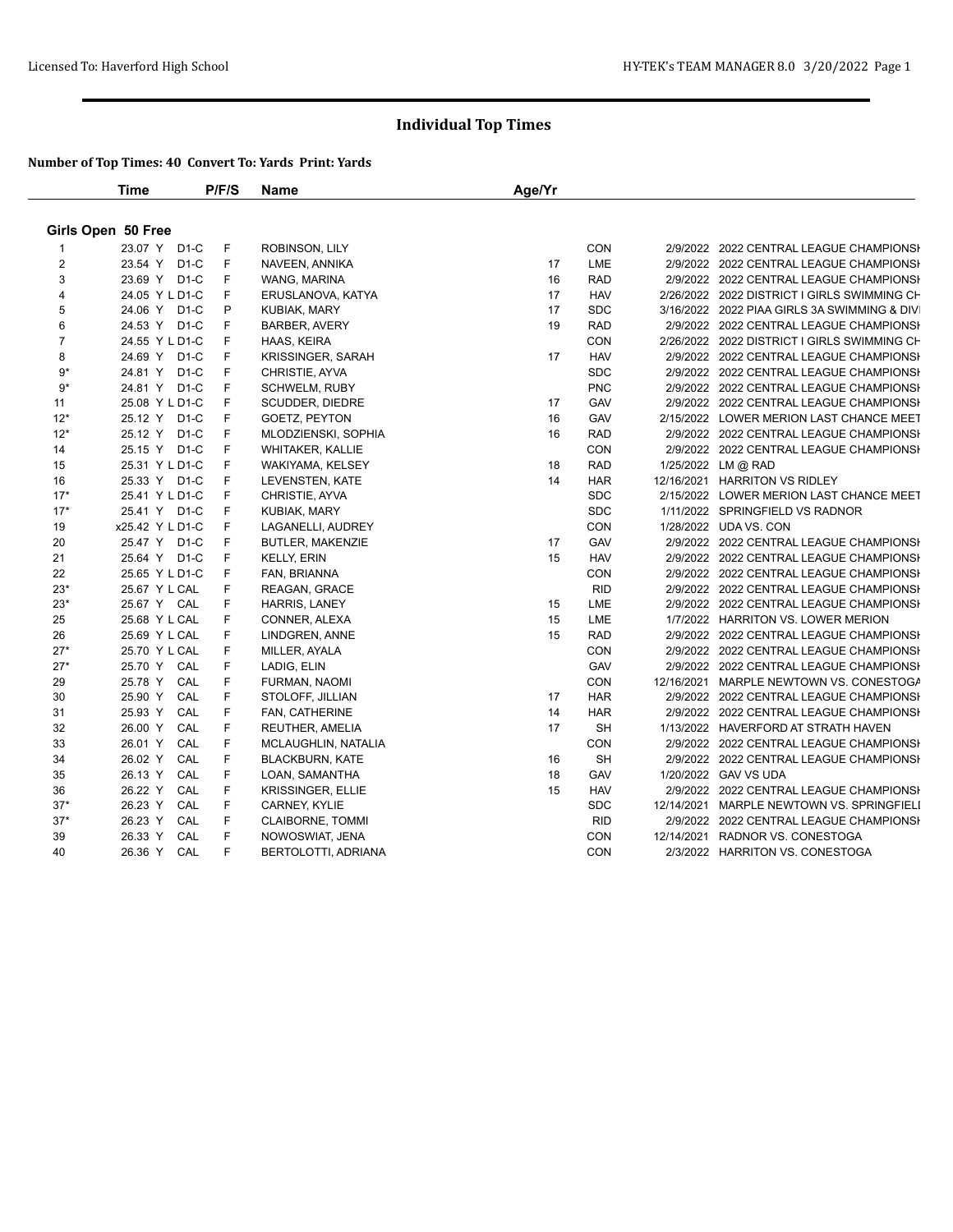|                | <b>Time</b>        | P/F/S | <b>Name</b>             | Age/Yr |            |                                             |
|----------------|--------------------|-------|-------------------------|--------|------------|---------------------------------------------|
|                | Girls Open 50 Free |       |                         |        |            |                                             |
|                | 23.07 Y D1-C       | F     | ROBINSON, LILY          |        | <b>CON</b> | 2/9/2022 2022 CENTRAL LEAGUE CHAMPIONSH     |
| $\overline{2}$ | 23.54 Y D1-C       | F     | NAVEEN, ANNIKA          | 17     | LME        | 2/9/2022 2022 CENTRAL LEAGUE CHAMPIONSH     |
| 3              | 23.69 Y D1-C       | F     | WANG, MARINA            | 16     | <b>RAD</b> | 2/9/2022 2022 CENTRAL LEAGUE CHAMPIONSH     |
| 4              | 24.05 Y L D1-C     | F     | ERUSLANOVA, KATYA       | 17     | <b>HAV</b> | 2/26/2022 2022 DISTRICT I GIRLS SWIMMING CH |
| 5              | 24.06 Y D1-C       | P     | KUBIAK, MARY            | 17     | <b>SDC</b> | 3/16/2022 2022 PIAA GIRLS 3A SWIMMING & DIV |
| $\,6$          | 24.53 Y D1-C       | F     | <b>BARBER, AVERY</b>    | 19     | <b>RAD</b> | 2/9/2022 2022 CENTRAL LEAGUE CHAMPIONSH     |
| $\overline{7}$ | 24.55 Y L D1-C     | F     | HAAS, KEIRA             |        | CON        | 2/26/2022 2022 DISTRICT I GIRLS SWIMMING CH |
| 8              | 24.69 Y D1-C       | F     | KRISSINGER, SARAH       | 17     | <b>HAV</b> | 2/9/2022 2022 CENTRAL LEAGUE CHAMPIONSI     |
| 9*             | 24.81 Y D1-C       | F     | CHRISTIE, AYVA          |        | <b>SDC</b> | 2/9/2022 2022 CENTRAL LEAGUE CHAMPIONSH     |
| $9*$           | 24.81 Y D1-C       | F     | SCHWELM, RUBY           |        | <b>PNC</b> | 2/9/2022 2022 CENTRAL LEAGUE CHAMPIONSI     |
| 11             | 25.08 Y L D1-C     | F     | SCUDDER, DIEDRE         | 17     | GAV        | 2/9/2022 2022 CENTRAL LEAGUE CHAMPIONSI     |
| $12*$          | 25.12 Y D1-C       | F     | GOETZ, PEYTON           | 16     | GAV        | 2/15/2022 LOWER MERION LAST CHANCE MEET     |
| $12*$          | 25.12 Y D1-C       | F     | MLODZIENSKI, SOPHIA     | 16     | <b>RAD</b> | 2/9/2022 2022 CENTRAL LEAGUE CHAMPIONSH     |
| 14             | 25.15 Y D1-C       | F     | <b>WHITAKER, KALLIE</b> |        | CON        | 2/9/2022 2022 CENTRAL LEAGUE CHAMPIONSI     |
| 15             | 25.31 Y L D1-C     | F     | WAKIYAMA, KELSEY        | 18     | <b>RAD</b> | 1/25/2022 LM @ RAD                          |
| 16             | 25.33 Y D1-C       | F     | LEVENSTEN, KATE         | 14     | <b>HAR</b> | 12/16/2021 HARRITON VS RIDLEY               |
| $17*$          | 25.41 Y L D1-C     | F     | CHRISTIE, AYVA          |        | <b>SDC</b> | 2/15/2022 LOWER MERION LAST CHANCE MEET     |
| $17*$          | 25.41 Y D1-C       | F     | KUBIAK, MARY            |        | <b>SDC</b> | 1/11/2022 SPRINGFIELD VS RADNOR             |
| 19             | x25.42 Y L D1-C    | F     | LAGANELLI, AUDREY       |        | CON        | 1/28/2022 UDA VS. CON                       |
| 20             | 25.47 Y D1-C       | F     | <b>BUTLER, MAKENZIE</b> | 17     | GAV        | 2/9/2022 2022 CENTRAL LEAGUE CHAMPIONSH     |
| 21             | 25.64 Y D1-C       | F     | <b>KELLY, ERIN</b>      | 15     | <b>HAV</b> | 2/9/2022 2022 CENTRAL LEAGUE CHAMPIONSI     |
| 22             | 25.65 Y L D1-C     | F     | FAN, BRIANNA            |        | CON        | 2/9/2022 2022 CENTRAL LEAGUE CHAMPIONSH     |
| $23*$          | 25.67 Y L CAL      | F     | REAGAN, GRACE           |        | <b>RID</b> | 2/9/2022 2022 CENTRAL LEAGUE CHAMPIONSH     |
| $23*$          | 25.67 Y CAL        | F     | HARRIS, LANEY           | 15     | LME        | 2/9/2022 2022 CENTRAL LEAGUE CHAMPIONSH     |
| 25             | 25.68 Y L CAL      | F     | CONNER, ALEXA           | 15     | LME        | 1/7/2022 HARRITON VS. LOWER MERION          |
| 26             | 25.69 Y L CAL      | F     | LINDGREN, ANNE          | 15     | <b>RAD</b> | 2/9/2022 2022 CENTRAL LEAGUE CHAMPIONSI     |
| $27*$          | 25.70 Y L CAL      | F     | MILLER, AYALA           |        | CON        | 2/9/2022 2022 CENTRAL LEAGUE CHAMPIONSH     |
| $27*$          | 25.70 Y CAL        | F     | LADIG, ELIN             |        | GAV        | 2/9/2022 2022 CENTRAL LEAGUE CHAMPIONSH     |
| 29             | 25.78 Y CAL        | F     | FURMAN, NAOMI           |        | CON        | 12/16/2021 MARPLE NEWTOWN VS. CONESTOGA     |
| 30             | 25.90 Y CAL        | F     | STOLOFF, JILLIAN        | 17     | <b>HAR</b> | 2/9/2022 2022 CENTRAL LEAGUE CHAMPIONSH     |
| 31             | CAL<br>25.93 Y     | F     | FAN, CATHERINE          | 14     | <b>HAR</b> | 2/9/2022 2022 CENTRAL LEAGUE CHAMPIONSH     |
| 32             | CAL<br>26.00 Y     | F     | REUTHER, AMELIA         | 17     | <b>SH</b>  | 1/13/2022 HAVERFORD AT STRATH HAVEN         |
| 33             | CAL<br>26.01 Y     | F     | MCLAUGHLIN, NATALIA     |        | <b>CON</b> | 2/9/2022 2022 CENTRAL LEAGUE CHAMPIONSI     |
| 34             | CAL<br>26.02 Y     | F     | <b>BLACKBURN, KATE</b>  | 16     | <b>SH</b>  | 2/9/2022 2022 CENTRAL LEAGUE CHAMPIONSH     |
| 35             | 26.13 Y<br>CAL     | F     | LOAN, SAMANTHA          | 18     | GAV        | 1/20/2022 GAV VS UDA                        |
| 36             | 26.22 Y<br>CAL     | F     | KRISSINGER, ELLIE       | 15     | <b>HAV</b> | 2/9/2022 2022 CENTRAL LEAGUE CHAMPIONSH     |
| $37*$          | 26.23 Y<br>CAL     | F     | CARNEY, KYLIE           |        | <b>SDC</b> | 12/14/2021 MARPLE NEWTOWN VS. SPRINGFIELI   |
| $37*$          | 26.23 Y<br>CAL     | F     | <b>CLAIBORNE, TOMMI</b> |        | <b>RID</b> | 2/9/2022 2022 CENTRAL LEAGUE CHAMPIONSH     |
| 39             | CAL<br>26.33 Y     | F     | NOWOSWIAT, JENA         |        | <b>CON</b> | 12/14/2021 RADNOR VS. CONESTOGA             |
| 40             | 26.36 Y CAL        | F     | BERTOLOTTI, ADRIANA     |        | <b>CON</b> | 2/3/2022 HARRITON VS. CONESTOGA             |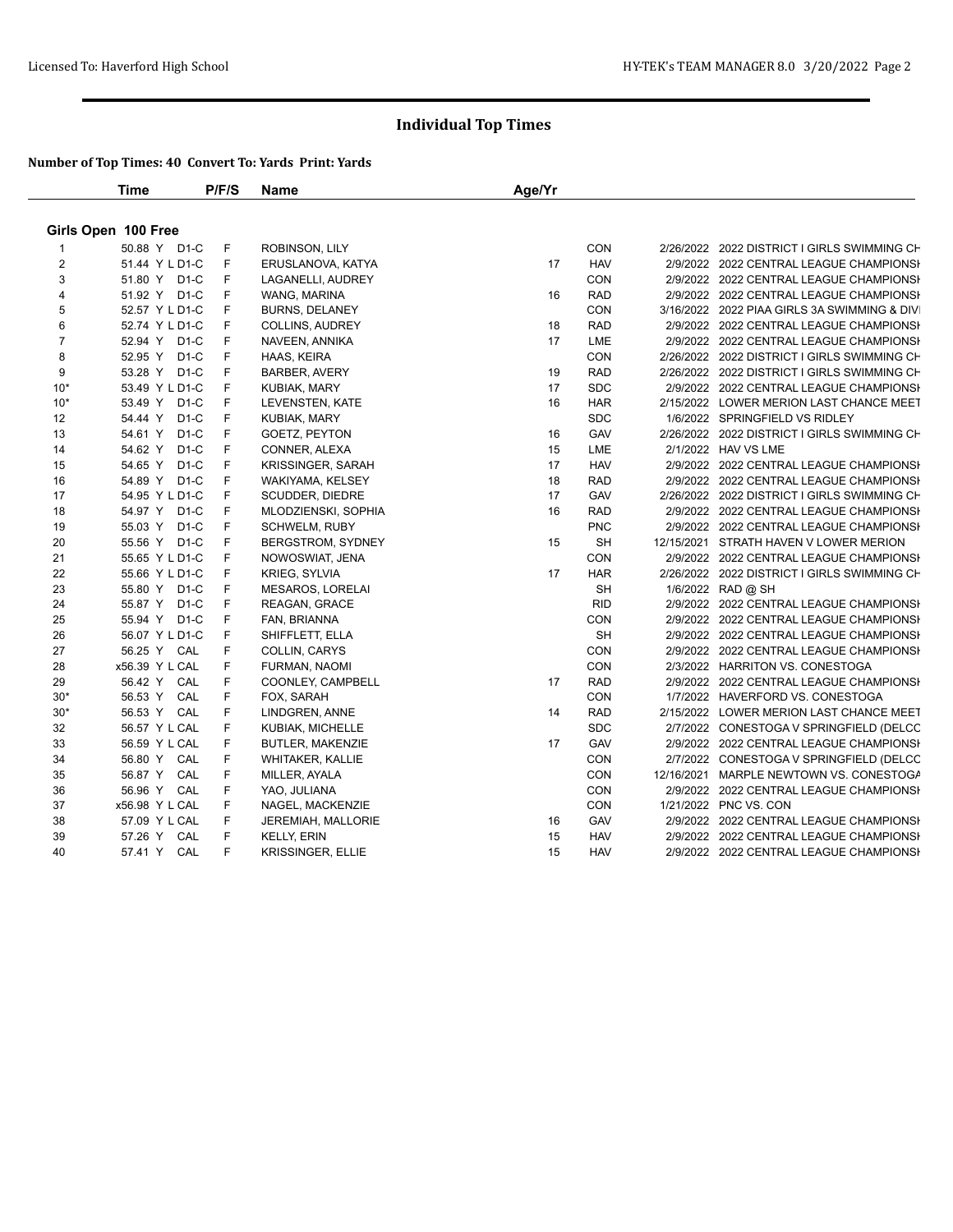|                         | <b>Time</b>                  | P/F/S | Name                      | Age/Yr |            |                                             |
|-------------------------|------------------------------|-------|---------------------------|--------|------------|---------------------------------------------|
|                         | Girls Open 100 Free          |       |                           |        |            |                                             |
|                         | 50.88 Y D1-C                 | F     | ROBINSON, LILY            |        | CON        | 2/26/2022 2022 DISTRICT I GIRLS SWIMMING CH |
| $\overline{2}$          | 51.44 Y L D1-C               | F     | ERUSLANOVA, KATYA         | 17     | <b>HAV</b> | 2/9/2022 2022 CENTRAL LEAGUE CHAMPIONSH     |
| 3                       | 51.80 Y D1-C                 | F     | LAGANELLI, AUDREY         |        | CON        | 2/9/2022 2022 CENTRAL LEAGUE CHAMPIONSH     |
| $\overline{\mathbf{4}}$ | 51.92 Y D1-C                 | F     | WANG, MARINA              | 16     | <b>RAD</b> | 2/9/2022 2022 CENTRAL LEAGUE CHAMPIONSH     |
| 5                       | 52.57 Y L D1-C               | F     | BURNS, DELANEY            |        | CON        | 3/16/2022 2022 PIAA GIRLS 3A SWIMMING & DIV |
| 6                       | 52.74 Y L D1-C               | F     | COLLINS, AUDREY           | 18     | <b>RAD</b> | 2/9/2022 2022 CENTRAL LEAGUE CHAMPIONSH     |
| $\overline{7}$          | 52.94 Y D1-C                 | F     | NAVEEN, ANNIKA            | 17     | LME        | 2/9/2022 2022 CENTRAL LEAGUE CHAMPIONSH     |
| 8                       | 52.95 Y D1-C                 | F     | HAAS, KEIRA               |        | CON        | 2/26/2022 2022 DISTRICT I GIRLS SWIMMING CH |
| 9                       | 53.28 Y D1-C                 | F     | <b>BARBER, AVERY</b>      | 19     | <b>RAD</b> | 2/26/2022 2022 DISTRICT I GIRLS SWIMMING CH |
| $10*$                   | 53.49 Y L D1-C               | F     | KUBIAK, MARY              | 17     | <b>SDC</b> | 2/9/2022 2022 CENTRAL LEAGUE CHAMPIONSH     |
| $10*$                   | 53.49 Y D1-C                 | F     | LEVENSTEN, KATE           | 16     | <b>HAR</b> | 2/15/2022 LOWER MERION LAST CHANCE MEET     |
| 12                      | D <sub>1</sub> -C<br>54.44 Y | F     | <b>KUBIAK, MARY</b>       |        | <b>SDC</b> | 1/6/2022 SPRINGFIELD VS RIDLEY              |
| 13                      | $D1-C$<br>54.61 Y            | F     | GOETZ, PEYTON             | 16     | GAV        | 2/26/2022 2022 DISTRICT I GIRLS SWIMMING CH |
| 14                      | 54.62 Y<br>$D1-C$            | F     | CONNER, ALEXA             | 15     | LME        | 2/1/2022 HAV VS LME                         |
| 15                      | 54.65 Y D1-C                 | F     | KRISSINGER, SARAH         | 17     | <b>HAV</b> | 2/9/2022 2022 CENTRAL LEAGUE CHAMPIONSI     |
| 16                      | 54.89 Y D1-C                 | F     | WAKIYAMA, KELSEY          | 18     | <b>RAD</b> | 2/9/2022 2022 CENTRAL LEAGUE CHAMPIONSH     |
| 17                      | 54.95 Y L D1-C               | F     | SCUDDER, DIEDRE           | 17     | GAV        | 2/26/2022 2022 DISTRICT I GIRLS SWIMMING CH |
| 18                      | 54.97 Y D1-C                 | F     | MLODZIENSKI, SOPHIA       | 16     | <b>RAD</b> | 2/9/2022 2022 CENTRAL LEAGUE CHAMPIONSI     |
| 19                      | 55.03 Y D1-C                 | F     | SCHWELM, RUBY             |        | <b>PNC</b> | 2/9/2022 2022 CENTRAL LEAGUE CHAMPIONSI     |
| 20                      | 55.56 Y D1-C                 | F     | BERGSTROM, SYDNEY         | 15     | <b>SH</b>  | 12/15/2021 STRATH HAVEN V LOWER MERION      |
| 21                      | 55.65 Y L D1-C               | F     | NOWOSWIAT, JENA           |        | CON        | 2/9/2022 2022 CENTRAL LEAGUE CHAMPIONSH     |
| 22                      | 55.66 Y L D1-C               | F     | KRIEG, SYLVIA             | 17     | <b>HAR</b> | 2/26/2022 2022 DISTRICT I GIRLS SWIMMING CH |
| 23                      | 55.80 Y D1-C                 | F     | MESAROS, LORELAI          |        | SH         | 1/6/2022 RAD @ SH                           |
| 24                      | 55.87 Y D1-C                 | F     | REAGAN, GRACE             |        | <b>RID</b> | 2/9/2022 2022 CENTRAL LEAGUE CHAMPIONSH     |
| 25                      | 55.94 Y D1-C                 | F     | FAN, BRIANNA              |        | CON        | 2/9/2022 2022 CENTRAL LEAGUE CHAMPIONSI     |
| 26                      | 56.07 Y L D1-C               | F     | SHIFFLETT, ELLA           |        | <b>SH</b>  | 2/9/2022 2022 CENTRAL LEAGUE CHAMPIONSI     |
| 27                      | 56.25 Y CAL                  | F     | COLLIN, CARYS             |        | CON        | 2/9/2022 2022 CENTRAL LEAGUE CHAMPIONSH     |
| 28                      | x56.39 Y L CAL               | F     | FURMAN, NAOMI             |        | CON        | 2/3/2022 HARRITON VS. CONESTOGA             |
| 29                      | 56.42 Y CAL                  | F     | COONLEY, CAMPBELL         | 17     | <b>RAD</b> | 2/9/2022 2022 CENTRAL LEAGUE CHAMPIONSH     |
| $30*$                   | 56.53 Y CAL                  | F     | FOX, SARAH                |        | CON        | 1/7/2022 HAVERFORD VS. CONESTOGA            |
| $30*$                   | 56.53 Y CAL                  | F     | LINDGREN, ANNE            | 14     | <b>RAD</b> | 2/15/2022 LOWER MERION LAST CHANCE MEET     |
| 32                      | 56.57 Y L CAL                | F     | KUBIAK, MICHELLE          |        | <b>SDC</b> | 2/7/2022 CONESTOGA V SPRINGFIELD (DELCC     |
| 33                      | 56.59 Y L CAL                | F     | BUTLER, MAKENZIE          | 17     | GAV        | 2/9/2022 2022 CENTRAL LEAGUE CHAMPIONSH     |
| 34                      | 56.80 Y CAL                  | F     | <b>WHITAKER, KALLIE</b>   |        | CON        | 2/7/2022 CONESTOGA V SPRINGFIELD (DELCC     |
| 35                      | 56.87 Y CAL                  | F     | MILLER, AYALA             |        | CON        | 12/16/2021 MARPLE NEWTOWN VS. CONESTOGA     |
| 36                      | 56.96 Y CAL                  | F     | YAO, JULIANA              |        | <b>CON</b> | 2/9/2022 2022 CENTRAL LEAGUE CHAMPIONSI     |
| 37                      | x56.98 Y L CAL               | F     | NAGEL, MACKENZIE          |        | CON        | 1/21/2022 PNC VS. CON                       |
| 38                      | 57.09 Y L CAL                | F     | <b>JEREMIAH, MALLORIE</b> | 16     | GAV        | 2/9/2022 2022 CENTRAL LEAGUE CHAMPIONSH     |
| 39                      | 57.26 Y CAL                  | F     | <b>KELLY, ERIN</b>        | 15     | <b>HAV</b> | 2/9/2022 2022 CENTRAL LEAGUE CHAMPIONSH     |
| 40                      | 57.41 Y CAL                  | F     | <b>KRISSINGER, ELLIE</b>  | 15     | <b>HAV</b> | 2/9/2022 2022 CENTRAL LEAGUE CHAMPIONSH     |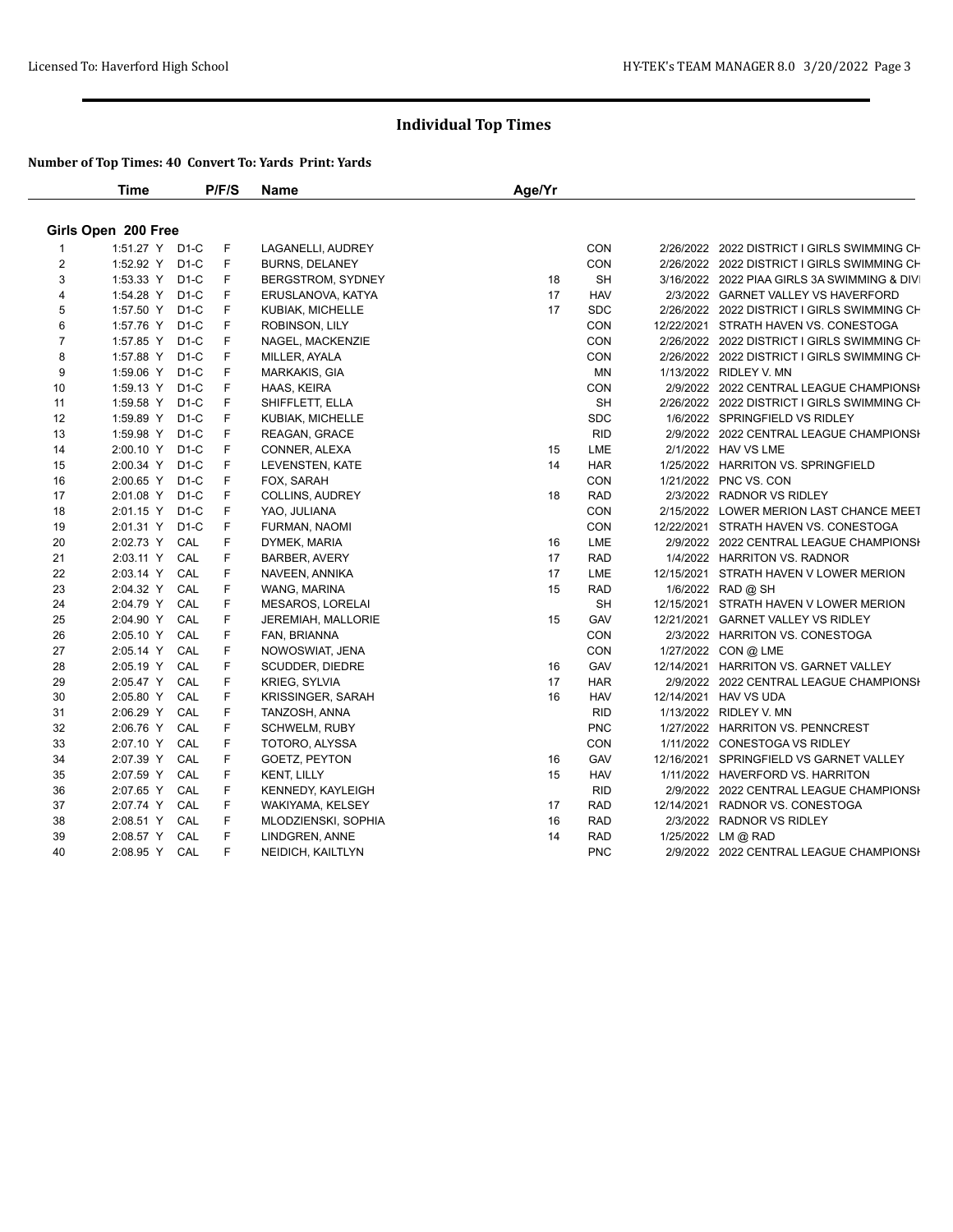|                | <b>Time</b>         |        | P/F/S | <b>Name</b>             | Age/Yr |            |                                             |
|----------------|---------------------|--------|-------|-------------------------|--------|------------|---------------------------------------------|
|                | Girls Open 200 Free |        |       |                         |        |            |                                             |
| $\mathbf{1}$   | 1:51.27 Y D1-C      |        | F     | LAGANELLI, AUDREY       |        | CON        | 2/26/2022 2022 DISTRICT I GIRLS SWIMMING CH |
| $\overline{2}$ | 1:52.92 Y D1-C      |        | F     | <b>BURNS, DELANEY</b>   |        | CON        | 2/26/2022 2022 DISTRICT I GIRLS SWIMMING CH |
| 3              | 1:53.33 Y           | $D1-C$ | F     | BERGSTROM, SYDNEY       | 18     | <b>SH</b>  | 3/16/2022 2022 PIAA GIRLS 3A SWIMMING & DIV |
| $\overline{4}$ | 1:54.28 Y           | $D1-C$ | F     | ERUSLANOVA, KATYA       | 17     | <b>HAV</b> | 2/3/2022 GARNET VALLEY VS HAVERFORD         |
| 5              | 1:57.50 Y           | $D1-C$ | F     | KUBIAK, MICHELLE        | 17     | <b>SDC</b> | 2/26/2022 2022 DISTRICT I GIRLS SWIMMING CH |
| 6              | 1:57.76 Y           | $D1-C$ | F     | ROBINSON, LILY          |        | <b>CON</b> | 12/22/2021 STRATH HAVEN VS. CONESTOGA       |
| $\overline{7}$ | 1:57.85 Y           | $D1-C$ | F     | NAGEL, MACKENZIE        |        | CON        | 2/26/2022 2022 DISTRICT I GIRLS SWIMMING CH |
| 8              | 1:57.88 Y           | $D1-C$ | F     | MILLER, AYALA           |        | CON        | 2/26/2022 2022 DISTRICT I GIRLS SWIMMING CH |
| 9              | 1:59.06 Y           | $D1-C$ | F     | MARKAKIS, GIA           |        | <b>MN</b>  | 1/13/2022 RIDLEY V. MN                      |
| 10             | 1:59.13 Y           | $D1-C$ | F     | HAAS, KEIRA             |        | CON        | 2/9/2022 2022 CENTRAL LEAGUE CHAMPIONSI     |
| 11             | 1:59.58 Y           | $D1-C$ | F     | SHIFFLETT, ELLA         |        | <b>SH</b>  | 2/26/2022 2022 DISTRICT I GIRLS SWIMMING CH |
| 12             | 1:59.89 Y           | $D1-C$ | F     | KUBIAK, MICHELLE        |        | <b>SDC</b> | 1/6/2022 SPRINGFIELD VS RIDLEY              |
| 13             | 1:59.98 Y           | $D1-C$ | F     | REAGAN, GRACE           |        | <b>RID</b> | 2/9/2022 2022 CENTRAL LEAGUE CHAMPIONSI     |
| 14             | 2:00.10 Y           | $D1-C$ | F     | CONNER, ALEXA           | 15     | LME        | 2/1/2022 HAV VS LME                         |
| 15             | 2:00.34 Y           | $D1-C$ | F     | LEVENSTEN, KATE         | 14     | <b>HAR</b> | 1/25/2022 HARRITON VS. SPRINGFIELD          |
| 16             | 2:00.65 Y           | $D1-C$ | F     | FOX, SARAH              |        | CON        | 1/21/2022 PNC VS. CON                       |
| 17             | 2:01.08 Y           | $D1-C$ | F     | COLLINS, AUDREY         | 18     | <b>RAD</b> | 2/3/2022 RADNOR VS RIDLEY                   |
| 18             | 2:01.15 Y           | $D1-C$ | F     | YAO, JULIANA            |        | <b>CON</b> | 2/15/2022 LOWER MERION LAST CHANCE MEET     |
| 19             | 2:01.31 Y           | $D1-C$ | F     | FURMAN, NAOMI           |        | <b>CON</b> | 12/22/2021 STRATH HAVEN VS. CONESTOGA       |
| 20             | 2:02.73 Y           | CAL    | F     | DYMEK, MARIA            | 16     | LME        | 2/9/2022 2022 CENTRAL LEAGUE CHAMPIONSI     |
| 21             | 2:03.11 Y           | CAL    | F     | <b>BARBER, AVERY</b>    | 17     | <b>RAD</b> | 1/4/2022 HARRITON VS. RADNOR                |
| 22             | 2:03.14 Y           | CAL    | F     | NAVEEN, ANNIKA          | 17     | LME        | 12/15/2021 STRATH HAVEN V LOWER MERION      |
| 23             | 2:04.32 Y           | CAL    | F     | WANG, MARINA            | 15     | <b>RAD</b> | 1/6/2022 RAD @ SH                           |
| 24             | 2:04.79 Y           | CAL    | F     | <b>MESAROS, LORELAI</b> |        | <b>SH</b>  | 12/15/2021 STRATH HAVEN V LOWER MERION      |
| 25             | 2:04.90 Y           | CAL    | F     | JEREMIAH, MALLORIE      | 15     | GAV        | 12/21/2021 GARNET VALLEY VS RIDLEY          |
| 26             | 2:05.10 Y           | CAL    | F     | FAN, BRIANNA            |        | CON        | 2/3/2022 HARRITON VS. CONESTOGA             |
| 27             | 2:05.14 Y           | CAL    | F     | NOWOSWIAT, JENA         |        | CON        | 1/27/2022 CON @ LME                         |
| 28             | 2:05.19 Y           | CAL    | F     | SCUDDER, DIEDRE         | 16     | GAV        | 12/14/2021 HARRITON VS. GARNET VALLEY       |
| 29             | 2:05.47 Y           | CAL    | F     | KRIEG, SYLVIA           | 17     | <b>HAR</b> | 2/9/2022 2022 CENTRAL LEAGUE CHAMPIONSI     |
| 30             | 2:05.80 Y           | CAL    | F     | KRISSINGER, SARAH       | 16     | <b>HAV</b> | 12/14/2021 HAV VS UDA                       |
| 31             | 2:06.29 Y           | CAL    | F     | TANZOSH, ANNA           |        | <b>RID</b> | 1/13/2022 RIDLEY V. MN                      |
| 32             | 2:06.76 Y           | CAL    | F     | <b>SCHWELM, RUBY</b>    |        | <b>PNC</b> | 1/27/2022 HARRITON VS. PENNCREST            |
| 33             | 2:07.10 Y           | CAL    | F     | TOTORO, ALYSSA          |        | CON        | 1/11/2022 CONESTOGA VS RIDLEY               |
| 34             | 2:07.39 Y           | CAL    | F     | GOETZ, PEYTON           | 16     | GAV        | 12/16/2021 SPRINGFIELD VS GARNET VALLEY     |
| 35             | 2:07.59 Y           | CAL    | F     | <b>KENT, LILLY</b>      | 15     | <b>HAV</b> | 1/11/2022 HAVERFORD VS. HARRITON            |
| 36             | 2:07.65 Y           | CAL    | F     | KENNEDY, KAYLEIGH       |        | <b>RID</b> | 2/9/2022 2022 CENTRAL LEAGUE CHAMPIONSH     |
| 37             | 2:07.74 Y           | CAL    | F     | WAKIYAMA, KELSEY        | 17     | <b>RAD</b> | 12/14/2021 RADNOR VS. CONESTOGA             |
| 38             | 2:08.51 Y           | CAL    | F     | MLODZIENSKI, SOPHIA     | 16     | <b>RAD</b> | 2/3/2022 RADNOR VS RIDLEY                   |
| 39             | 2:08.57 Y           | CAL    | F     | LINDGREN, ANNE          | 14     | <b>RAD</b> | 1/25/2022 LM @ RAD                          |
| 40             | 2:08.95 Y CAL       |        | F     | NEIDICH, KAILTLYN       |        | <b>PNC</b> | 2/9/2022 2022 CENTRAL LEAGUE CHAMPIONSH     |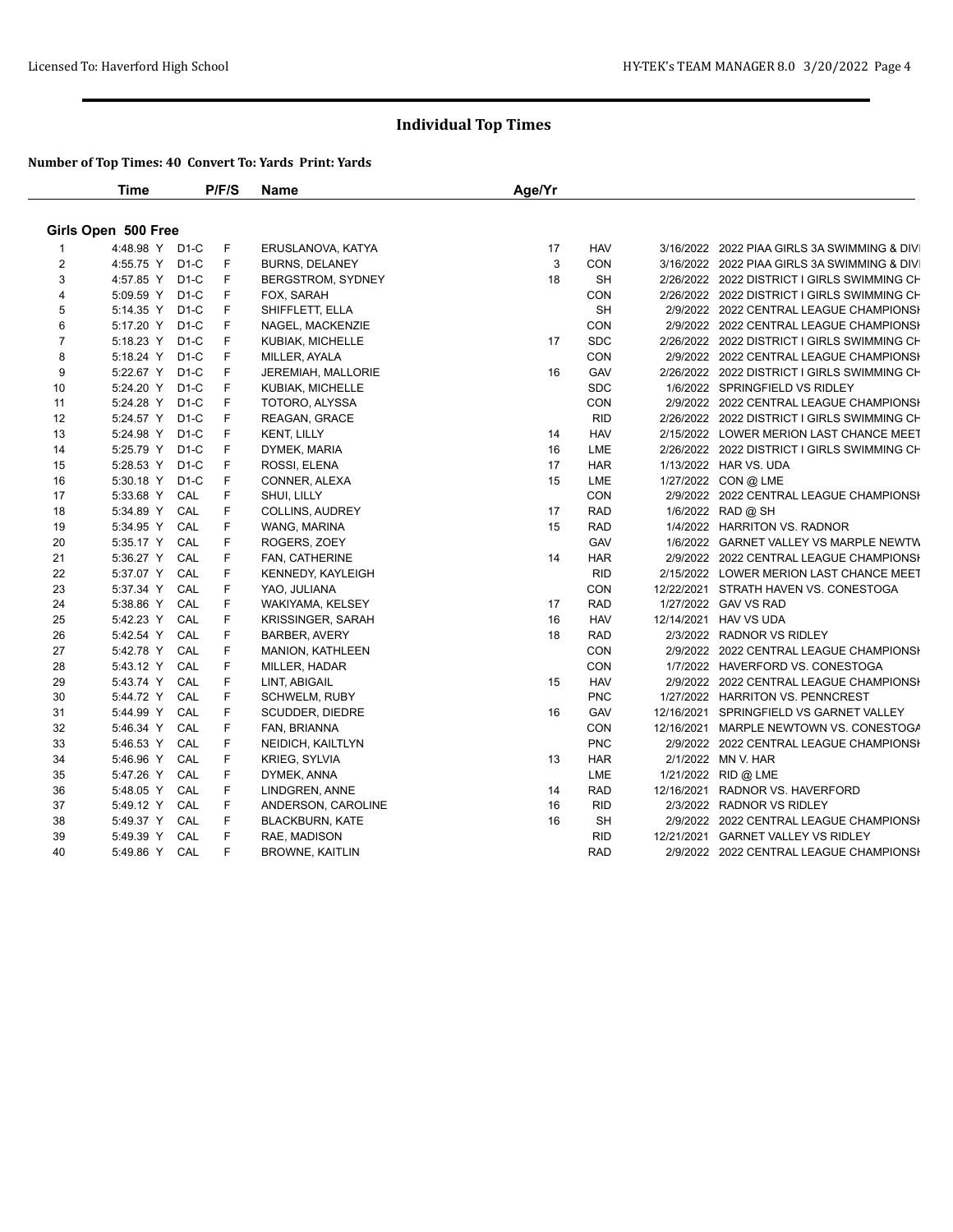|                | <b>Time</b>         |                   | P/F/S | Name                     | Age/Yr |            |  |                                             |  |
|----------------|---------------------|-------------------|-------|--------------------------|--------|------------|--|---------------------------------------------|--|
|                | Girls Open 500 Free |                   |       |                          |        |            |  |                                             |  |
|                | 4:48.98 Y D1-C      |                   | F     | ERUSLANOVA, KATYA        | 17     | <b>HAV</b> |  | 3/16/2022 2022 PIAA GIRLS 3A SWIMMING & DIV |  |
| $\overline{2}$ | 4:55.75 Y D1-C      |                   | F     | <b>BURNS, DELANEY</b>    | 3      | CON        |  | 3/16/2022 2022 PIAA GIRLS 3A SWIMMING & DIV |  |
| 3              | 4:57.85 Y           | $D1-C$            | F     | BERGSTROM, SYDNEY        | 18     | SH         |  | 2/26/2022 2022 DISTRICT I GIRLS SWIMMING CH |  |
| 4              | 5:09.59 Y           | $D1-C$            | F     | FOX, SARAH               |        | CON        |  | 2/26/2022 2022 DISTRICT I GIRLS SWIMMING CH |  |
| 5              | 5:14.35 Y           | $D1-C$            | F     | SHIFFLETT, ELLA          |        | <b>SH</b>  |  | 2/9/2022 2022 CENTRAL LEAGUE CHAMPIONSI     |  |
| 6              | 5:17.20 Y           | $D1-C$            | F     | NAGEL, MACKENZIE         |        | CON        |  | 2/9/2022 2022 CENTRAL LEAGUE CHAMPIONSH     |  |
| $\overline{7}$ | 5:18.23 Y           | $D1-C$            | F     | KUBIAK, MICHELLE         | 17     | <b>SDC</b> |  | 2/26/2022 2022 DISTRICT I GIRLS SWIMMING CH |  |
| 8              | 5:18.24 Y           | D <sub>1</sub> -C | F     | MILLER, AYALA            |        | CON        |  | 2/9/2022 2022 CENTRAL LEAGUE CHAMPIONSI     |  |
| 9              | 5:22.67 Y           | $D1-C$            | F     | JEREMIAH, MALLORIE       | 16     | GAV        |  | 2/26/2022 2022 DISTRICT I GIRLS SWIMMING CH |  |
| 10             | 5:24.20 Y           | $D1-C$            | F     | KUBIAK, MICHELLE         |        | <b>SDC</b> |  | 1/6/2022 SPRINGFIELD VS RIDLEY              |  |
| 11             | 5:24.28 Y           | $D1-C$            | F     | TOTORO, ALYSSA           |        | CON        |  | 2/9/2022 2022 CENTRAL LEAGUE CHAMPIONSH     |  |
| 12             | 5:24.57 Y           | $D1-C$            | F     | REAGAN, GRACE            |        | <b>RID</b> |  | 2/26/2022 2022 DISTRICT I GIRLS SWIMMING CH |  |
| 13             | 5:24.98 Y           | $D1-C$            | F     | <b>KENT, LILLY</b>       | 14     | <b>HAV</b> |  | 2/15/2022 LOWER MERION LAST CHANCE MEET     |  |
| 14             | 5:25.79 Y           | $D1-C$            | F     | DYMEK, MARIA             | 16     | LME        |  | 2/26/2022 2022 DISTRICT I GIRLS SWIMMING CH |  |
| 15             | 5:28.53 Y           | $D1-C$            | F     | ROSSI, ELENA             | 17     | <b>HAR</b> |  | 1/13/2022 HAR VS. UDA                       |  |
| 16             | 5:30.18 Y           | $D1-C$            | F     | CONNER, ALEXA            | 15     | LME        |  | 1/27/2022 CON @ LME                         |  |
| 17             | 5:33.68 Y           | CAL               | F     | SHUI, LILLY              |        | <b>CON</b> |  | 2/9/2022 2022 CENTRAL LEAGUE CHAMPIONSI     |  |
| 18             | 5:34.89 Y           | CAL               | F     | <b>COLLINS, AUDREY</b>   | 17     | <b>RAD</b> |  | 1/6/2022 RAD @ SH                           |  |
| 19             | 5:34.95 Y           | CAL               | F     | WANG, MARINA             | 15     | <b>RAD</b> |  | 1/4/2022 HARRITON VS. RADNOR                |  |
| 20             | 5:35.17 Y           | CAL               | F     | ROGERS, ZOEY             |        | GAV        |  | 1/6/2022 GARNET VALLEY VS MARPLE NEWTW      |  |
| 21             | 5:36.27 Y           | CAL               | F     | FAN, CATHERINE           | 14     | <b>HAR</b> |  | 2/9/2022 2022 CENTRAL LEAGUE CHAMPIONSH     |  |
| 22             | 5:37.07 Y           | CAL               | F     | KENNEDY, KAYLEIGH        |        | <b>RID</b> |  | 2/15/2022 LOWER MERION LAST CHANCE MEET     |  |
| 23             | 5:37.34 Y           | CAL               | F     | YAO, JULIANA             |        | CON        |  | 12/22/2021 STRATH HAVEN VS. CONESTOGA       |  |
| 24             | 5:38.86 Y           | CAL               | F     | WAKIYAMA, KELSEY         | 17     | <b>RAD</b> |  | 1/27/2022 GAV VS RAD                        |  |
| 25             | 5:42.23 Y           | CAL               | F     | <b>KRISSINGER, SARAH</b> | 16     | <b>HAV</b> |  | 12/14/2021 HAV VS UDA                       |  |
| 26             | 5:42.54 Y           | CAL               | F     | <b>BARBER, AVERY</b>     | 18     | <b>RAD</b> |  | 2/3/2022 RADNOR VS RIDLEY                   |  |
| 27             | 5:42.78 Y           | CAL               | F     | <b>MANION, KATHLEEN</b>  |        | CON        |  | 2/9/2022 2022 CENTRAL LEAGUE CHAMPIONSH     |  |
| 28             | 5:43.12 Y           | CAL               | F     | MILLER, HADAR            |        | CON        |  | 1/7/2022 HAVERFORD VS. CONESTOGA            |  |
| 29             | 5:43.74 Y           | CAL               | F     | LINT, ABIGAIL            | 15     | <b>HAV</b> |  | 2/9/2022 2022 CENTRAL LEAGUE CHAMPIONSH     |  |
| 30             | 5:44.72 Y           | CAL               | F     | <b>SCHWELM, RUBY</b>     |        | <b>PNC</b> |  | 1/27/2022 HARRITON VS. PENNCREST            |  |
| 31             | 5:44.99 Y           | CAL               | F     | <b>SCUDDER, DIEDRE</b>   | 16     | GAV        |  | 12/16/2021 SPRINGFIELD VS GARNET VALLEY     |  |
| 32             | 5:46.34 Y           | CAL               | F     | FAN, BRIANNA             |        | CON        |  | 12/16/2021 MARPLE NEWTOWN VS. CONESTOGA     |  |
| 33             | 5:46.53 Y           | CAL               | F     | NEIDICH, KAILTLYN        |        | <b>PNC</b> |  | 2/9/2022 2022 CENTRAL LEAGUE CHAMPIONSH     |  |
| 34             | 5:46.96 Y           | CAL               | F     | KRIEG, SYLVIA            | 13     | <b>HAR</b> |  | 2/1/2022 MN V. HAR                          |  |
| 35             | 5:47.26 Y           | CAL               | F     | DYMEK, ANNA              |        | LME        |  | 1/21/2022 RID @ LME                         |  |
| 36             | 5:48.05 Y           | CAL               | F     | LINDGREN, ANNE           | 14     | <b>RAD</b> |  | 12/16/2021 RADNOR VS. HAVERFORD             |  |
| 37             | 5:49.12 Y           | CAL               | F     | ANDERSON, CAROLINE       | 16     | <b>RID</b> |  | 2/3/2022 RADNOR VS RIDLEY                   |  |
| 38             | 5:49.37 Y           | CAL               | F     | <b>BLACKBURN, KATE</b>   | 16     | SH         |  | 2/9/2022 2022 CENTRAL LEAGUE CHAMPIONSH     |  |
| 39             | 5:49.39 Y           | CAL               | F     | RAE, MADISON             |        | <b>RID</b> |  | 12/21/2021 GARNET VALLEY VS RIDLEY          |  |
| 40             | 5:49.86 Y           | CAL               | F     | <b>BROWNE, KAITLIN</b>   |        | <b>RAD</b> |  | 2/9/2022 2022 CENTRAL LEAGUE CHAMPIONSH     |  |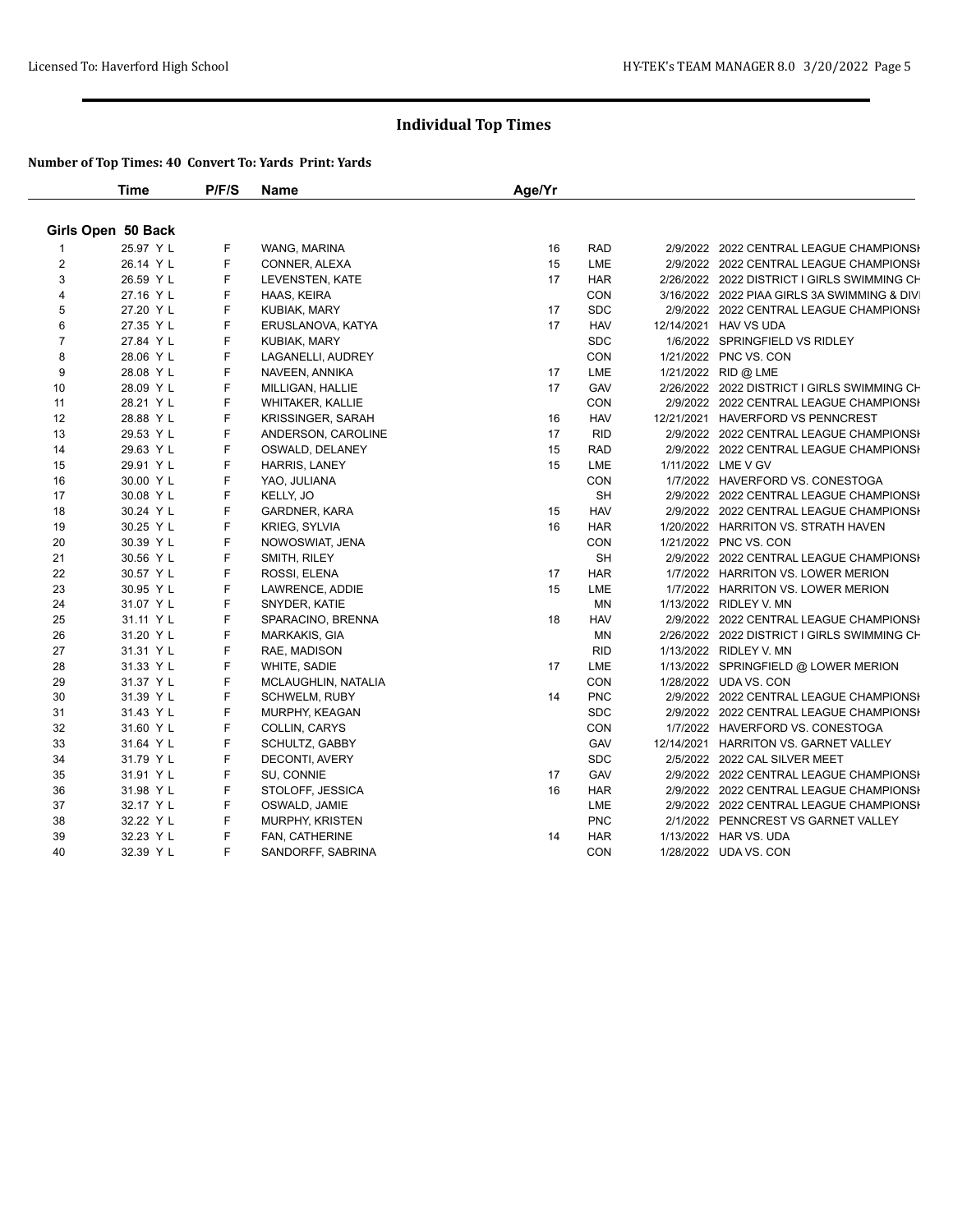|                         | <b>Time</b>        | P/F/S | Name                     | Age/Yr |            |                                             |
|-------------------------|--------------------|-------|--------------------------|--------|------------|---------------------------------------------|
|                         | Girls Open 50 Back |       |                          |        |            |                                             |
|                         | 25.97 Y L          | F     | WANG, MARINA             | 16     | <b>RAD</b> | 2/9/2022 2022 CENTRAL LEAGUE CHAMPIONSH     |
| 2                       | 26.14 Y L          | F     | CONNER, ALEXA            | 15     | LME        | 2/9/2022 2022 CENTRAL LEAGUE CHAMPIONSI     |
| $\mathbf{3}$            | 26.59 Y L          | F     | LEVENSTEN, KATE          | 17     | <b>HAR</b> | 2/26/2022 2022 DISTRICT I GIRLS SWIMMING CH |
| $\overline{\mathbf{4}}$ | 27.16 Y L          | F     | HAAS, KEIRA              |        | CON        | 3/16/2022 2022 PIAA GIRLS 3A SWIMMING & DIV |
| 5                       | 27.20 Y L          | F     | KUBIAK, MARY             | 17     | <b>SDC</b> | 2/9/2022 2022 CENTRAL LEAGUE CHAMPIONSH     |
| 6                       | 27.35 Y L          | F     | ERUSLANOVA, KATYA        | 17     | <b>HAV</b> | 12/14/2021 HAV VS UDA                       |
| $\overline{7}$          | 27.84 Y L          | F     | KUBIAK, MARY             |        | <b>SDC</b> | 1/6/2022 SPRINGFIELD VS RIDLEY              |
| 8                       | 28.06 Y L          | F     | LAGANELLI, AUDREY        |        | CON        | 1/21/2022 PNC VS. CON                       |
| 9                       | 28.08 Y L          | F     | NAVEEN, ANNIKA           | 17     | LME        | 1/21/2022 RID @ LME                         |
| 10                      | 28.09 Y L          | F     | MILLIGAN, HALLIE         | 17     | GAV        | 2/26/2022 2022 DISTRICT I GIRLS SWIMMING CH |
| 11                      | 28.21 Y L          | F     | <b>WHITAKER, KALLIE</b>  |        | <b>CON</b> | 2/9/2022 2022 CENTRAL LEAGUE CHAMPIONSI     |
| 12                      | 28.88 YL           | F     | <b>KRISSINGER, SARAH</b> | 16     | <b>HAV</b> | 12/21/2021 HAVERFORD VS PENNCREST           |
| 13                      | 29.53 Y L          | F     | ANDERSON, CAROLINE       | 17     | <b>RID</b> | 2/9/2022 2022 CENTRAL LEAGUE CHAMPIONSH     |
| 14                      | 29.63 Y L          | F     | OSWALD, DELANEY          | 15     | <b>RAD</b> | 2/9/2022 2022 CENTRAL LEAGUE CHAMPIONSI     |
| 15                      | 29.91 Y L          | F     | HARRIS, LANEY            | 15     | LME        | 1/11/2022 LME V GV                          |
| 16                      | 30.00 Y L          | F     | YAO, JULIANA             |        | CON        | 1/7/2022 HAVERFORD VS. CONESTOGA            |
| 17                      | 30.08 YL           | F     | KELLY, JO                |        | <b>SH</b>  | 2/9/2022 2022 CENTRAL LEAGUE CHAMPIONSI     |
| 18                      | 30.24 Y L          | F     | GARDNER, KARA            | 15     | <b>HAV</b> | 2/9/2022 2022 CENTRAL LEAGUE CHAMPIONSI     |
| 19                      | 30.25 Y L          | F     | <b>KRIEG, SYLVIA</b>     | 16     | <b>HAR</b> | 1/20/2022 HARRITON VS. STRATH HAVEN         |
| 20                      | 30.39 Y L          | F     | NOWOSWIAT, JENA          |        | CON        | 1/21/2022 PNC VS. CON                       |
| 21                      | 30.56 Y L          | F     | SMITH, RILEY             |        | <b>SH</b>  | 2/9/2022 2022 CENTRAL LEAGUE CHAMPIONSI     |
| 22                      | 30.57 Y L          | F     | ROSSI, ELENA             | 17     | <b>HAR</b> | 1/7/2022 HARRITON VS. LOWER MERION          |
| 23                      | 30.95 Y L          | F     | LAWRENCE, ADDIE          | 15     | LME        | 1/7/2022 HARRITON VS. LOWER MERION          |
| 24                      | 31.07 Y L          | F     | SNYDER, KATIE            |        | <b>MN</b>  | 1/13/2022 RIDLEY V. MN                      |
| 25                      | 31.11 Y L          | F     | SPARACINO, BRENNA        | 18     | <b>HAV</b> | 2/9/2022 2022 CENTRAL LEAGUE CHAMPIONSI     |
| 26                      | 31.20 Y L          | F     | MARKAKIS, GIA            |        | ΜN         | 2/26/2022 2022 DISTRICT I GIRLS SWIMMING CH |
| 27                      | 31.31 YL           | F     | RAE, MADISON             |        | <b>RID</b> | 1/13/2022 RIDLEY V. MN                      |
| 28                      | 31.33 Y L          | F     | WHITE, SADIE             | 17     | LME        | 1/13/2022 SPRINGFIELD @ LOWER MERION        |
| 29                      | 31.37 Y L          | F     | MCLAUGHLIN, NATALIA      |        | <b>CON</b> | 1/28/2022 UDA VS. CON                       |
| 30                      | 31.39 Y L          | F     | <b>SCHWELM, RUBY</b>     | 14     | <b>PNC</b> | 2/9/2022 2022 CENTRAL LEAGUE CHAMPIONSI     |
| 31                      | 31.43 Y L          | F     | MURPHY, KEAGAN           |        | <b>SDC</b> | 2/9/2022 2022 CENTRAL LEAGUE CHAMPIONSI     |
| 32                      | 31.60 Y L          | F     | COLLIN, CARYS            |        | CON        | 1/7/2022 HAVERFORD VS. CONESTOGA            |
| 33                      | 31.64 Y L          | F     | SCHULTZ, GABBY           |        | GAV        | 12/14/2021 HARRITON VS. GARNET VALLEY       |
| 34                      | 31.79 Y L          | F     | DECONTI, AVERY           |        | <b>SDC</b> | 2/5/2022 2022 CAL SILVER MEET               |
| 35                      | 31.91 Y L          | F     | SU, CONNIE               | 17     | GAV        | 2/9/2022 2022 CENTRAL LEAGUE CHAMPIONSI     |
| 36                      | 31.98 Y L          | F     | STOLOFF, JESSICA         | 16     | <b>HAR</b> | 2/9/2022 2022 CENTRAL LEAGUE CHAMPIONSH     |
| 37                      | 32.17 Y L          | F     | OSWALD, JAMIE            |        | LME        | 2/9/2022 2022 CENTRAL LEAGUE CHAMPIONSH     |
| 38                      | 32.22 Y L          | F     | <b>MURPHY, KRISTEN</b>   |        | <b>PNC</b> | 2/1/2022 PENNCREST VS GARNET VALLEY         |
| 39                      | 32.23 Y L          | F     | FAN, CATHERINE           | 14     | <b>HAR</b> | 1/13/2022 HAR VS. UDA                       |
| 40                      | 32.39 Y L          | F     | SANDORFF, SABRINA        |        | <b>CON</b> | 1/28/2022 UDA VS. CON                       |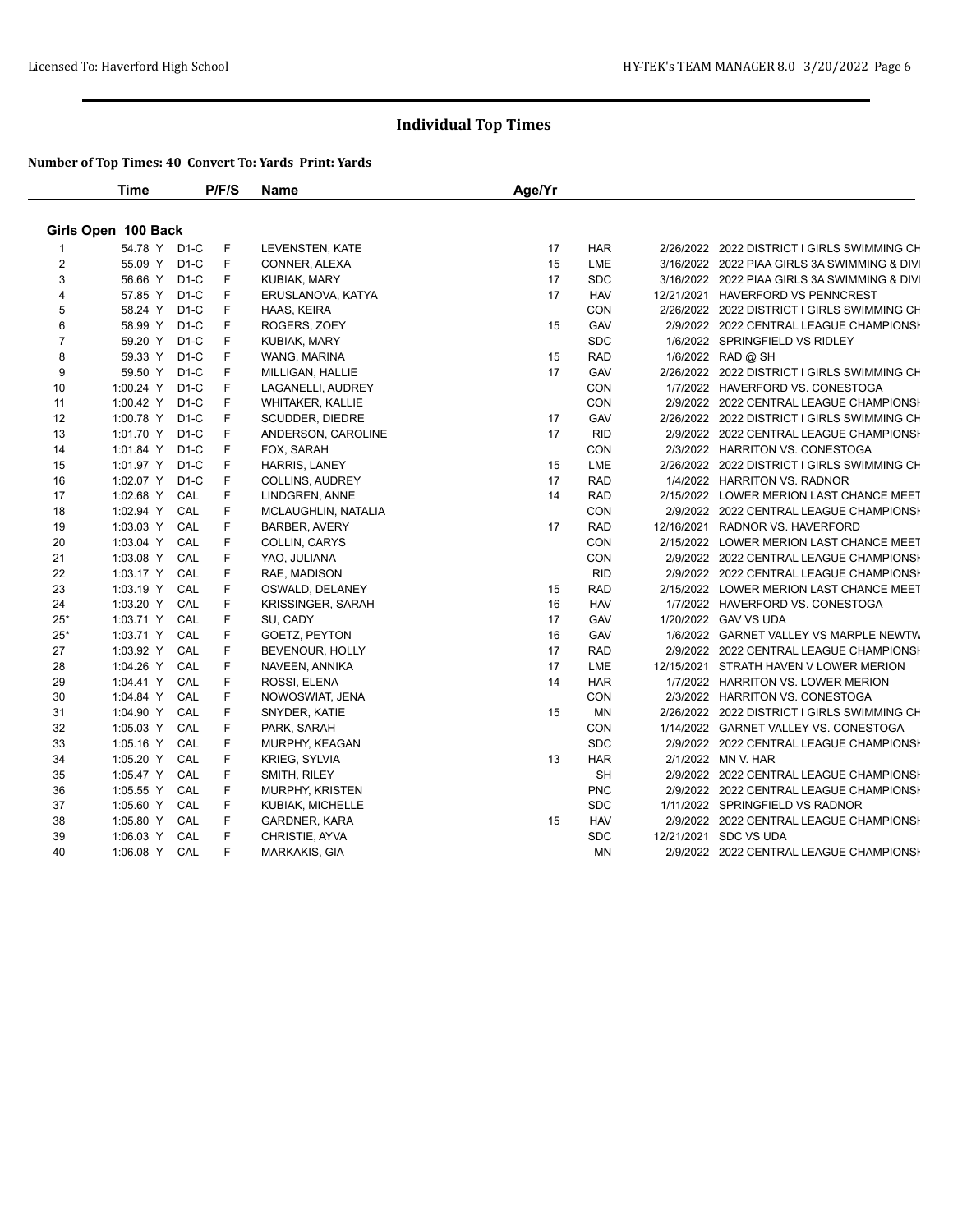|                | <b>Time</b>         |        | P/F/S | <b>Name</b>              | Age/Yr |            |                                             |
|----------------|---------------------|--------|-------|--------------------------|--------|------------|---------------------------------------------|
|                | Girls Open 100 Back |        |       |                          |        |            |                                             |
|                | 54.78 Y D1-C        |        | F     | LEVENSTEN, KATE          | 17     | <b>HAR</b> | 2/26/2022 2022 DISTRICT I GIRLS SWIMMING CH |
| 2              | 55.09 Y             | $D1-C$ | F     | CONNER, ALEXA            | 15     | LME        | 3/16/2022 2022 PIAA GIRLS 3A SWIMMING & DIV |
| 3              | 56.66 Y             | $D1-C$ | F     | <b>KUBIAK, MARY</b>      | 17     | <b>SDC</b> | 3/16/2022 2022 PIAA GIRLS 3A SWIMMING & DIV |
| 4              | 57.85 Y             | $D1-C$ | F     | ERUSLANOVA, KATYA        | 17     | <b>HAV</b> | 12/21/2021 HAVERFORD VS PENNCREST           |
| 5              | 58.24 Y             | $D1-C$ | F     | HAAS, KEIRA              |        | CON        | 2/26/2022 2022 DISTRICT I GIRLS SWIMMING CH |
| 6              | 58.99 Y             | $D1-C$ | F     | ROGERS, ZOEY             | 15     | GAV        | 2/9/2022 2022 CENTRAL LEAGUE CHAMPIONSH     |
| $\overline{7}$ | 59.20 Y             | $D1-C$ | F     | KUBIAK, MARY             |        | <b>SDC</b> | 1/6/2022 SPRINGFIELD VS RIDLEY              |
| 8              | 59.33 Y             | $D1-C$ | F     | WANG, MARINA             | 15     | <b>RAD</b> | 1/6/2022 RAD @ SH                           |
| 9              | 59.50 Y             | $D1-C$ | F     | MILLIGAN, HALLIE         | 17     | GAV        | 2/26/2022 2022 DISTRICT I GIRLS SWIMMING CH |
| 10             | 1:00.24 Y           | $D1-C$ | F     | LAGANELLI, AUDREY        |        | CON        | 1/7/2022 HAVERFORD VS. CONESTOGA            |
| 11             | 1:00.42 Y           | $D1-C$ | F     | <b>WHITAKER, KALLIE</b>  |        | CON        | 2/9/2022 2022 CENTRAL LEAGUE CHAMPIONSH     |
| 12             | 1:00.78 Y           | $D1-C$ | F     | SCUDDER, DIEDRE          | 17     | GAV        | 2/26/2022 2022 DISTRICT I GIRLS SWIMMING CH |
| 13             | 1:01.70 Y           | $D1-C$ | F     | ANDERSON, CAROLINE       | 17     | <b>RID</b> | 2/9/2022 2022 CENTRAL LEAGUE CHAMPIONSH     |
| 14             | 1:01.84 Y           | $D1-C$ | F     | FOX, SARAH               |        | CON        | 2/3/2022 HARRITON VS. CONESTOGA             |
| 15             | 1:01.97 Y           | $D1-C$ | F     | HARRIS, LANEY            | 15     | LME        | 2/26/2022 2022 DISTRICT I GIRLS SWIMMING CH |
| 16             | 1:02.07 Y           | $D1-C$ | F     | <b>COLLINS, AUDREY</b>   | 17     | <b>RAD</b> | 1/4/2022 HARRITON VS. RADNOR                |
| 17             | 1:02.68 Y           | CAL    | F     | LINDGREN, ANNE           | 14     | <b>RAD</b> | 2/15/2022 LOWER MERION LAST CHANCE MEET     |
| 18             | 1:02.94 Y           | CAL    | F     | MCLAUGHLIN, NATALIA      |        | CON        | 2/9/2022 2022 CENTRAL LEAGUE CHAMPIONSH     |
| 19             | 1:03.03 Y           | CAL    | F     | <b>BARBER, AVERY</b>     | 17     | <b>RAD</b> | 12/16/2021 RADNOR VS. HAVERFORD             |
| 20             | 1:03.04 Y           | CAL    | F     | <b>COLLIN, CARYS</b>     |        | <b>CON</b> | 2/15/2022 LOWER MERION LAST CHANCE MEET     |
| 21             | 1:03.08 Y           | CAL    | F     | YAO, JULIANA             |        | <b>CON</b> | 2/9/2022 2022 CENTRAL LEAGUE CHAMPIONSH     |
| 22             | 1:03.17 Y           | CAL    | F     | RAE, MADISON             |        | <b>RID</b> | 2/9/2022 2022 CENTRAL LEAGUE CHAMPIONSH     |
| 23             | 1:03.19 Y           | CAL    | F     | OSWALD, DELANEY          | 15     | <b>RAD</b> | 2/15/2022 LOWER MERION LAST CHANCE MEET     |
| 24             | 1:03.20 Y           | CAL    | F     | <b>KRISSINGER, SARAH</b> | 16     | <b>HAV</b> | 1/7/2022 HAVERFORD VS. CONESTOGA            |
| $25*$          | 1:03.71 Y           | CAL    | F     | SU, CADY                 | 17     | GAV        | 1/20/2022 GAV VS UDA                        |
| $25*$          | 1:03.71 Y           | CAL    | F     | GOETZ, PEYTON            | 16     | GAV        | 1/6/2022 GARNET VALLEY VS MARPLE NEWTW      |
| 27             | 1:03.92 Y           | CAL    | F     | BEVENOUR, HOLLY          | 17     | <b>RAD</b> | 2/9/2022 2022 CENTRAL LEAGUE CHAMPIONSI     |
| 28             | 1:04.26 Y           | CAL    | F     | NAVEEN, ANNIKA           | 17     | LME        | 12/15/2021 STRATH HAVEN V LOWER MERION      |
| 29             | 1:04.41 Y           | CAL    | F     | ROSSI, ELENA             | 14     | <b>HAR</b> | 1/7/2022 HARRITON VS. LOWER MERION          |
| 30             | 1:04.84 Y           | CAL    | F     | NOWOSWIAT, JENA          |        | <b>CON</b> | 2/3/2022 HARRITON VS. CONESTOGA             |
| 31             | 1:04.90 Y           | CAL    | F     | SNYDER, KATIE            | 15     | <b>MN</b>  | 2/26/2022 2022 DISTRICT I GIRLS SWIMMING CH |
| 32             | 1:05.03 Y           | CAL    | F     | PARK, SARAH              |        | CON        | 1/14/2022 GARNET VALLEY VS. CONESTOGA       |
| 33             | 1:05.16 Y           | CAL    | F     | MURPHY, KEAGAN           |        | <b>SDC</b> | 2/9/2022 2022 CENTRAL LEAGUE CHAMPIONSI     |
| 34             | 1:05.20 Y           | CAL    | F     | <b>KRIEG, SYLVIA</b>     | 13     | <b>HAR</b> | 2/1/2022 MN V. HAR                          |
| 35             | 1:05.47 Y           | CAL    | F     | SMITH, RILEY             |        | <b>SH</b>  | 2/9/2022 2022 CENTRAL LEAGUE CHAMPIONSH     |
| 36             | 1:05.55 Y           | CAL    | F     | MURPHY, KRISTEN          |        | <b>PNC</b> | 2/9/2022 2022 CENTRAL LEAGUE CHAMPIONSH     |
| 37             | 1:05.60 Y           | CAL    | F     | KUBIAK, MICHELLE         |        | <b>SDC</b> | 1/11/2022 SPRINGFIELD VS RADNOR             |
| 38             | 1:05.80 Y           | CAL    | F     | <b>GARDNER, KARA</b>     | 15     | <b>HAV</b> | 2/9/2022 2022 CENTRAL LEAGUE CHAMPIONSI     |
| 39             | 1:06.03 Y           | CAL    | F     | CHRISTIE, AYVA           |        | <b>SDC</b> | 12/21/2021 SDC VS UDA                       |
| 40             | 1:06.08 Y           | CAL    | F     | MARKAKIS, GIA            |        | <b>MN</b>  | 2/9/2022 2022 CENTRAL LEAGUE CHAMPIONSI     |
|                |                     |        |       |                          |        |            |                                             |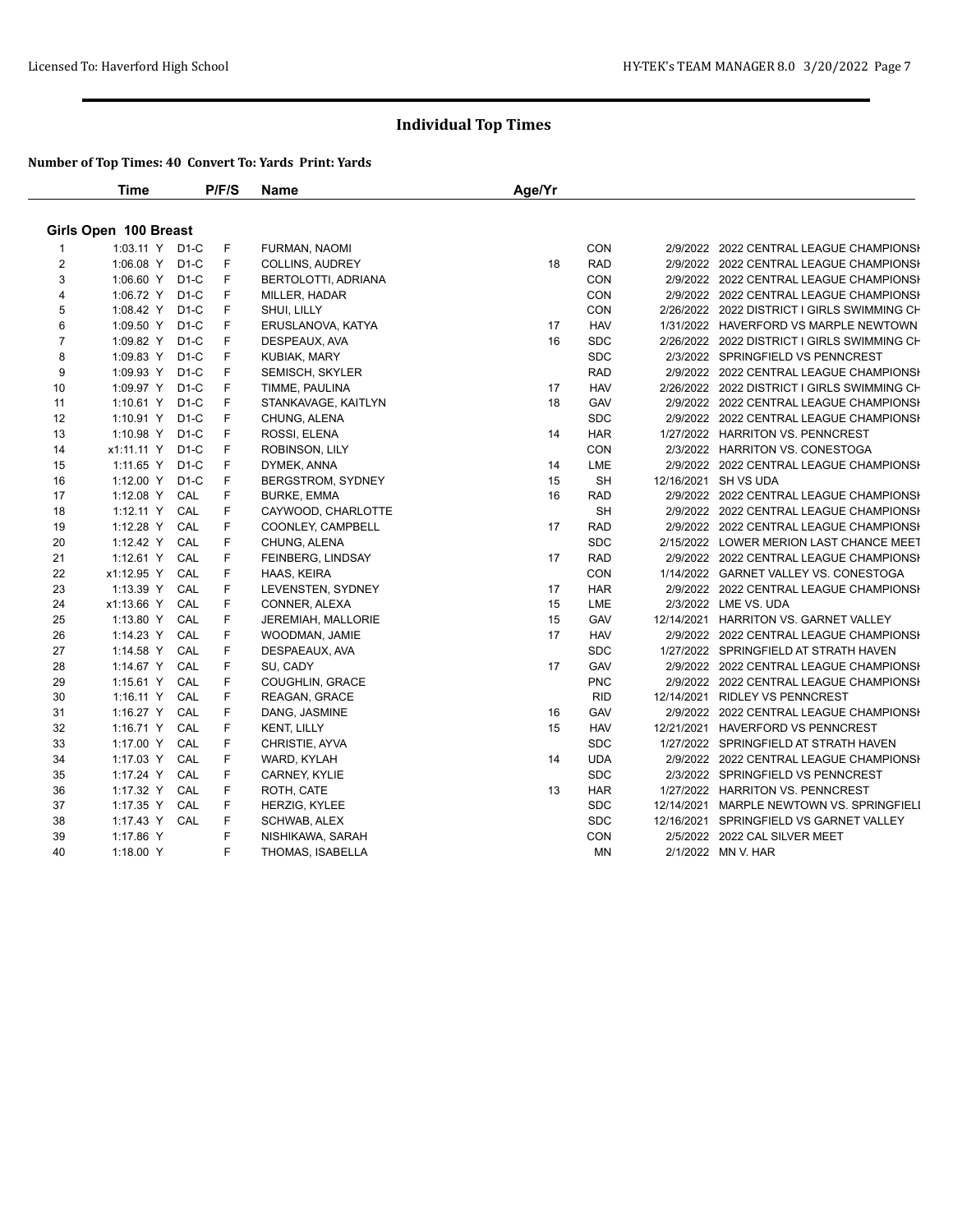|                         | <b>Time</b>           |        | P/F/S | Name                 | Age/Yr |            |                                             |
|-------------------------|-----------------------|--------|-------|----------------------|--------|------------|---------------------------------------------|
|                         | Girls Open 100 Breast |        |       |                      |        |            |                                             |
|                         | 1:03.11 Y D1-C        |        | F     | FURMAN, NAOMI        |        | <b>CON</b> | 2/9/2022 2022 CENTRAL LEAGUE CHAMPIONSI     |
| $\overline{2}$          | 1:06.08 Y             | $D1-C$ | F     | COLLINS, AUDREY      | 18     | <b>RAD</b> | 2/9/2022 2022 CENTRAL LEAGUE CHAMPIONSH     |
| 3                       | 1:06.60 Y             | $D1-C$ | F     | BERTOLOTTI, ADRIANA  |        | CON        | 2/9/2022 2022 CENTRAL LEAGUE CHAMPIONSI     |
| $\overline{\mathbf{4}}$ | 1:06.72 Y             | $D1-C$ | F     | MILLER, HADAR        |        | CON        | 2/9/2022 2022 CENTRAL LEAGUE CHAMPIONSH     |
| 5                       | 1:08.42 Y             | $D1-C$ | F     | SHUI, LILLY          |        | CON        | 2/26/2022 2022 DISTRICT I GIRLS SWIMMING CH |
| 6                       | 1:09.50 Y             | $D1-C$ | F     | ERUSLANOVA, KATYA    | 17     | <b>HAV</b> | 1/31/2022 HAVERFORD VS MARPLE NEWTOWN       |
| $\overline{7}$          | 1:09.82 Y             | $D1-C$ | F     | DESPEAUX, AVA        | 16     | <b>SDC</b> | 2/26/2022 2022 DISTRICT I GIRLS SWIMMING CH |
| 8                       | 1:09.83 Y             | $D1-C$ | F     | <b>KUBIAK, MARY</b>  |        | <b>SDC</b> | 2/3/2022 SPRINGFIELD VS PENNCREST           |
| 9                       | 1:09.93 Y             | $D1-C$ | F     | SEMISCH, SKYLER      |        | <b>RAD</b> | 2/9/2022 2022 CENTRAL LEAGUE CHAMPIONSH     |
| 10                      | 1:09.97 Y             | $D1-C$ | F     | TIMME, PAULINA       | 17     | <b>HAV</b> | 2/26/2022 2022 DISTRICT I GIRLS SWIMMING CH |
| 11                      | 1:10.61 Y             | $D1-C$ | F     | STANKAVAGE, KAITLYN  | 18     | GAV        | 2/9/2022 2022 CENTRAL LEAGUE CHAMPIONSH     |
| 12                      | 1:10.91 Y             | $D1-C$ | F     | CHUNG, ALENA         |        | <b>SDC</b> | 2/9/2022 2022 CENTRAL LEAGUE CHAMPIONSI     |
| 13                      | 1:10.98 Y             | $D1-C$ | F     | ROSSI, ELENA         | 14     | <b>HAR</b> | 1/27/2022 HARRITON VS. PENNCREST            |
| 14                      | x1:11.11 Y            | $D1-C$ | F     | ROBINSON, LILY       |        | CON        | 2/3/2022 HARRITON VS. CONESTOGA             |
| 15                      | $1:11.65$ Y           | $D1-C$ | F     | DYMEK, ANNA          | 14     | LME        | 2/9/2022 2022 CENTRAL LEAGUE CHAMPIONSI     |
| 16                      | 1:12.00 Y             | $D1-C$ | F     | BERGSTROM, SYDNEY    | 15     | <b>SH</b>  | 12/16/2021 SH VS UDA                        |
| 17                      | 1:12.08 Y             | CAL    | F     | <b>BURKE, EMMA</b>   | 16     | <b>RAD</b> | 2/9/2022 2022 CENTRAL LEAGUE CHAMPIONSH     |
| 18                      | $1:12.11$ Y           | CAL    | F     | CAYWOOD, CHARLOTTE   |        | <b>SH</b>  | 2/9/2022 2022 CENTRAL LEAGUE CHAMPIONSI     |
| 19                      | 1:12.28 Y             | CAL    | F     | COONLEY, CAMPBELL    | 17     | <b>RAD</b> | 2/9/2022 2022 CENTRAL LEAGUE CHAMPIONSI     |
| 20                      | 1:12.42 Y             | CAL    | F     | CHUNG, ALENA         |        | <b>SDC</b> | 2/15/2022 LOWER MERION LAST CHANCE MEET     |
| 21                      | 1:12.61 Y             | CAL    | F     | FEINBERG, LINDSAY    | 17     | <b>RAD</b> | 2/9/2022 2022 CENTRAL LEAGUE CHAMPIONSI     |
| 22                      | x1:12.95 Y            | CAL    | F     | HAAS, KEIRA          |        | <b>CON</b> | 1/14/2022 GARNET VALLEY VS. CONESTOGA       |
| 23                      | 1:13.39 Y             | CAL    | F     | LEVENSTEN, SYDNEY    | 17     | <b>HAR</b> | 2/9/2022 2022 CENTRAL LEAGUE CHAMPIONSH     |
| 24                      | x1:13.66 Y            | CAL    | F     | CONNER, ALEXA        | 15     | LME        | 2/3/2022 LME VS. UDA                        |
| 25                      | 1:13.80 Y             | CAL    | F     | JEREMIAH, MALLORIE   | 15     | GAV        | 12/14/2021 HARRITON VS. GARNET VALLEY       |
| 26                      | 1:14.23 Y             | CAL    | F     | WOODMAN, JAMIE       | 17     | <b>HAV</b> | 2/9/2022 2022 CENTRAL LEAGUE CHAMPIONSH     |
| 27                      | 1:14.58 Y             | CAL    | F     | DESPAEAUX, AVA       |        | <b>SDC</b> | 1/27/2022 SPRINGFIELD AT STRATH HAVEN       |
| 28                      | 1:14.67 Y             | CAL    | F     | SU, CADY             | 17     | GAV        | 2/9/2022 2022 CENTRAL LEAGUE CHAMPIONSH     |
| 29                      | $1:15.61$ Y           | CAL    | F     | COUGHLIN, GRACE      |        | <b>PNC</b> | 2/9/2022 2022 CENTRAL LEAGUE CHAMPIONSH     |
| 30                      | 1:16.11 $Y$           | CAL    | F     | REAGAN, GRACE        |        | <b>RID</b> | 12/14/2021 RIDLEY VS PENNCREST              |
| 31                      | 1:16.27 $Y$           | CAL    | F     | DANG, JASMINE        | 16     | GAV        | 2/9/2022 2022 CENTRAL LEAGUE CHAMPIONSI     |
| 32                      | 1:16.71 Y             | CAL    | F     | <b>KENT, LILLY</b>   | 15     | <b>HAV</b> | 12/21/2021 HAVERFORD VS PENNCREST           |
| 33                      | 1:17.00 Y             | CAL    | F     | CHRISTIE, AYVA       |        | <b>SDC</b> | 1/27/2022 SPRINGFIELD AT STRATH HAVEN       |
| 34                      | 1:17.03 Y             | CAL    | F     | WARD, KYLAH          | 14     | <b>UDA</b> | 2/9/2022 2022 CENTRAL LEAGUE CHAMPIONSI     |
| 35                      | 1:17.24 Y             | CAL    | F     | CARNEY, KYLIE        |        | <b>SDC</b> | 2/3/2022 SPRINGFIELD VS PENNCREST           |
| 36                      | 1:17.32 Y CAL         |        | F     | ROTH, CATE           | 13     | <b>HAR</b> | 1/27/2022 HARRITON VS. PENNCREST            |
| 37                      | 1:17.35 Y             | CAL    | F     | <b>HERZIG, KYLEE</b> |        | <b>SDC</b> | 12/14/2021 MARPLE NEWTOWN VS. SPRINGFIELI   |
| 38                      | 1:17.43 Y             | CAL    | F     | <b>SCHWAB, ALEX</b>  |        | <b>SDC</b> | 12/16/2021 SPRINGFIELD VS GARNET VALLEY     |
| 39                      | 1:17.86 Y             |        | F     | NISHIKAWA, SARAH     |        | <b>CON</b> | 2/5/2022 2022 CAL SILVER MEET               |
| 40                      | 1:18.00 Y             |        | F     | THOMAS, ISABELLA     |        | MN         | 2/1/2022 MN V. HAR                          |
|                         |                       |        |       |                      |        |            |                                             |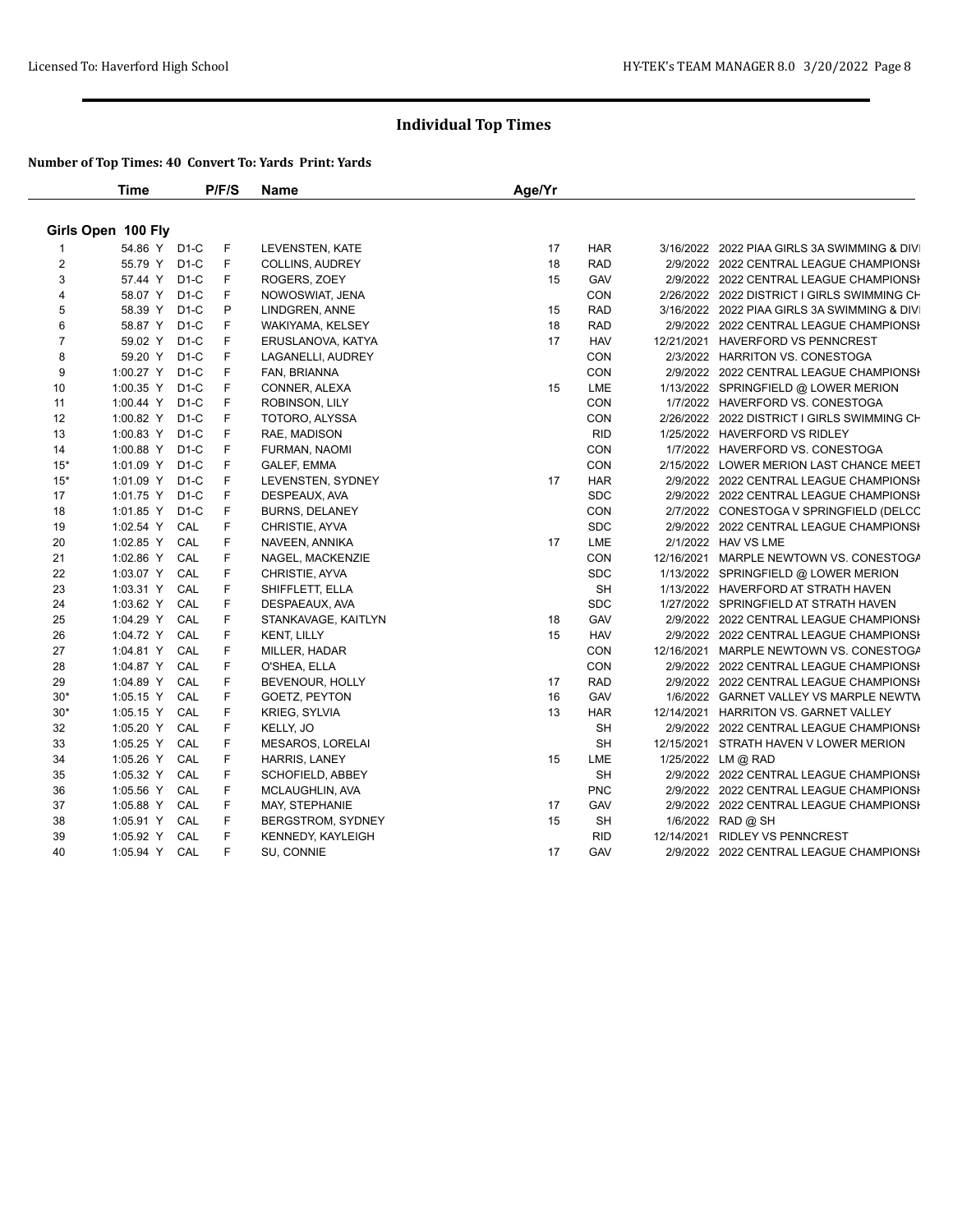|                | <b>Time</b>            |                   | P/F/S | Name                             | Age/Yr |                          |                                                                                   |
|----------------|------------------------|-------------------|-------|----------------------------------|--------|--------------------------|-----------------------------------------------------------------------------------|
|                | Girls Open 100 Fly     |                   |       |                                  |        |                          |                                                                                   |
|                | 54.86 Y D1-C           |                   | F     | LEVENSTEN, KATE                  | 17     | <b>HAR</b>               | 3/16/2022 2022 PIAA GIRLS 3A SWIMMING & DIV                                       |
| $\overline{2}$ | 55.79 Y                | D <sub>1</sub> -C | F     | COLLINS, AUDREY                  | 18     | <b>RAD</b>               | 2/9/2022 2022 CENTRAL LEAGUE CHAMPIONSH                                           |
| 3              | 57.44 Y                | $D1-C$            | F     | ROGERS, ZOEY                     | 15     | GAV                      | 2/9/2022 2022 CENTRAL LEAGUE CHAMPIONSH                                           |
| $\overline{4}$ | 58.07 Y                | $D1-C$            | F     | NOWOSWIAT, JENA                  |        | CON                      | 2/26/2022 2022 DISTRICT I GIRLS SWIMMING CH                                       |
| 5              | 58.39 Y                | $D1-C$            | P     | LINDGREN, ANNE                   | 15     | <b>RAD</b>               | 3/16/2022 2022 PIAA GIRLS 3A SWIMMING & DIV                                       |
| 6              | 58.87 Y                | $D1-C$            | F     | WAKIYAMA, KELSEY                 | 18     | <b>RAD</b>               | 2/9/2022 2022 CENTRAL LEAGUE CHAMPIONSH                                           |
| $\overline{7}$ | 59.02 Y                | $D1-C$            | F     | ERUSLANOVA, KATYA                | 17     | <b>HAV</b>               | 12/21/2021 HAVERFORD VS PENNCREST                                                 |
| 8              | 59.20 Y                | $D1-C$            | F     | LAGANELLI, AUDREY                |        | <b>CON</b>               | 2/3/2022 HARRITON VS. CONESTOGA                                                   |
| 9              | 1:00.27 Y              | $D1-C$            | F     | FAN, BRIANNA                     |        | CON                      | 2/9/2022 2022 CENTRAL LEAGUE CHAMPIONSI                                           |
| 10             | 1:00.35 Y              | $D1-C$            | F     | CONNER, ALEXA                    | 15     | LME                      | 1/13/2022 SPRINGFIELD @ LOWER MERION                                              |
| 11             | 1:00.44 Y              | $D1-C$            | F     | ROBINSON, LILY                   |        | CON                      | 1/7/2022 HAVERFORD VS. CONESTOGA                                                  |
| 12             | 1:00.82 Y              | $D1-C$            | F     | TOTORO, ALYSSA                   |        | CON                      | 2/26/2022 2022 DISTRICT I GIRLS SWIMMING CH                                       |
| 13             | 1:00.83 Y              | $D1-C$            | F     | RAE, MADISON                     |        | <b>RID</b>               | 1/25/2022 HAVERFORD VS RIDLEY                                                     |
| 14             | 1:00.88 Y              | $D1-C$            | F     | FURMAN, NAOMI                    |        | <b>CON</b>               | 1/7/2022 HAVERFORD VS. CONESTOGA                                                  |
| $15*$          | 1:01.09 Y              | $D1-C$            | F     | GALEF, EMMA                      |        | CON                      | 2/15/2022 LOWER MERION LAST CHANCE MEET                                           |
| $15*$          | 1:01.09 Y              | $D1-C$            | F     | LEVENSTEN, SYDNEY                | 17     | <b>HAR</b>               | 2/9/2022 2022 CENTRAL LEAGUE CHAMPIONSH                                           |
| 17             | 1:01.75 Y              | $D1-C$            | F     | DESPEAUX, AVA                    |        | <b>SDC</b>               | 2/9/2022 2022 CENTRAL LEAGUE CHAMPIONSH                                           |
| 18             | 1:01.85 Y              | $D1-C$            | F     | BURNS, DELANEY                   |        | CON                      | 2/7/2022 CONESTOGA V SPRINGFIELD (DELCC                                           |
| 19             | 1:02.54 Y              | CAL               | F     | CHRISTIE, AYVA                   |        | <b>SDC</b>               | 2/9/2022 2022 CENTRAL LEAGUE CHAMPIONSH                                           |
| 20             | 1:02.85 Y              | CAL               | F     | NAVEEN, ANNIKA                   | 17     | LME                      | 2/1/2022 HAV VS LME                                                               |
| 21             | 1:02.86 Y              | CAL               | F     | NAGEL, MACKENZIE                 |        | CON                      | 12/16/2021 MARPLE NEWTOWN VS. CONESTOGA                                           |
| 22             | 1:03.07 Y              | CAL               | F     | CHRISTIE, AYVA                   |        | <b>SDC</b>               | 1/13/2022 SPRINGFIELD @ LOWER MERION                                              |
| 23             | 1:03.31 Y              | CAL               | F     | SHIFFLETT, ELLA                  |        | SH                       | 1/13/2022 HAVERFORD AT STRATH HAVEN                                               |
| 24             | 1:03.62 Y              | CAL               | F     | DESPAEAUX, AVA                   |        | <b>SDC</b>               | 1/27/2022 SPRINGFIELD AT STRATH HAVEN                                             |
| 25             | 1:04.29 Y              | CAL               | F     | STANKAVAGE, KAITLYN              | 18     | GAV                      | 2/9/2022 2022 CENTRAL LEAGUE CHAMPIONSH                                           |
| 26             | 1:04.72 Y              | CAL               | F     | <b>KENT, LILLY</b>               | 15     | <b>HAV</b>               | 2/9/2022 2022 CENTRAL LEAGUE CHAMPIONSH                                           |
| 27             |                        | CAL               | F     |                                  |        |                          |                                                                                   |
| 28             | 1:04.81 Y<br>1:04.87 Y | CAL               | F     | MILLER, HADAR                    |        | <b>CON</b><br><b>CON</b> | 12/16/2021 MARPLE NEWTOWN VS. CONESTOGA                                           |
|                |                        |                   | F     | O'SHEA, ELLA                     | 17     | <b>RAD</b>               | 2/9/2022 2022 CENTRAL LEAGUE CHAMPIONSH                                           |
| 29<br>$30*$    | 1:04.89 Y<br>1:05.15 Y | CAL<br>CAL        | F     | BEVENOUR, HOLLY<br>GOETZ, PEYTON | 16     | GAV                      | 2/9/2022 2022 CENTRAL LEAGUE CHAMPIONSH<br>1/6/2022 GARNET VALLEY VS MARPLE NEWTW |
| $30*$          |                        | CAL               | F     |                                  | 13     | <b>HAR</b>               |                                                                                   |
| 32             | 1:05.15 Y              |                   | F     | KRIEG, SYLVIA                    |        | <b>SH</b>                | 12/14/2021 HARRITON VS. GARNET VALLEY                                             |
|                | 1:05.20 Y              | CAL               |       | KELLY, JO                        |        |                          | 2/9/2022 2022 CENTRAL LEAGUE CHAMPIONSH                                           |
| 33             | 1:05.25 Y              | CAL               | F     | <b>MESAROS, LORELAI</b>          |        | <b>SH</b>                | 12/15/2021 STRATH HAVEN V LOWER MERION                                            |
| 34             | 1:05.26 Y              | CAL               | F     | <b>HARRIS, LANEY</b>             | 15     | <b>LME</b>               | 1/25/2022 LM @ RAD                                                                |
| 35             | 1:05.32 Y              | CAL               | F     | SCHOFIELD, ABBEY                 |        | SH                       | 2/9/2022 2022 CENTRAL LEAGUE CHAMPIONSH                                           |
| 36             | 1:05.56 Y              | CAL               | F     | MCLAUGHLIN, AVA                  |        | <b>PNC</b>               | 2/9/2022 2022 CENTRAL LEAGUE CHAMPIONSH                                           |
| 37             | 1:05.88 Y              | CAL               | F     | MAY, STEPHANIE                   | 17     | GAV                      | 2/9/2022 2022 CENTRAL LEAGUE CHAMPIONSH                                           |
| 38             | 1:05.91 Y              | CAL               | F     | BERGSTROM, SYDNEY                | 15     | <b>SH</b>                | 1/6/2022 RAD @ SH                                                                 |
| 39             | 1:05.92 Y              | CAL               | F     | KENNEDY, KAYLEIGH                |        | <b>RID</b>               | 12/14/2021 RIDLEY VS PENNCREST                                                    |
| 40             | 1:05.94 Y              | CAL               | F     | SU, CONNIE                       | 17     | GAV                      | 2/9/2022 2022 CENTRAL LEAGUE CHAMPIONSH                                           |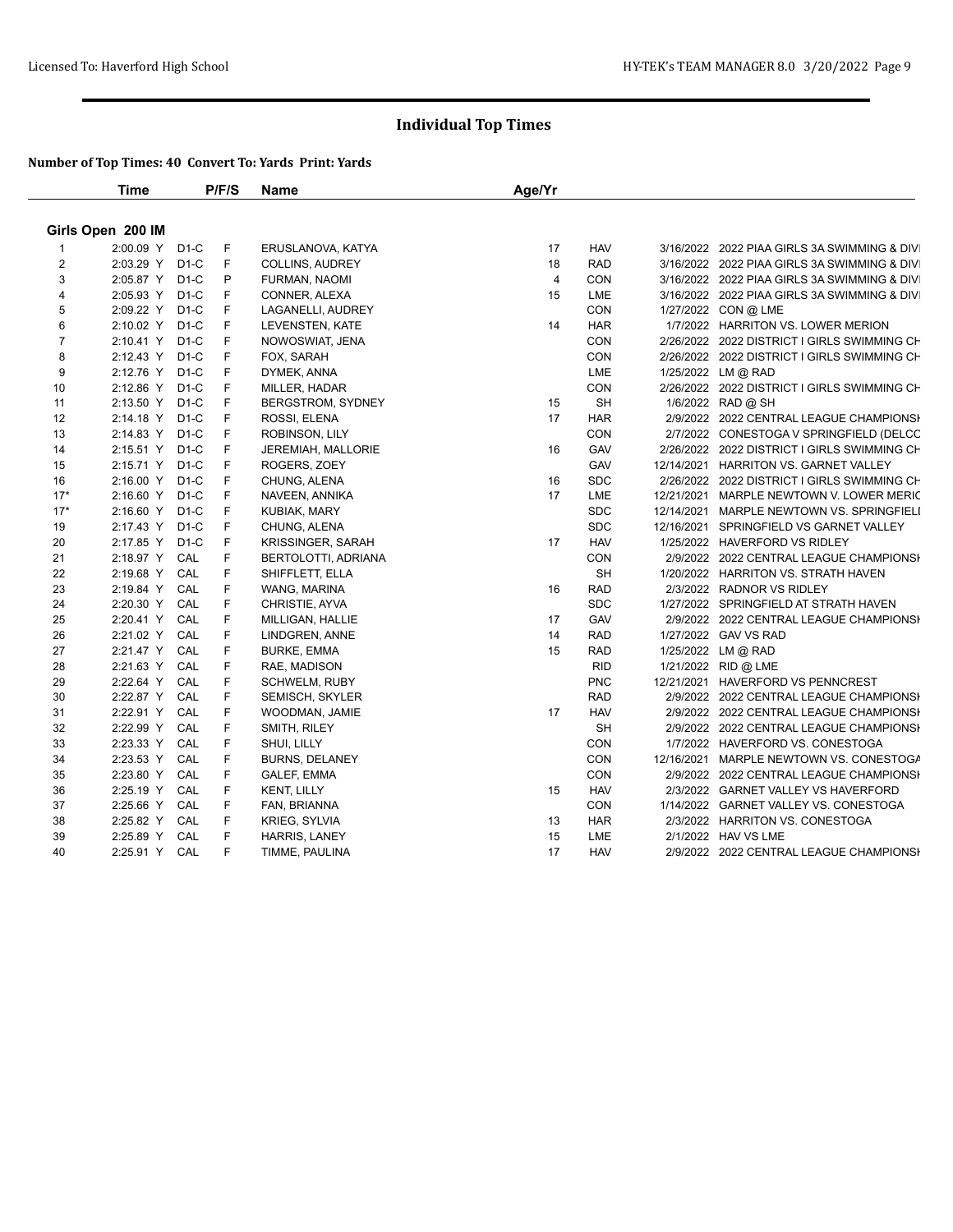|                | <b>Time</b>       |        | P/F/S | Name                     | Age/Yr         |            |                                             |
|----------------|-------------------|--------|-------|--------------------------|----------------|------------|---------------------------------------------|
|                | Girls Open 200 IM |        |       |                          |                |            |                                             |
|                | 2:00.09 Y         | $D1-C$ | F     | ERUSLANOVA, KATYA        | 17             | <b>HAV</b> | 3/16/2022 2022 PIAA GIRLS 3A SWIMMING & DIV |
| $\overline{2}$ | 2:03.29 Y         | $D1-C$ | F     | COLLINS, AUDREY          | 18             | <b>RAD</b> | 3/16/2022 2022 PIAA GIRLS 3A SWIMMING & DIV |
| 3              | 2:05.87 Y         | $D1-C$ | P     | FURMAN, NAOMI            | $\overline{4}$ | CON        | 3/16/2022 2022 PIAA GIRLS 3A SWIMMING & DIV |
| 4              | 2:05.93 Y         | $D1-C$ | F     | CONNER, ALEXA            | 15             | LME        | 3/16/2022 2022 PIAA GIRLS 3A SWIMMING & DIV |
| 5              | 2:09.22 Y         | $D1-C$ | F     | LAGANELLI, AUDREY        |                | CON        | 1/27/2022 CON @ LME                         |
| 6              | 2:10.02 Y         | $D1-C$ | F     | LEVENSTEN, KATE          | 14             | <b>HAR</b> | 1/7/2022 HARRITON VS. LOWER MERION          |
| $\overline{7}$ | 2:10.41 Y         | $D1-C$ | F     | NOWOSWIAT, JENA          |                | CON        | 2/26/2022 2022 DISTRICT I GIRLS SWIMMING CH |
| 8              | 2:12.43 Y         | $D1-C$ | F     | FOX, SARAH               |                | CON        | 2/26/2022 2022 DISTRICT I GIRLS SWIMMING CH |
| 9              | 2:12.76 Y         | $D1-C$ | F     | DYMEK, ANNA              |                | LME        | 1/25/2022 LM @ RAD                          |
| 10             | 2:12.86 Y         | $D1-C$ | F     | MILLER, HADAR            |                | CON        | 2/26/2022 2022 DISTRICT I GIRLS SWIMMING CH |
| 11             | 2:13.50 Y         | $D1-C$ | F     | BERGSTROM, SYDNEY        | 15             | <b>SH</b>  | 1/6/2022 RAD @ SH                           |
| 12             | 2:14.18 Y         | $D1-C$ | F     | ROSSI, ELENA             | 17             | <b>HAR</b> | 2/9/2022 2022 CENTRAL LEAGUE CHAMPIONSH     |
| 13             | 2:14.83 Y         | $D1-C$ | F     | ROBINSON, LILY           |                | CON        | 2/7/2022 CONESTOGA V SPRINGFIELD (DELCC     |
| 14             | 2:15.51 Y         | $D1-C$ | F     | JEREMIAH, MALLORIE       | 16             | GAV        | 2/26/2022 2022 DISTRICT I GIRLS SWIMMING CH |
| 15             | 2:15.71 Y         | $D1-C$ | F     | ROGERS, ZOEY             |                | GAV        | 12/14/2021 HARRITON VS. GARNET VALLEY       |
| 16             | 2:16.00 Y         | $D1-C$ | F     | CHUNG, ALENA             | 16             | <b>SDC</b> | 2/26/2022 2022 DISTRICT I GIRLS SWIMMING CH |
| $17*$          | 2:16.60 Y         | $D1-C$ | F     | NAVEEN, ANNIKA           | 17             | LME        | 12/21/2021 MARPLE NEWTOWN V. LOWER MERIC    |
| $17*$          | 2:16.60 Y         | $D1-C$ | F     | KUBIAK, MARY             |                | <b>SDC</b> | 12/14/2021 MARPLE NEWTOWN VS. SPRINGFIELI   |
| 19             | 2:17.43 Y         | $D1-C$ | F     | CHUNG, ALENA             |                | <b>SDC</b> | 12/16/2021 SPRINGFIELD VS GARNET VALLEY     |
| 20             | 2:17.85 Y         | $D1-C$ | F     | <b>KRISSINGER, SARAH</b> | 17             | <b>HAV</b> | 1/25/2022 HAVERFORD VS RIDLEY               |
| 21             | 2:18.97 Y         | CAL    | F     | BERTOLOTTI, ADRIANA      |                | <b>CON</b> | 2/9/2022 2022 CENTRAL LEAGUE CHAMPIONSH     |
| 22             | 2:19.68 Y         | CAL    | F     | SHIFFLETT, ELLA          |                | <b>SH</b>  | 1/20/2022 HARRITON VS. STRATH HAVEN         |
| 23             | 2:19.84 Y         | CAL    | F     | WANG, MARINA             | 16             | <b>RAD</b> | 2/3/2022 RADNOR VS RIDLEY                   |
| 24             | 2:20.30 Y         | CAL    | F     | CHRISTIE, AYVA           |                | <b>SDC</b> | 1/27/2022 SPRINGFIELD AT STRATH HAVEN       |
| 25             | 2:20.41 Y         | CAL    | F     | MILLIGAN, HALLIE         | 17             | GAV        | 2/9/2022 2022 CENTRAL LEAGUE CHAMPIONSI     |
| 26             | 2:21.02 Y         | CAL    | F     | LINDGREN, ANNE           | 14             | <b>RAD</b> | 1/27/2022 GAV VS RAD                        |
| 27             | 2:21.47 Y         | CAL    | F     | <b>BURKE, EMMA</b>       | 15             | <b>RAD</b> | 1/25/2022 LM @ RAD                          |
| 28             | 2:21.63 Y         | CAL    | F     | RAE, MADISON             |                | <b>RID</b> | 1/21/2022 RID @ LME                         |
| 29             | 2:22.64 Y         | CAL    | F     | <b>SCHWELM, RUBY</b>     |                | <b>PNC</b> | 12/21/2021 HAVERFORD VS PENNCREST           |
| 30             | 2:22.87 Y         | CAL    | F     | SEMISCH, SKYLER          |                | <b>RAD</b> | 2/9/2022 2022 CENTRAL LEAGUE CHAMPIONSI     |
| 31             | 2:22.91 Y         | CAL    | F     | WOODMAN, JAMIE           | 17             | <b>HAV</b> | 2/9/2022 2022 CENTRAL LEAGUE CHAMPIONSH     |
| 32             | 2:22.99 Y         | CAL    | F     | SMITH, RILEY             |                | <b>SH</b>  | 2/9/2022 2022 CENTRAL LEAGUE CHAMPIONSI     |
| 33             | 2:23.33 Y         | CAL    | F     | SHUI, LILLY              |                | CON        | 1/7/2022 HAVERFORD VS. CONESTOGA            |
| 34             | 2:23.53 Y         | CAL    | F     | <b>BURNS, DELANEY</b>    |                | <b>CON</b> | 12/16/2021 MARPLE NEWTOWN VS. CONESTOGA     |
| 35             | 2:23.80 Y         | CAL    | F     | GALEF, EMMA              |                | CON        | 2/9/2022 2022 CENTRAL LEAGUE CHAMPIONSH     |
| 36             | 2:25.19 Y         | CAL    | F     | <b>KENT, LILLY</b>       | 15             | <b>HAV</b> | 2/3/2022 GARNET VALLEY VS HAVERFORD         |
| 37             | 2:25.66 Y         | CAL    | F     | FAN, BRIANNA             |                | CON        | 1/14/2022 GARNET VALLEY VS. CONESTOGA       |
| 38             | 2:25.82 Y         | CAL    | F     | KRIEG, SYLVIA            | 13             | <b>HAR</b> | 2/3/2022 HARRITON VS. CONESTOGA             |
| 39             | 2:25.89 Y         | CAL    | F     | HARRIS, LANEY            | 15             | LME        | 2/1/2022 HAV VS LME                         |
| 40             | 2:25.91 Y CAL     |        | F     | TIMME, PAULINA           | 17             | <b>HAV</b> | 2/9/2022 2022 CENTRAL LEAGUE CHAMPIONSH     |
|                |                   |        |       |                          |                |            |                                             |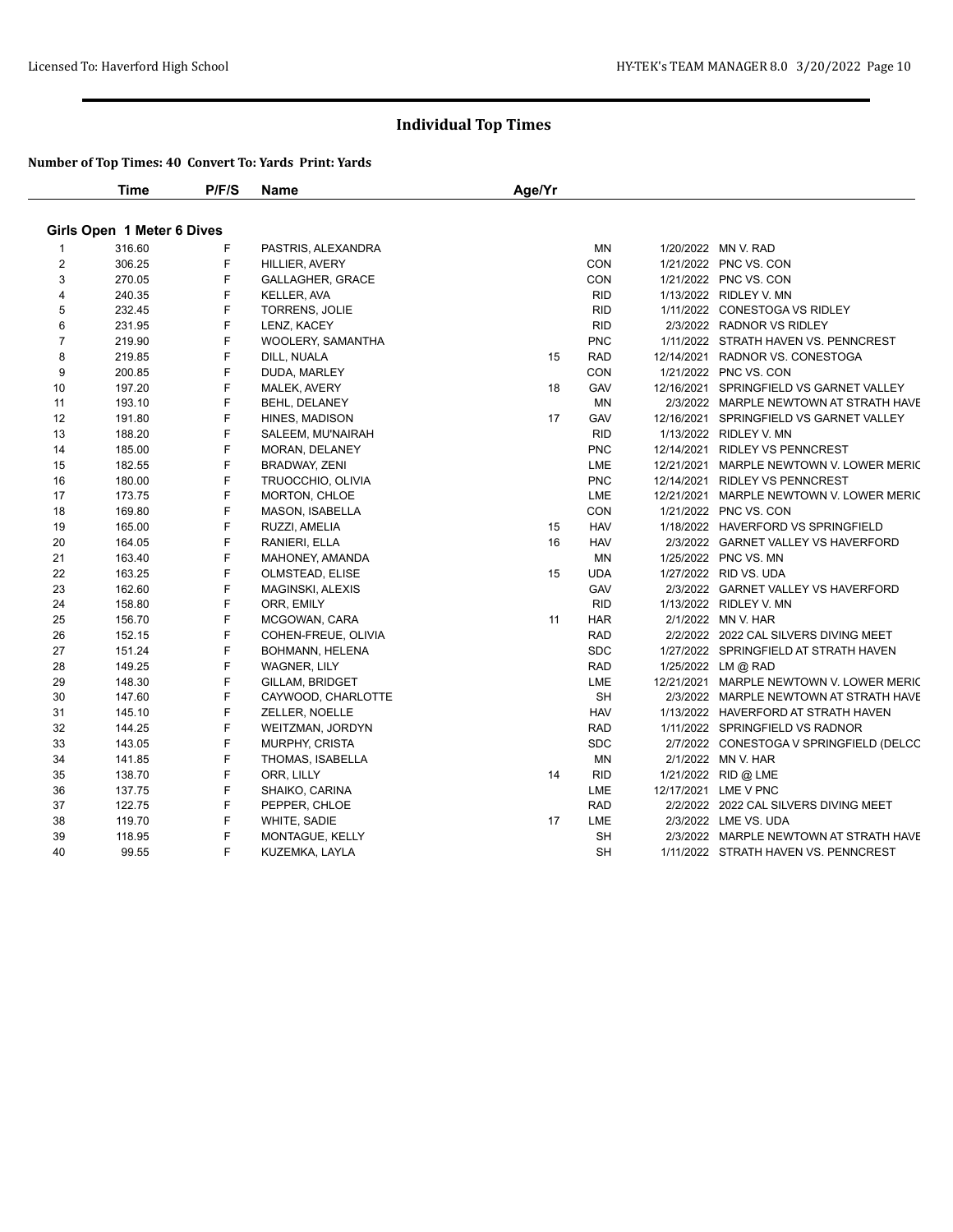|                | <b>Time</b>                | P/F/S | <b>Name</b>             | Age/Yr |            |                                          |
|----------------|----------------------------|-------|-------------------------|--------|------------|------------------------------------------|
|                | Girls Open 1 Meter 6 Dives |       |                         |        |            |                                          |
| 1              | 316.60                     | F     | PASTRIS, ALEXANDRA      |        | MN         | 1/20/2022 MN V. RAD                      |
| $\overline{2}$ | 306.25                     | F     | HILLIER, AVERY          |        | CON        | 1/21/2022 PNC VS. CON                    |
| 3              | 270.05                     | F     | <b>GALLAGHER, GRACE</b> |        | CON        | 1/21/2022 PNC VS. CON                    |
| 4              | 240.35                     | F     | <b>KELLER, AVA</b>      |        | <b>RID</b> | 1/13/2022 RIDLEY V. MN                   |
| 5              | 232.45                     | F     | <b>TORRENS, JOLIE</b>   |        | <b>RID</b> | 1/11/2022 CONESTOGA VS RIDLEY            |
| 6              | 231.95                     | F     | LENZ, KACEY             |        | <b>RID</b> | 2/3/2022 RADNOR VS RIDLEY                |
| $\overline{7}$ | 219.90                     | F.    | WOOLERY, SAMANTHA       |        | <b>PNC</b> | 1/11/2022 STRATH HAVEN VS. PENNCREST     |
| 8              | 219.85                     | F     | DILL, NUALA             | 15     | <b>RAD</b> | 12/14/2021 RADNOR VS. CONESTOGA          |
| 9              | 200.85                     | F     | DUDA, MARLEY            |        | CON        | 1/21/2022 PNC VS. CON                    |
| 10             | 197.20                     | F     | MALEK, AVERY            | 18     | GAV        | 12/16/2021 SPRINGFIELD VS GARNET VALLEY  |
| 11             | 193.10                     | F     | BEHL, DELANEY           |        | <b>MN</b>  | 2/3/2022 MARPLE NEWTOWN AT STRATH HAVE   |
| 12             | 191.80                     | F     | HINES, MADISON          | 17     | GAV        | 12/16/2021 SPRINGFIELD VS GARNET VALLEY  |
| 13             | 188.20                     | F     | SALEEM, MU'NAIRAH       |        | <b>RID</b> | 1/13/2022 RIDLEY V. MN                   |
| 14             | 185.00                     | F     | MORAN, DELANEY          |        | <b>PNC</b> | 12/14/2021 RIDLEY VS PENNCREST           |
| 15             | 182.55                     | F     | <b>BRADWAY, ZENI</b>    |        | LME        | 12/21/2021 MARPLE NEWTOWN V. LOWER MERIC |
| 16             | 180.00                     | F     | TRUOCCHIO, OLIVIA       |        | <b>PNC</b> | 12/14/2021 RIDLEY VS PENNCREST           |
| 17             | 173.75                     | F     | MORTON, CHLOE           |        | LME        | 12/21/2021 MARPLE NEWTOWN V. LOWER MERIC |
| 18             | 169.80                     | F     | MASON, ISABELLA         |        | CON        | 1/21/2022 PNC VS. CON                    |
| 19             | 165.00                     | F     | RUZZI, AMELIA           | 15     | <b>HAV</b> | 1/18/2022 HAVERFORD VS SPRINGFIELD       |
| 20             | 164.05                     | F     | RANIERI, ELLA           | 16     | <b>HAV</b> | 2/3/2022 GARNET VALLEY VS HAVERFORD      |
| 21             | 163.40                     | F     | MAHONEY, AMANDA         |        | ΜN         | 1/25/2022 PNC VS. MN                     |
| 22             | 163.25                     | F     | OLMSTEAD, ELISE         | 15     | <b>UDA</b> | 1/27/2022 RID VS. UDA                    |
| 23             | 162.60                     | F     | MAGINSKI, ALEXIS        |        | GAV        | 2/3/2022 GARNET VALLEY VS HAVERFORD      |
| 24             | 158.80                     | F     | ORR, EMILY              |        | <b>RID</b> | 1/13/2022 RIDLEY V. MN                   |
| 25             | 156.70                     | F     | MCGOWAN, CARA           | 11     | <b>HAR</b> | 2/1/2022 MN V. HAR                       |
| 26             | 152.15                     | F     | COHEN-FREUE, OLIVIA     |        | RAD        | 2/2/2022 2022 CAL SILVERS DIVING MEET    |
| 27             | 151.24                     | F     | BOHMANN, HELENA         |        | SDC        | 1/27/2022 SPRINGFIELD AT STRATH HAVEN    |
| 28             | 149.25                     | F     | WAGNER, LILY            |        | <b>RAD</b> | 1/25/2022 LM @ RAD                       |
| 29             | 148.30                     | F     | GILLAM, BRIDGET         |        | <b>LME</b> | 12/21/2021 MARPLE NEWTOWN V. LOWER MERIC |
| 30             | 147.60                     | F     | CAYWOOD, CHARLOTTE      |        | <b>SH</b>  | 2/3/2022 MARPLE NEWTOWN AT STRATH HAVE   |
| 31             | 145.10                     | F     | ZELLER, NOELLE          |        | <b>HAV</b> | 1/13/2022 HAVERFORD AT STRATH HAVEN      |
| 32             | 144.25                     | F     | WEITZMAN, JORDYN        |        | <b>RAD</b> | 1/11/2022 SPRINGFIELD VS RADNOR          |
| 33             | 143.05                     | F     | MURPHY, CRISTA          |        | <b>SDC</b> | 2/7/2022 CONESTOGA V SPRINGFIELD (DELCC  |
| 34             | 141.85                     | F     | THOMAS, ISABELLA        |        | ΜN         | 2/1/2022 MN V. HAR                       |
| 35             | 138.70                     | F     | ORR, LILLY              | 14     | <b>RID</b> | 1/21/2022 RID @ LME                      |
| 36             | 137.75                     | F     | SHAIKO, CARINA          |        | LME        | 12/17/2021 LME V PNC                     |
| 37             | 122.75                     | F     | PEPPER, CHLOE           |        | <b>RAD</b> | 2/2/2022 2022 CAL SILVERS DIVING MEET    |
| 38             | 119.70                     | F     | WHITE, SADIE            | 17     | LME        | 2/3/2022 LME VS. UDA                     |
| 39             | 118.95                     | F     | MONTAGUE, KELLY         |        | <b>SH</b>  | 2/3/2022 MARPLE NEWTOWN AT STRATH HAVE   |
| 40             | 99.55                      | F.    | KUZEMKA, LAYLA          |        | <b>SH</b>  | 1/11/2022 STRATH HAVEN VS. PENNCREST     |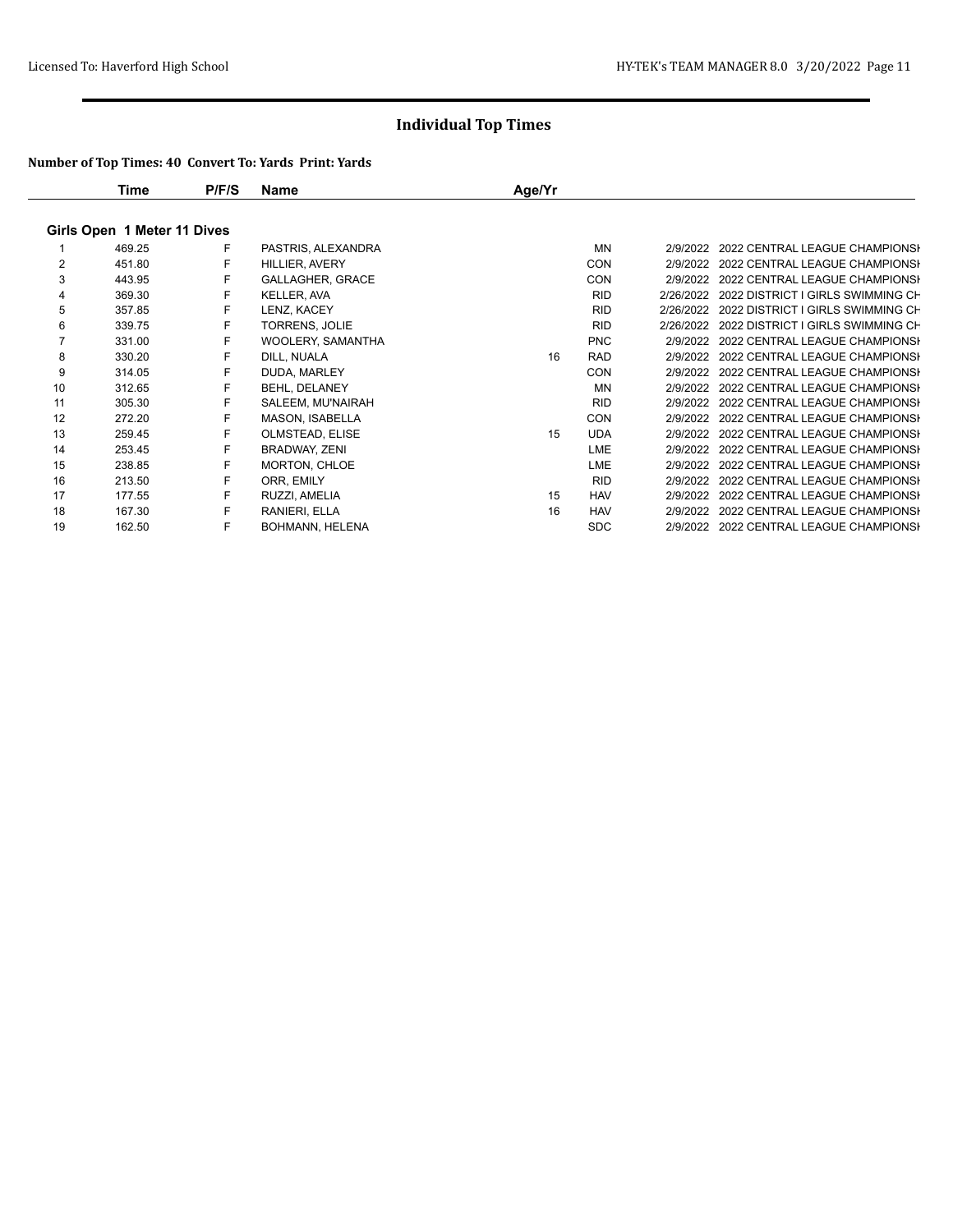|                             | Time   | P/F/S | Name                    | Age/Yr |            |  |                                             |  |  |  |
|-----------------------------|--------|-------|-------------------------|--------|------------|--|---------------------------------------------|--|--|--|
| Girls Open 1 Meter 11 Dives |        |       |                         |        |            |  |                                             |  |  |  |
|                             | 469.25 | F     | PASTRIS, ALEXANDRA      |        | <b>MN</b>  |  | 2/9/2022 2022 CENTRAL LEAGUE CHAMPIONSH     |  |  |  |
| $\overline{2}$              | 451.80 | F     | HILLIER, AVERY          |        | <b>CON</b> |  | 2/9/2022 2022 CENTRAL LEAGUE CHAMPIONSI     |  |  |  |
| 3                           | 443.95 | F     | <b>GALLAGHER, GRACE</b> |        | <b>CON</b> |  | 2/9/2022 2022 CENTRAL LEAGUE CHAMPIONSI     |  |  |  |
| 4                           | 369.30 | F     | <b>KELLER, AVA</b>      |        | <b>RID</b> |  | 2/26/2022 2022 DISTRICT I GIRLS SWIMMING CH |  |  |  |
| 5                           | 357.85 |       | LENZ, KACEY             |        | <b>RID</b> |  | 2/26/2022 2022 DISTRICT I GIRLS SWIMMING CH |  |  |  |
| 6                           | 339.75 | F     | <b>TORRENS, JOLIE</b>   |        | <b>RID</b> |  | 2/26/2022 2022 DISTRICT I GIRLS SWIMMING CH |  |  |  |
|                             | 331.00 | F     | WOOLERY, SAMANTHA       |        | <b>PNC</b> |  | 2/9/2022 2022 CENTRAL LEAGUE CHAMPIONSI     |  |  |  |
| 8                           | 330.20 |       | DILL, NUALA             | 16     | <b>RAD</b> |  | 2/9/2022 2022 CENTRAL LEAGUE CHAMPIONSI     |  |  |  |
| 9                           | 314.05 | F     | DUDA, MARLEY            |        | <b>CON</b> |  | 2/9/2022 2022 CENTRAL LEAGUE CHAMPIONSI     |  |  |  |
| 10                          | 312.65 | F     | BEHL, DELANEY           |        | <b>MN</b>  |  | 2/9/2022 2022 CENTRAL LEAGUE CHAMPIONSI     |  |  |  |
| 11                          | 305.30 | F     | SALEEM, MU'NAIRAH       |        | <b>RID</b> |  | 2/9/2022 2022 CENTRAL LEAGUE CHAMPIONSI     |  |  |  |
| 12                          | 272.20 | F     | <b>MASON, ISABELLA</b>  |        | <b>CON</b> |  | 2/9/2022 2022 CENTRAL LEAGUE CHAMPIONSI     |  |  |  |
| 13                          | 259.45 | F     | OLMSTEAD, ELISE         | 15     | <b>UDA</b> |  | 2/9/2022 2022 CENTRAL LEAGUE CHAMPIONSI     |  |  |  |
| 14                          | 253.45 |       | BRADWAY, ZENI           |        | LME        |  | 2/9/2022 2022 CENTRAL LEAGUE CHAMPIONSI     |  |  |  |
| 15                          | 238.85 |       | <b>MORTON, CHLOE</b>    |        | <b>LME</b> |  | 2/9/2022 2022 CENTRAL LEAGUE CHAMPIONSI     |  |  |  |
| 16                          | 213.50 | F     | ORR, EMILY              |        | <b>RID</b> |  | 2/9/2022 2022 CENTRAL LEAGUE CHAMPIONSI     |  |  |  |
| 17                          | 177.55 |       | RUZZI, AMELIA           | 15     | <b>HAV</b> |  | 2/9/2022 2022 CENTRAL LEAGUE CHAMPIONSI     |  |  |  |
| 18                          | 167.30 | F     | RANIERI, ELLA           | 16     | <b>HAV</b> |  | 2/9/2022 2022 CENTRAL LEAGUE CHAMPIONSI     |  |  |  |
| 19                          | 162.50 | F     | <b>BOHMANN, HELENA</b>  |        | <b>SDC</b> |  | 2/9/2022 2022 CENTRAL LEAGUE CHAMPIONSI     |  |  |  |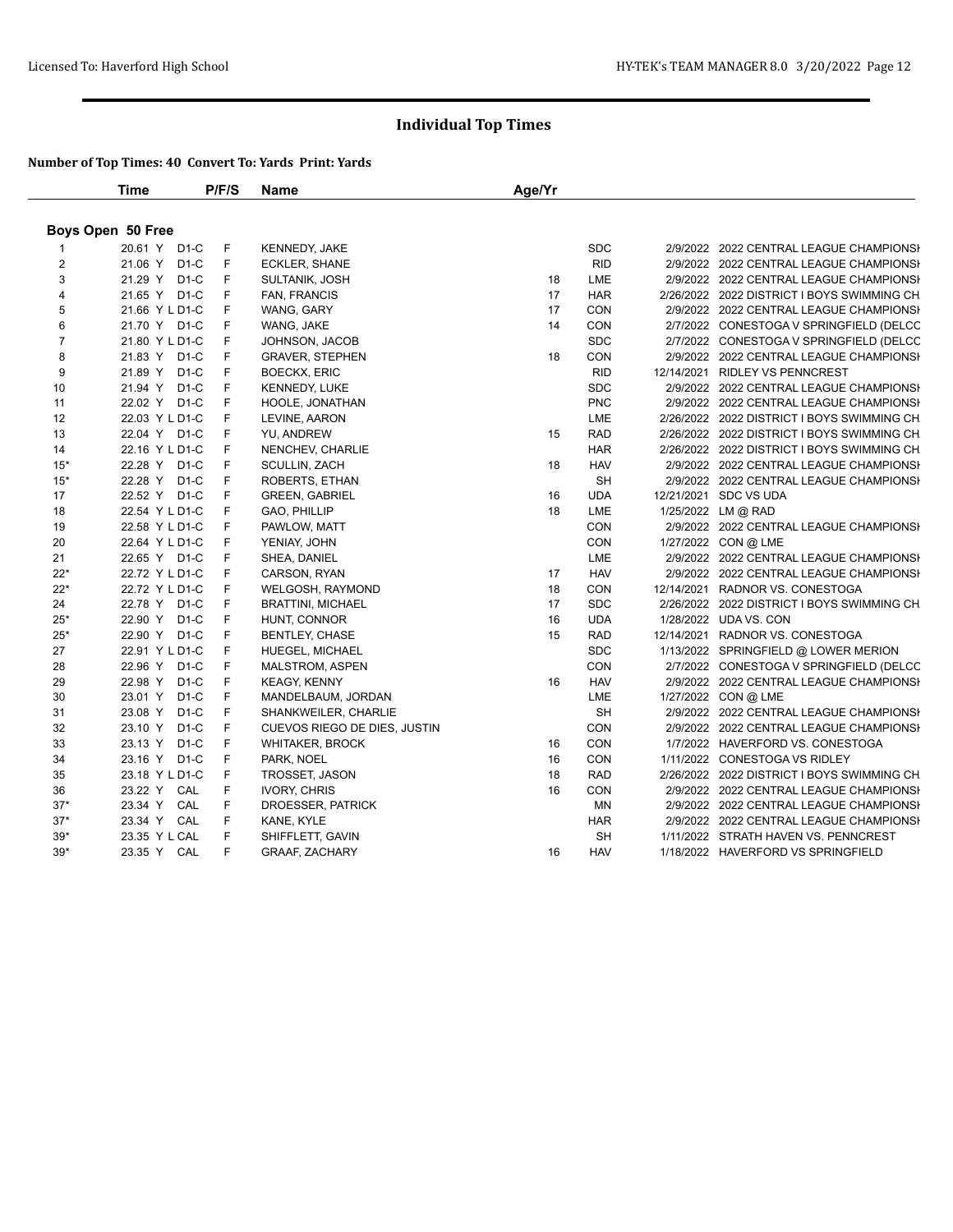|                         | Time              | P/F/S | <b>Name</b>                  | Age/Yr |            |                                            |
|-------------------------|-------------------|-------|------------------------------|--------|------------|--------------------------------------------|
|                         | Boys Open 50 Free |       |                              |        |            |                                            |
|                         | 20.61 Y D1-C      | F     | <b>KENNEDY, JAKE</b>         |        | <b>SDC</b> | 2/9/2022 2022 CENTRAL LEAGUE CHAMPIONSH    |
| $\overline{2}$          | 21.06 Y D1-C      | F     | ECKLER, SHANE                |        | <b>RID</b> | 2/9/2022 2022 CENTRAL LEAGUE CHAMPIONSH    |
| 3                       | 21.29 Y D1-C      | F     | SULTANIK, JOSH               | 18     | LME        | 2/9/2022 2022 CENTRAL LEAGUE CHAMPIONSH    |
| $\overline{\mathbf{4}}$ | 21.65 Y D1-C      | F     | <b>FAN, FRANCIS</b>          | 17     | <b>HAR</b> | 2/26/2022 2022 DISTRICT I BOYS SWIMMING CH |
| 5                       | 21.66 Y L D1-C    | F     | WANG, GARY                   | 17     | <b>CON</b> | 2/9/2022 2022 CENTRAL LEAGUE CHAMPIONSH    |
| 6                       | 21.70 Y D1-C      | F     | WANG, JAKE                   | 14     | CON        | 2/7/2022 CONESTOGA V SPRINGFIELD (DELCC    |
| $\overline{7}$          | 21.80 Y L D1-C    | F     | JOHNSON, JACOB               |        | <b>SDC</b> | 2/7/2022 CONESTOGA V SPRINGFIELD (DELCC    |
| 8                       | 21.83 Y D1-C      | F     | <b>GRAVER, STEPHEN</b>       | 18     | CON        | 2/9/2022 2022 CENTRAL LEAGUE CHAMPIONSH    |
| 9                       | 21.89 Y D1-C      | F     | <b>BOECKX, ERIC</b>          |        | <b>RID</b> | 12/14/2021 RIDLEY VS PENNCREST             |
| 10                      | 21.94 Y D1-C      | F     | <b>KENNEDY, LUKE</b>         |        | <b>SDC</b> | 2/9/2022 2022 CENTRAL LEAGUE CHAMPIONSH    |
| 11                      | 22.02 Y D1-C      | F     | HOOLE, JONATHAN              |        | <b>PNC</b> | 2/9/2022 2022 CENTRAL LEAGUE CHAMPIONSH    |
| 12                      | 22.03 Y L D1-C    | F     | LEVINE, AARON                |        | LME        | 2/26/2022 2022 DISTRICT I BOYS SWIMMING CH |
| 13                      | 22.04 Y D1-C      | F     | YU, ANDREW                   | 15     | <b>RAD</b> | 2/26/2022 2022 DISTRICT I BOYS SWIMMING CH |
| 14                      | 22.16 Y L D1-C    | F     | NENCHEV, CHARLIE             |        | <b>HAR</b> | 2/26/2022 2022 DISTRICT I BOYS SWIMMING CH |
| $15*$                   | 22.28 Y D1-C      | F     | SCULLIN, ZACH                | 18     | <b>HAV</b> | 2/9/2022 2022 CENTRAL LEAGUE CHAMPIONSH    |
| $15*$                   | 22.28 Y D1-C      | F     | ROBERTS, ETHAN               |        | <b>SH</b>  | 2/9/2022 2022 CENTRAL LEAGUE CHAMPIONSH    |
| 17                      | 22.52 Y D1-C      | F     | <b>GREEN, GABRIEL</b>        | 16     | <b>UDA</b> | 12/21/2021 SDC VS UDA                      |
| 18                      | 22.54 Y L D1-C    | F     | GAO, PHILLIP                 | 18     | LME        | 1/25/2022 LM @ RAD                         |
| 19                      | 22.58 Y L D1-C    | F     | PAWLOW, MATT                 |        | CON        | 2/9/2022 2022 CENTRAL LEAGUE CHAMPIONSH    |
| 20                      | 22.64 Y L D1-C    | F     | YENIAY, JOHN                 |        | CON        | 1/27/2022 CON @ LME                        |
| 21                      | 22.65 Y D1-C      | F     | SHEA, DANIEL                 |        | LME        | 2/9/2022 2022 CENTRAL LEAGUE CHAMPIONSI    |
| $22*$                   | 22.72 Y L D1-C    | F     | CARSON, RYAN                 | 17     | <b>HAV</b> | 2/9/2022 2022 CENTRAL LEAGUE CHAMPIONSH    |
| $22*$                   | 22.72 Y L D1-C    | F     | WELGOSH, RAYMOND             | 18     | <b>CON</b> | 12/14/2021 RADNOR VS. CONESTOGA            |
| 24                      | 22.78 Y D1-C      | F     | <b>BRATTINI, MICHAEL</b>     | 17     | <b>SDC</b> | 2/26/2022 2022 DISTRICT I BOYS SWIMMING CH |
| $25*$                   | 22.90 Y D1-C      | F     | HUNT, CONNOR                 | 16     | <b>UDA</b> | 1/28/2022 UDA VS. CON                      |
| $25*$                   | 22.90 Y D1-C      | F     | <b>BENTLEY, CHASE</b>        | 15     | <b>RAD</b> | 12/14/2021 RADNOR VS. CONESTOGA            |
| 27                      | 22.91 Y L D1-C    | F     | HUEGEL, MICHAEL              |        | <b>SDC</b> | 1/13/2022 SPRINGFIELD @ LOWER MERION       |
| 28                      | 22.96 Y D1-C      | F     | <b>MALSTROM, ASPEN</b>       |        | CON        | 2/7/2022 CONESTOGA V SPRINGFIELD (DELCC    |
| 29                      | 22.98 Y D1-C      | F     | <b>KEAGY, KENNY</b>          | 16     | <b>HAV</b> | 2/9/2022 2022 CENTRAL LEAGUE CHAMPIONSI    |
| 30                      | 23.01 Y D1-C      | F     | MANDELBAUM, JORDAN           |        | LME        | 1/27/2022 CON @ LME                        |
| 31                      | D1-C<br>23.08 Y   | F     | SHANKWEILER, CHARLIE         |        | <b>SH</b>  | 2/9/2022 2022 CENTRAL LEAGUE CHAMPIONSI    |
| 32                      | 23.10 Y D1-C      | F     | CUEVOS RIEGO DE DIES, JUSTIN |        | CON        | 2/9/2022 2022 CENTRAL LEAGUE CHAMPIONSH    |
| 33                      | 23.13 Y D1-C      | F     | WHITAKER, BROCK              | 16     | CON        | 1/7/2022 HAVERFORD VS. CONESTOGA           |
| 34                      | 23.16 Y D1-C      | F     | PARK, NOEL                   | 16     | CON        | 1/11/2022 CONESTOGA VS RIDLEY              |
| 35                      | 23.18 Y L D1-C    | F     | TROSSET, JASON               | 18     | <b>RAD</b> | 2/26/2022 2022 DISTRICT I BOYS SWIMMING CH |
| 36                      | 23.22 Y CAL       | F     | <b>IVORY, CHRIS</b>          | 16     | <b>CON</b> | 2/9/2022 2022 CENTRAL LEAGUE CHAMPIONSI    |
| $37*$                   | 23.34 Y CAL       | F     | DROESSER, PATRICK            |        | MN         | 2/9/2022 2022 CENTRAL LEAGUE CHAMPIONSH    |
| $37*$                   | 23.34 Y CAL       | F     | KANE, KYLE                   |        | <b>HAR</b> | 2/9/2022 2022 CENTRAL LEAGUE CHAMPIONSH    |
| $39*$                   | 23.35 Y L CAL     | F     | SHIFFLETT, GAVIN             |        | <b>SH</b>  | 1/11/2022 STRATH HAVEN VS. PENNCREST       |
| $39*$                   | 23.35 Y CAL       | F     | <b>GRAAF, ZACHARY</b>        | 16     | <b>HAV</b> | 1/18/2022 HAVERFORD VS SPRINGFIELD         |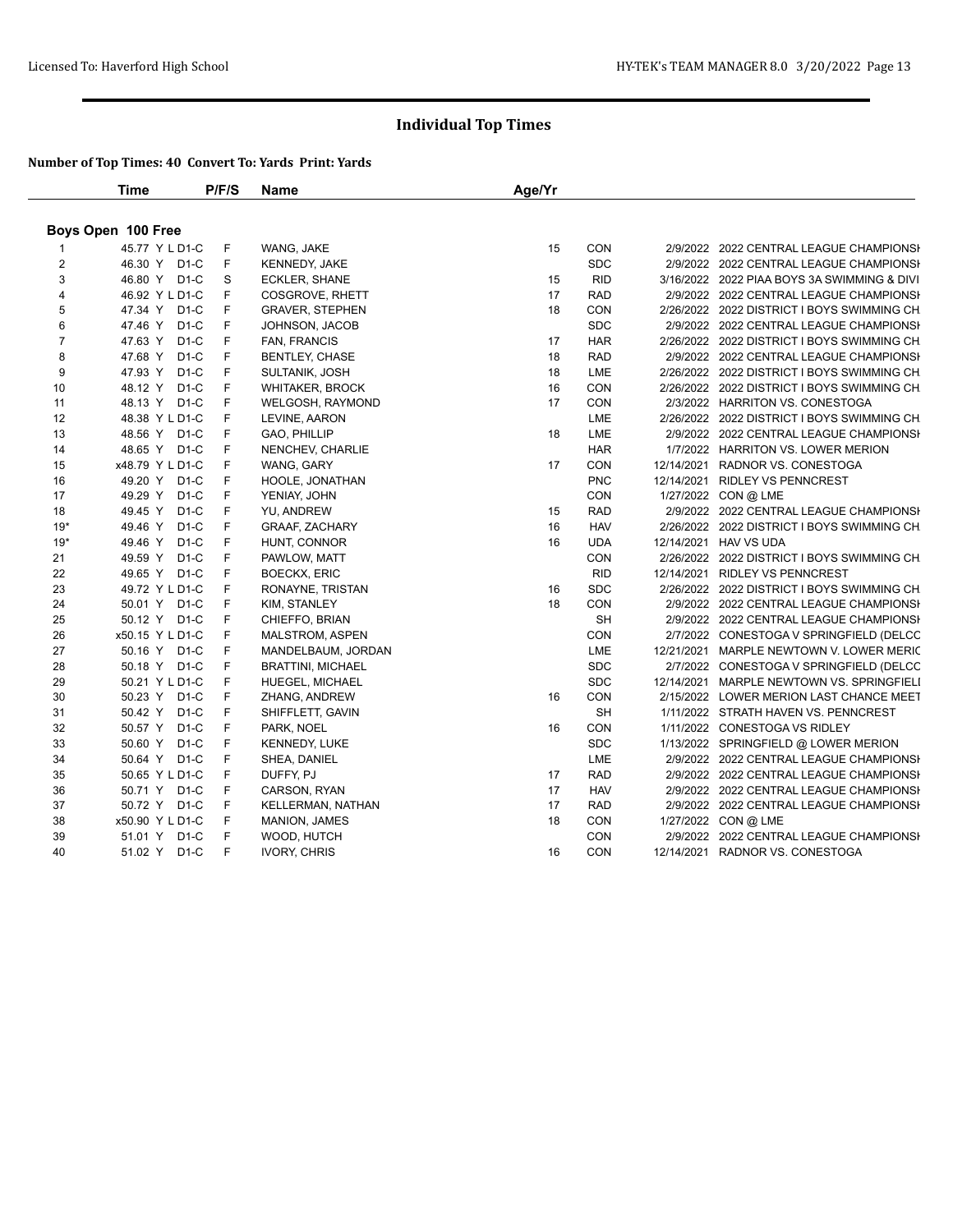|                | <b>Time</b>        | P/F/S       | Name                     | Age/Yr |            |                                             |
|----------------|--------------------|-------------|--------------------------|--------|------------|---------------------------------------------|
|                | Boys Open 100 Free |             |                          |        |            |                                             |
|                | 45.77 Y L D1-C     | F           | WANG, JAKE               | 15     | CON        | 2/9/2022 2022 CENTRAL LEAGUE CHAMPIONSH     |
| $\overline{2}$ | 46.30 Y D1-C       | F           | KENNEDY, JAKE            |        | <b>SDC</b> | 2/9/2022 2022 CENTRAL LEAGUE CHAMPIONSH     |
| 3              | 46.80 Y D1-C       | $\mathbb S$ | <b>ECKLER, SHANE</b>     | 15     | <b>RID</b> | 3/16/2022 2022 PIAA BOYS 3A SWIMMING & DIVI |
| 4              | 46.92 Y L D1-C     | F           | COSGROVE, RHETT          | 17     | <b>RAD</b> | 2/9/2022 2022 CENTRAL LEAGUE CHAMPIONSH     |
| 5              | 47.34 Y D1-C       | F           | <b>GRAVER, STEPHEN</b>   | 18     | CON        | 2/26/2022 2022 DISTRICT I BOYS SWIMMING CH  |
| 6              | 47.46 Y D1-C       | F           | JOHNSON, JACOB           |        | <b>SDC</b> | 2/9/2022 2022 CENTRAL LEAGUE CHAMPIONSH     |
| $\overline{7}$ | 47.63 Y D1-C       | F           | FAN, FRANCIS             | 17     | <b>HAR</b> | 2/26/2022 2022 DISTRICT I BOYS SWIMMING CH  |
| 8              | 47.68 Y D1-C       | F           | <b>BENTLEY, CHASE</b>    | 18     | <b>RAD</b> | 2/9/2022 2022 CENTRAL LEAGUE CHAMPIONSH     |
| 9              | 47.93 Y D1-C       | F           | SULTANIK, JOSH           | 18     | LME        | 2/26/2022 2022 DISTRICT I BOYS SWIMMING CH  |
| 10             | 48.12 Y D1-C       | F           | <b>WHITAKER, BROCK</b>   | 16     | CON        | 2/26/2022 2022 DISTRICT I BOYS SWIMMING CH  |
| 11             | 48.13 Y D1-C       | F           | WELGOSH, RAYMOND         | 17     | CON        | 2/3/2022 HARRITON VS. CONESTOGA             |
| 12             | 48.38 Y L D1-C     | F           | LEVINE, AARON            |        | LME        | 2/26/2022 2022 DISTRICT I BOYS SWIMMING CH  |
| 13             | 48.56 Y D1-C       | F           | GAO, PHILLIP             | 18     | LME        | 2/9/2022 2022 CENTRAL LEAGUE CHAMPIONSI     |
| 14             | 48.65 Y D1-C       | F           | NENCHEV, CHARLIE         |        | <b>HAR</b> | 1/7/2022 HARRITON VS. LOWER MERION          |
| 15             | x48.79 Y L D1-C    | F           | WANG, GARY               | 17     | CON        | 12/14/2021 RADNOR VS. CONESTOGA             |
| 16             | 49.20 Y D1-C       | F           | HOOLE, JONATHAN          |        | <b>PNC</b> | 12/14/2021 RIDLEY VS PENNCREST              |
| 17             | 49.29 Y D1-C       | F           | YENIAY, JOHN             |        | <b>CON</b> | 1/27/2022 CON @ LME                         |
| 18             | 49.45 Y D1-C       | F           | YU, ANDREW               | 15     | <b>RAD</b> | 2/9/2022 2022 CENTRAL LEAGUE CHAMPIONSI     |
| $19*$          | $D1-C$<br>49.46 Y  | F           | <b>GRAAF, ZACHARY</b>    | 16     | <b>HAV</b> | 2/26/2022 2022 DISTRICT I BOYS SWIMMING CH  |
| $19*$          | D1-C<br>49.46 Y    | F           | HUNT, CONNOR             | 16     | <b>UDA</b> | 12/14/2021 HAV VS UDA                       |
| 21             | 49.59 Y D1-C       | F           | PAWLOW, MATT             |        | CON        | 2/26/2022 2022 DISTRICT I BOYS SWIMMING CH  |
| 22             | 49.65 Y D1-C       | F           | <b>BOECKX, ERIC</b>      |        | <b>RID</b> | 12/14/2021 RIDLEY VS PENNCREST              |
| 23             | 49.72 Y L D1-C     | F           | RONAYNE, TRISTAN         | 16     | <b>SDC</b> | 2/26/2022 2022 DISTRICT I BOYS SWIMMING CH  |
| 24             | 50.01 Y D1-C       | F           | KIM, STANLEY             | 18     | CON        | 2/9/2022 2022 CENTRAL LEAGUE CHAMPIONSH     |
| 25             | 50.12 Y D1-C       | F           | CHIEFFO, BRIAN           |        | <b>SH</b>  | 2/9/2022 2022 CENTRAL LEAGUE CHAMPIONSI     |
| 26             | x50.15 Y L D1-C    | F           | <b>MALSTROM, ASPEN</b>   |        | CON        | 2/7/2022 CONESTOGA V SPRINGFIELD (DELCC     |
| 27             | 50.16 Y D1-C       | F           | MANDELBAUM, JORDAN       |        | LME        | 12/21/2021 MARPLE NEWTOWN V. LOWER MERIC    |
| 28             | 50.18 Y D1-C       | F           | <b>BRATTINI, MICHAEL</b> |        | <b>SDC</b> | 2/7/2022 CONESTOGA V SPRINGFIELD (DELCC     |
| 29             | 50.21 Y L D1-C     | F           | <b>HUEGEL, MICHAEL</b>   |        | <b>SDC</b> | 12/14/2021 MARPLE NEWTOWN VS. SPRINGFIELI   |
| 30             | 50.23 Y D1-C       | F           | ZHANG, ANDREW            | 16     | CON        | 2/15/2022 LOWER MERION LAST CHANCE MEET     |
| 31             | 50.42 Y D1-C       | F           | SHIFFLETT, GAVIN         |        | <b>SH</b>  | 1/11/2022 STRATH HAVEN VS. PENNCREST        |
| 32             | 50.57 Y D1-C       | F           | PARK, NOEL               | 16     | CON        | 1/11/2022 CONESTOGA VS RIDLEY               |
| 33             | 50.60 Y D1-C       | F           | <b>KENNEDY, LUKE</b>     |        | <b>SDC</b> | 1/13/2022 SPRINGFIELD @ LOWER MERION        |
| 34             | 50.64 Y D1-C       | F           | SHEA, DANIEL             |        | LME        | 2/9/2022 2022 CENTRAL LEAGUE CHAMPIONSI     |
| 35             | 50.65 Y L D1-C     | F           | DUFFY, PJ                | 17     | <b>RAD</b> | 2/9/2022 2022 CENTRAL LEAGUE CHAMPIONSI     |
| 36             | 50.71 Y D1-C       | F           | CARSON, RYAN             | 17     | <b>HAV</b> | 2/9/2022 2022 CENTRAL LEAGUE CHAMPIONSI     |
| 37             | 50.72 Y D1-C       | F           | KELLERMAN, NATHAN        | 17     | <b>RAD</b> | 2/9/2022 2022 CENTRAL LEAGUE CHAMPIONSH     |
| 38             | x50.90 Y L D1-C    | F           | <b>MANION, JAMES</b>     | 18     | <b>CON</b> | 1/27/2022 CON @ LME                         |
| 39             | 51.01 Y D1-C       | F           | WOOD, HUTCH              |        | <b>CON</b> | 2/9/2022 2022 CENTRAL LEAGUE CHAMPIONSH     |
| 40             | 51.02 Y D1-C       | F           | <b>IVORY, CHRIS</b>      | 16     | CON        | 12/14/2021 RADNOR VS. CONESTOGA             |
|                |                    |             |                          |        |            |                                             |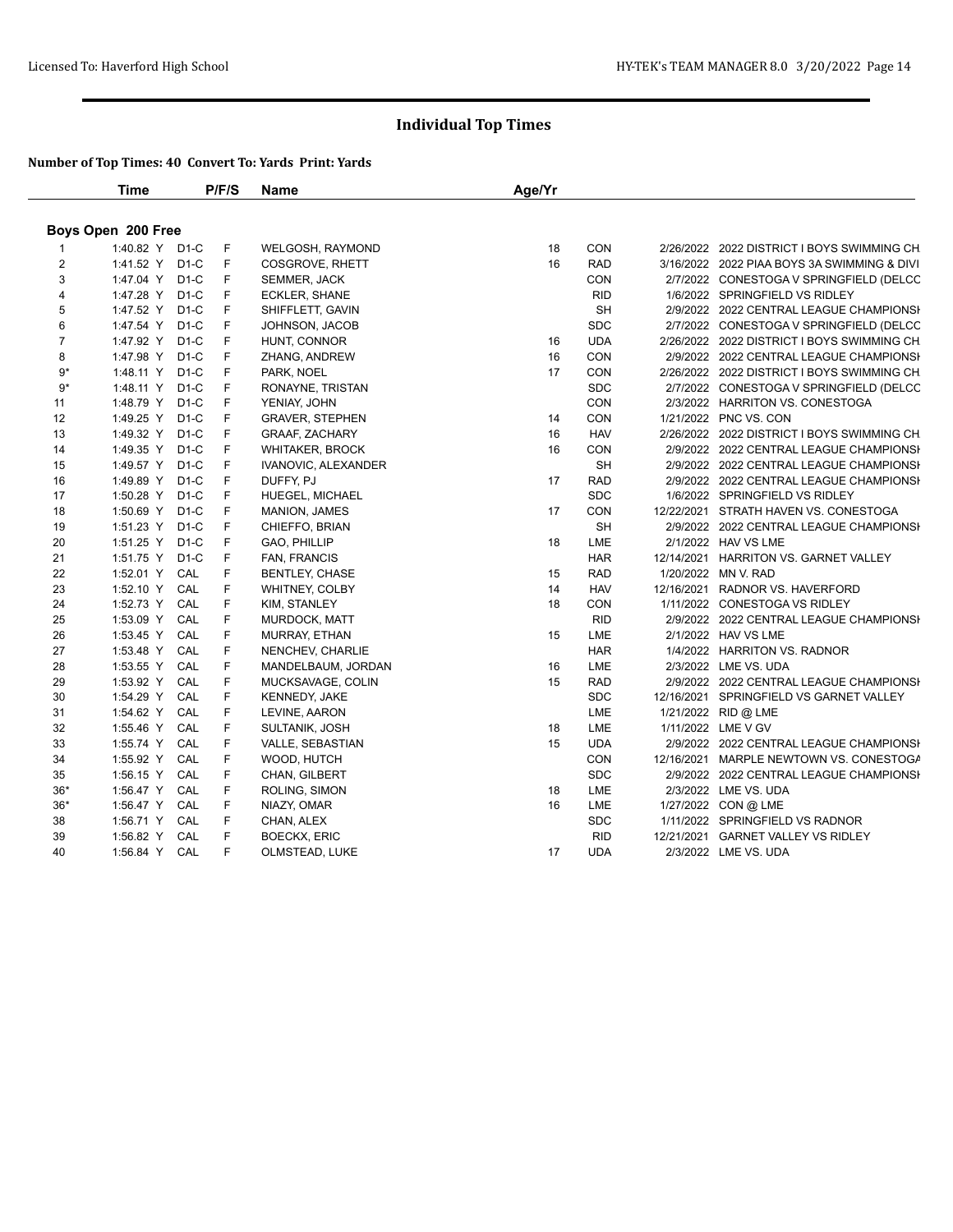|                    | Time           |     | P/F/S | <b>Name</b>            | Age/Yr |            |  |                                             |  |  |
|--------------------|----------------|-----|-------|------------------------|--------|------------|--|---------------------------------------------|--|--|
| Boys Open 200 Free |                |     |       |                        |        |            |  |                                             |  |  |
|                    | 1:40.82 Y D1-C |     | F     | WELGOSH, RAYMOND       | 18     | <b>CON</b> |  | 2/26/2022 2022 DISTRICT I BOYS SWIMMING CH  |  |  |
| $\overline{c}$     | 1:41.52 Y D1-C |     | F     | COSGROVE, RHETT        | 16     | <b>RAD</b> |  | 3/16/2022 2022 PIAA BOYS 3A SWIMMING & DIVI |  |  |
| 3                  | 1:47.04 Y D1-C |     | F     | SEMMER, JACK           |        | CON        |  | 2/7/2022 CONESTOGA V SPRINGFIELD (DELCC     |  |  |
| 4                  | 1:47.28 Y D1-C |     | F     | ECKLER, SHANE          |        | <b>RID</b> |  | 1/6/2022 SPRINGFIELD VS RIDLEY              |  |  |
| 5                  | 1:47.52 Y D1-C |     | F     | SHIFFLETT, GAVIN       |        | <b>SH</b>  |  | 2/9/2022 2022 CENTRAL LEAGUE CHAMPIONSI     |  |  |
| 6                  | 1:47.54 Y D1-C |     | F     | JOHNSON, JACOB         |        | <b>SDC</b> |  | 2/7/2022 CONESTOGA V SPRINGFIELD (DELCC     |  |  |
| $\overline{7}$     | 1:47.92 Y D1-C |     | F     | HUNT, CONNOR           | 16     | <b>UDA</b> |  | 2/26/2022 2022 DISTRICT I BOYS SWIMMING CH  |  |  |
| 8                  | 1:47.98 Y D1-C |     | F     | ZHANG, ANDREW          | 16     | CON        |  | 2/9/2022 2022 CENTRAL LEAGUE CHAMPIONSI     |  |  |
| $9*$               | 1:48.11 Y D1-C |     | F     | PARK, NOEL             | 17     | CON        |  | 2/26/2022 2022 DISTRICT I BOYS SWIMMING CH  |  |  |
| $9*$               | 1:48.11 Y D1-C |     | F     | RONAYNE, TRISTAN       |        | <b>SDC</b> |  | 2/7/2022 CONESTOGA V SPRINGFIELD (DELCC     |  |  |
| 11                 | 1:48.79 Y D1-C |     | F     | YENIAY, JOHN           |        | CON        |  | 2/3/2022 HARRITON VS. CONESTOGA             |  |  |
| 12                 | 1:49.25 Y D1-C |     | F     | <b>GRAVER, STEPHEN</b> | 14     | CON        |  | 1/21/2022 PNC VS. CON                       |  |  |
| 13                 | 1:49.32 Y D1-C |     | F     | <b>GRAAF, ZACHARY</b>  | 16     | <b>HAV</b> |  | 2/26/2022 2022 DISTRICT I BOYS SWIMMING CH  |  |  |
| 14                 | 1:49.35 Y D1-C |     | F     | <b>WHITAKER, BROCK</b> | 16     | CON        |  | 2/9/2022 2022 CENTRAL LEAGUE CHAMPIONSI     |  |  |
| 15                 | 1:49.57 Y D1-C |     | F     | IVANOVIC, ALEXANDER    |        | <b>SH</b>  |  | 2/9/2022 2022 CENTRAL LEAGUE CHAMPIONSI     |  |  |
| 16                 | 1:49.89 Y D1-C |     | F     | DUFFY, PJ              | 17     | <b>RAD</b> |  | 2/9/2022 2022 CENTRAL LEAGUE CHAMPIONSI     |  |  |
| 17                 | 1:50.28 Y D1-C |     | F     | <b>HUEGEL, MICHAEL</b> |        | <b>SDC</b> |  | 1/6/2022 SPRINGFIELD VS RIDLEY              |  |  |
| 18                 | 1:50.69 Y D1-C |     | F     | MANION, JAMES          | 17     | CON        |  | 12/22/2021 STRATH HAVEN VS. CONESTOGA       |  |  |
| 19                 | 1:51.23 Y D1-C |     | F     | CHIEFFO, BRIAN         |        | SH         |  | 2/9/2022 2022 CENTRAL LEAGUE CHAMPIONSH     |  |  |
| 20                 | 1:51.25 Y D1-C |     | F     | GAO, PHILLIP           | 18     | LME        |  | 2/1/2022 HAV VS LME                         |  |  |
| 21                 | 1:51.75 Y D1-C |     | F     | FAN, FRANCIS           |        | <b>HAR</b> |  | 12/14/2021 HARRITON VS. GARNET VALLEY       |  |  |
| 22                 | 1:52.01 Y CAL  |     | F     | BENTLEY, CHASE         | 15     | <b>RAD</b> |  | 1/20/2022 MN V. RAD                         |  |  |
| 23                 | 1:52.10 Y CAL  |     | F     | <b>WHITNEY, COLBY</b>  | 14     | <b>HAV</b> |  | 12/16/2021 RADNOR VS. HAVERFORD             |  |  |
| 24                 | 1:52.73 Y      | CAL | F     | KIM, STANLEY           | 18     | CON        |  | 1/11/2022 CONESTOGA VS RIDLEY               |  |  |
| 25                 | 1:53.09 Y CAL  |     | F     | <b>MURDOCK, MATT</b>   |        | <b>RID</b> |  | 2/9/2022 2022 CENTRAL LEAGUE CHAMPIONSH     |  |  |
| 26                 | 1:53.45 Y CAL  |     | F     | MURRAY, ETHAN          | 15     | LME        |  | 2/1/2022 HAV VS LME                         |  |  |
| 27                 | 1:53.48 Y      | CAL | F     | NENCHEV, CHARLIE       |        | <b>HAR</b> |  | 1/4/2022 HARRITON VS. RADNOR                |  |  |
| 28                 | 1:53.55 Y CAL  |     | F.    | MANDELBAUM, JORDAN     | 16     | LME        |  | 2/3/2022 LME VS. UDA                        |  |  |
| 29                 | 1:53.92 Y CAL  |     | F.    | MUCKSAVAGE, COLIN      | 15     | <b>RAD</b> |  | 2/9/2022 2022 CENTRAL LEAGUE CHAMPIONSI     |  |  |
| 30                 | 1:54.29 Y      | CAL | F     | <b>KENNEDY, JAKE</b>   |        | <b>SDC</b> |  | 12/16/2021 SPRINGFIELD VS GARNET VALLEY     |  |  |
| 31                 | 1:54.62 Y      | CAL | F     | LEVINE, AARON          |        | LME        |  | 1/21/2022 RID @ LME                         |  |  |
| 32                 | 1:55.46 Y CAL  |     | F     | SULTANIK, JOSH         | 18     | LME        |  | 1/11/2022 LME V GV                          |  |  |
| 33                 | 1:55.74 Y CAL  |     | F     | VALLE, SEBASTIAN       | 15     | <b>UDA</b> |  | 2/9/2022 2022 CENTRAL LEAGUE CHAMPIONSI     |  |  |
| 34                 | 1:55.92 Y      | CAL | F     | WOOD, HUTCH            |        | CON        |  | 12/16/2021 MARPLE NEWTOWN VS. CONESTOGA     |  |  |
| 35                 | 1:56.15 Y CAL  |     | F     | CHAN, GILBERT          |        | <b>SDC</b> |  | 2/9/2022 2022 CENTRAL LEAGUE CHAMPIONSI     |  |  |
| $36*$              | 1:56.47 Y CAL  |     | F     | ROLING, SIMON          | 18     | LME        |  | 2/3/2022 LME VS. UDA                        |  |  |
| $36*$              | 1:56.47 Y CAL  |     | F     | NIAZY, OMAR            | 16     | LME        |  | 1/27/2022 CON @ LME                         |  |  |
| 38                 | 1:56.71 Y      | CAL | F     | CHAN, ALEX             |        | <b>SDC</b> |  | 1/11/2022 SPRINGFIELD VS RADNOR             |  |  |
| 39                 | 1:56.82 Y CAL  |     | F     | <b>BOECKX, ERIC</b>    |        | <b>RID</b> |  | 12/21/2021 GARNET VALLEY VS RIDLEY          |  |  |
| 40                 | 1:56.84 Y CAL  |     | F     | OLMSTEAD, LUKE         | 17     | <b>UDA</b> |  | 2/3/2022 LME VS. UDA                        |  |  |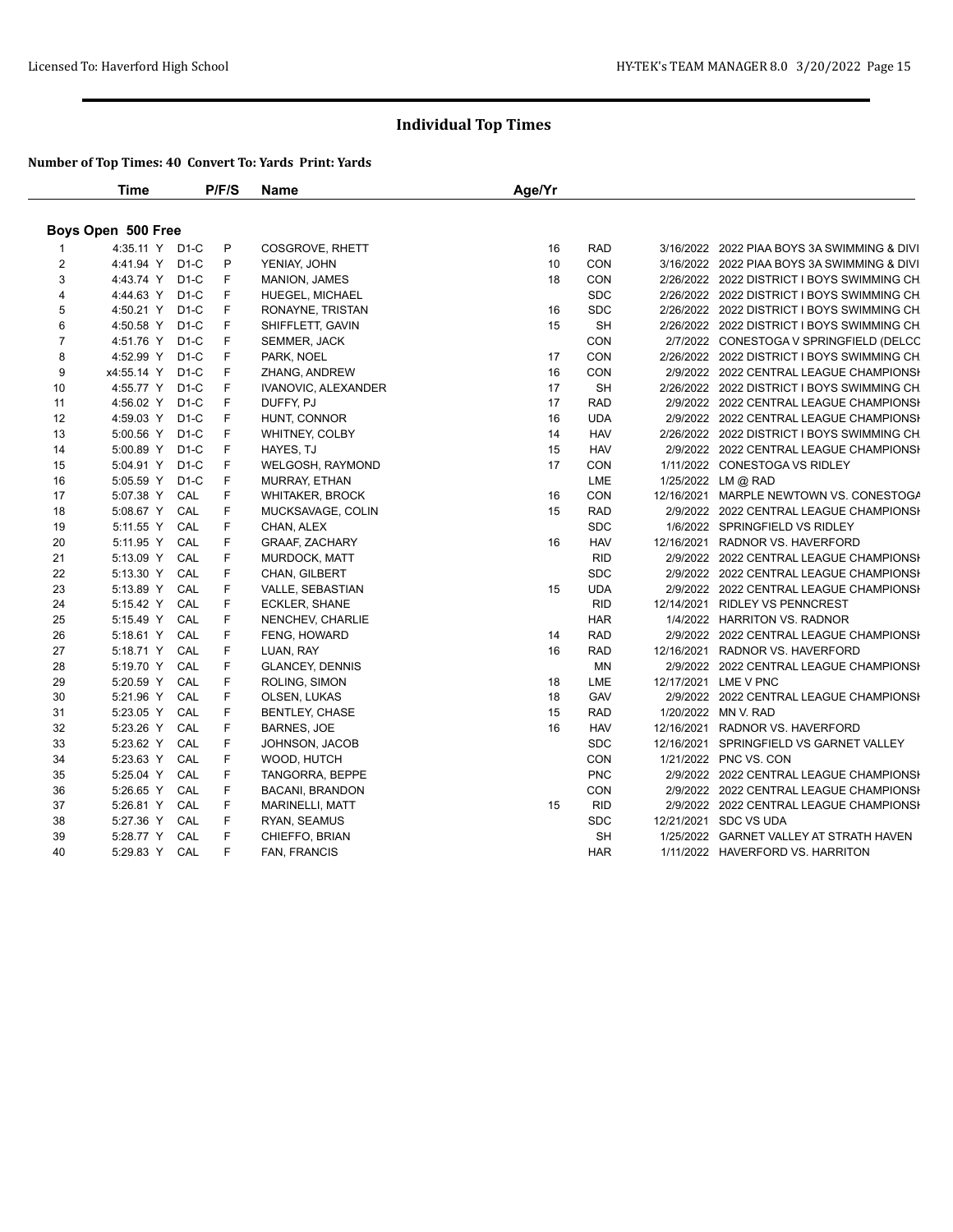|                    | Time            |     | P/F/S | <b>Name</b>             | Age/Yr |            |  |                                             |  |  |
|--------------------|-----------------|-----|-------|-------------------------|--------|------------|--|---------------------------------------------|--|--|
| Boys Open 500 Free |                 |     |       |                         |        |            |  |                                             |  |  |
|                    | 4:35.11 Y D1-C  |     | P     | COSGROVE, RHETT         | 16     | <b>RAD</b> |  | 3/16/2022 2022 PIAA BOYS 3A SWIMMING & DIVI |  |  |
| 2                  | 4:41.94 Y D1-C  |     | P     | YENIAY, JOHN            | 10     | <b>CON</b> |  | 3/16/2022 2022 PIAA BOYS 3A SWIMMING & DIVI |  |  |
| 3                  | 4:43.74 Y D1-C  |     | F.    | <b>MANION, JAMES</b>    | 18     | CON        |  | 2/26/2022 2022 DISTRICT I BOYS SWIMMING CH  |  |  |
| 4                  | 4:44.63 Y D1-C  |     | F     | <b>HUEGEL, MICHAEL</b>  |        | <b>SDC</b> |  | 2/26/2022 2022 DISTRICT I BOYS SWIMMING CH  |  |  |
| 5                  | 4:50.21 Y D1-C  |     | F     | RONAYNE, TRISTAN        | 16     | <b>SDC</b> |  | 2/26/2022 2022 DISTRICT I BOYS SWIMMING CH  |  |  |
| 6                  | 4:50.58 Y D1-C  |     | F     | SHIFFLETT, GAVIN        | 15     | SH         |  | 2/26/2022 2022 DISTRICT I BOYS SWIMMING CH  |  |  |
| $\overline{7}$     | 4:51.76 Y D1-C  |     | F     | SEMMER, JACK            |        | CON        |  | 2/7/2022 CONESTOGA V SPRINGFIELD (DELCC     |  |  |
| 8                  | 4:52.99 Y D1-C  |     | F     | PARK, NOEL              | 17     | CON        |  | 2/26/2022 2022 DISTRICT I BOYS SWIMMING CH  |  |  |
| 9                  | x4:55.14 Y D1-C |     | F     | ZHANG, ANDREW           | 16     | <b>CON</b> |  | 2/9/2022 2022 CENTRAL LEAGUE CHAMPIONSH     |  |  |
| 10                 | 4:55.77 Y D1-C  |     | F     | IVANOVIC, ALEXANDER     | 17     | <b>SH</b>  |  | 2/26/2022 2022 DISTRICT I BOYS SWIMMING CH  |  |  |
| 11                 | 4:56.02 Y D1-C  |     | F     | DUFFY, PJ               | 17     | <b>RAD</b> |  | 2/9/2022 2022 CENTRAL LEAGUE CHAMPIONSI     |  |  |
| 12                 | 4:59.03 Y D1-C  |     | F     | HUNT, CONNOR            | 16     | <b>UDA</b> |  | 2/9/2022 2022 CENTRAL LEAGUE CHAMPIONSI     |  |  |
| 13                 | 5:00.56 Y D1-C  |     | F     | WHITNEY, COLBY          | 14     | <b>HAV</b> |  | 2/26/2022 2022 DISTRICT I BOYS SWIMMING CH  |  |  |
| 14                 | 5:00.89 Y D1-C  |     | F     | HAYES, TJ               | 15     | <b>HAV</b> |  | 2/9/2022 2022 CENTRAL LEAGUE CHAMPIONSI     |  |  |
| 15                 | 5:04.91 Y D1-C  |     | F     | <b>WELGOSH, RAYMOND</b> | 17     | CON        |  | 1/11/2022 CONESTOGA VS RIDLEY               |  |  |
| 16                 | 5:05.59 Y D1-C  |     | F     | MURRAY, ETHAN           |        | LME        |  | 1/25/2022 LM @ RAD                          |  |  |
| 17                 | 5:07.38 Y       | CAL | F     | <b>WHITAKER, BROCK</b>  | 16     | CON        |  | 12/16/2021 MARPLE NEWTOWN VS. CONESTOGA     |  |  |
| 18                 | 5:08.67 Y CAL   |     | F     | MUCKSAVAGE, COLIN       | 15     | <b>RAD</b> |  | 2/9/2022 2022 CENTRAL LEAGUE CHAMPIONSI     |  |  |
| 19                 | 5:11.55 Y       | CAL | F     | CHAN, ALEX              |        | <b>SDC</b> |  | 1/6/2022 SPRINGFIELD VS RIDLEY              |  |  |
| 20                 | 5:11.95 Y       | CAL | F     | <b>GRAAF, ZACHARY</b>   | 16     | <b>HAV</b> |  | 12/16/2021 RADNOR VS. HAVERFORD             |  |  |
| 21                 | 5:13.09 Y       | CAL | F     | MURDOCK, MATT           |        | <b>RID</b> |  | 2/9/2022 2022 CENTRAL LEAGUE CHAMPIONSI     |  |  |
| 22                 | 5:13.30 Y CAL   |     | F     | CHAN, GILBERT           |        | <b>SDC</b> |  | 2/9/2022 2022 CENTRAL LEAGUE CHAMPIONSI     |  |  |
| 23                 | 5:13.89 Y CAL   |     | F     | VALLE, SEBASTIAN        | 15     | <b>UDA</b> |  | 2/9/2022 2022 CENTRAL LEAGUE CHAMPIONSH     |  |  |
| 24                 | 5:15.42 Y       | CAL | F     | <b>ECKLER, SHANE</b>    |        | <b>RID</b> |  | 12/14/2021 RIDLEY VS PENNCREST              |  |  |
| 25                 | 5:15.49 Y       | CAL | F     | NENCHEV, CHARLIE        |        | <b>HAR</b> |  | 1/4/2022 HARRITON VS. RADNOR                |  |  |
| 26                 | 5:18.61 Y CAL   |     | F     | <b>FENG, HOWARD</b>     | 14     | <b>RAD</b> |  | 2/9/2022 2022 CENTRAL LEAGUE CHAMPIONSH     |  |  |
| 27                 | 5:18.71 Y       | CAL | F     | LUAN, RAY               | 16     | <b>RAD</b> |  | 12/16/2021 RADNOR VS. HAVERFORD             |  |  |
| 28                 | 5:19.70 Y       | CAL | F     | <b>GLANCEY, DENNIS</b>  |        | MN         |  | 2/9/2022 2022 CENTRAL LEAGUE CHAMPIONSI     |  |  |
| 29                 | 5:20.59 Y CAL   |     | F     | ROLING, SIMON           | 18     | LME        |  | 12/17/2021 LME V PNC                        |  |  |
| 30                 | 5:21.96 Y CAL   |     | F     | OLSEN, LUKAS            | 18     | GAV        |  | 2/9/2022 2022 CENTRAL LEAGUE CHAMPIONSI     |  |  |
| 31                 | 5:23.05 Y       | CAL | F     | <b>BENTLEY, CHASE</b>   | 15     | <b>RAD</b> |  | 1/20/2022 MN V. RAD                         |  |  |
| 32                 | 5:23.26 Y       | CAL | F     | <b>BARNES, JOE</b>      | 16     | <b>HAV</b> |  | 12/16/2021 RADNOR VS. HAVERFORD             |  |  |
| 33                 | 5:23.62 Y       | CAL | F     | JOHNSON, JACOB          |        | <b>SDC</b> |  | 12/16/2021 SPRINGFIELD VS GARNET VALLEY     |  |  |
| 34                 | 5:23.63 Y       | CAL | F     | WOOD, HUTCH             |        | <b>CON</b> |  | 1/21/2022 PNC VS. CON                       |  |  |
| 35                 | 5:25.04 Y       | CAL | F.    | TANGORRA, BEPPE         |        | <b>PNC</b> |  | 2/9/2022 2022 CENTRAL LEAGUE CHAMPIONSI     |  |  |
| 36                 | 5:26.65 Y CAL   |     | F     | <b>BACANI, BRANDON</b>  |        | CON        |  | 2/9/2022 2022 CENTRAL LEAGUE CHAMPIONSI     |  |  |
| 37                 | 5:26.81 Y CAL   |     | F     | <b>MARINELLI, MATT</b>  | 15     | <b>RID</b> |  | 2/9/2022 2022 CENTRAL LEAGUE CHAMPIONSH     |  |  |
| 38                 | 5:27.36 Y       | CAL | F     | RYAN, SEAMUS            |        | <b>SDC</b> |  | 12/21/2021 SDC VS UDA                       |  |  |
| 39                 | 5:28.77 Y CAL   |     | F     | CHIEFFO, BRIAN          |        | <b>SH</b>  |  | 1/25/2022 GARNET VALLEY AT STRATH HAVEN     |  |  |
| 40                 | 5:29.83 Y CAL   |     | F     | FAN, FRANCIS            |        | <b>HAR</b> |  | 1/11/2022 HAVERFORD VS. HARRITON            |  |  |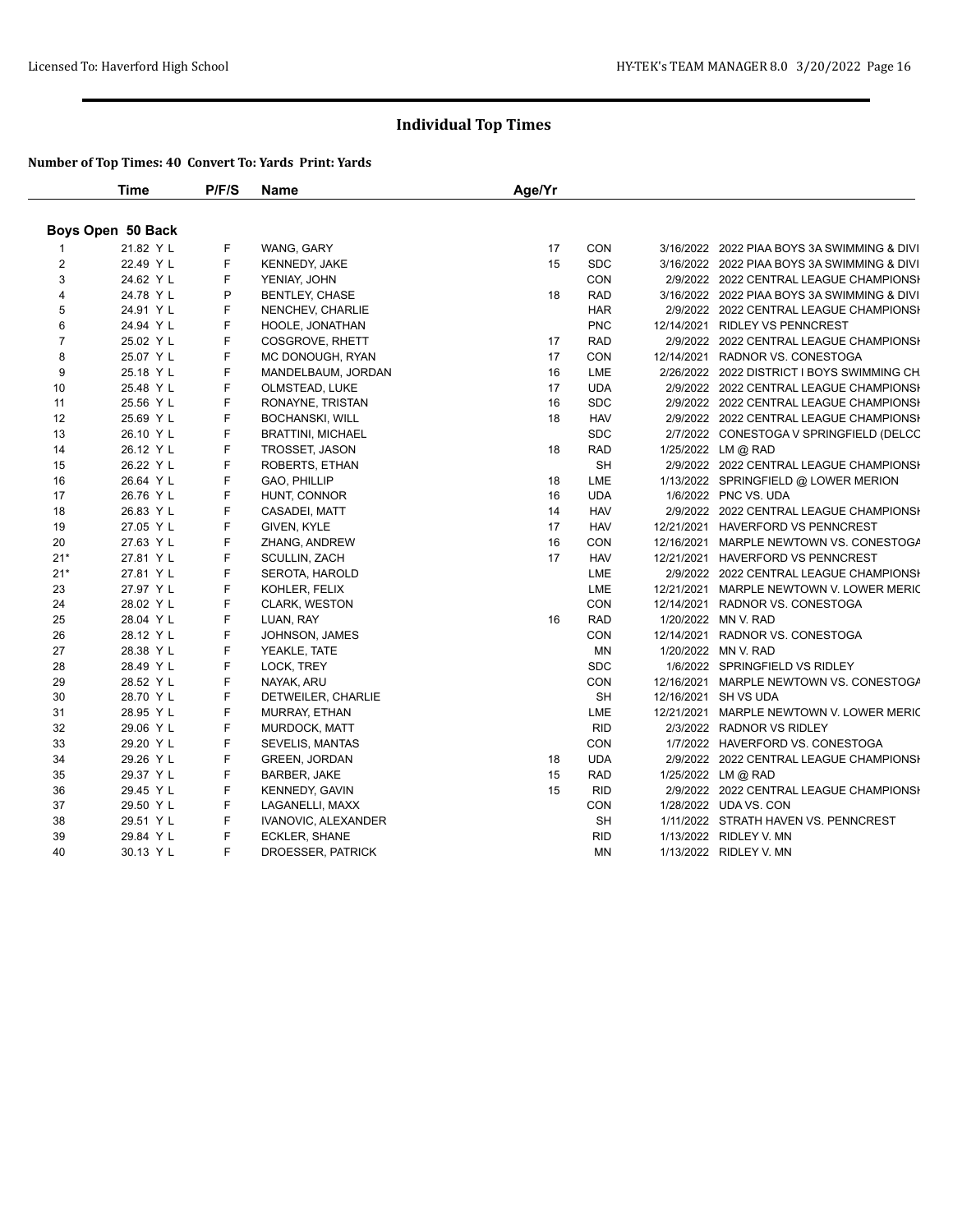|                | Time              | P/F/S | Name                     | Age/Yr |            |                                             |
|----------------|-------------------|-------|--------------------------|--------|------------|---------------------------------------------|
|                | Boys Open 50 Back |       |                          |        |            |                                             |
|                | 21.82 Y L         | F     | WANG, GARY               | 17     | CON        | 3/16/2022 2022 PIAA BOYS 3A SWIMMING & DIVI |
| $\overline{2}$ | 22.49 Y L         | F     | <b>KENNEDY, JAKE</b>     | 15     | <b>SDC</b> | 3/16/2022 2022 PIAA BOYS 3A SWIMMING & DIVI |
| 3              | 24.62 Y L         | F     | YENIAY, JOHN             |        | CON        | 2/9/2022 2022 CENTRAL LEAGUE CHAMPIONSI     |
| $\overline{4}$ | 24.78 Y L         | P     | <b>BENTLEY, CHASE</b>    | 18     | <b>RAD</b> | 3/16/2022 2022 PIAA BOYS 3A SWIMMING & DIVI |
| 5              | 24.91 Y L         | F     | NENCHEV, CHARLIE         |        | <b>HAR</b> | 2/9/2022 2022 CENTRAL LEAGUE CHAMPIONSH     |
| 6              | 24.94 Y L         | F     | HOOLE, JONATHAN          |        | <b>PNC</b> | 12/14/2021 RIDLEY VS PENNCREST              |
| $\overline{7}$ | 25.02 Y L         | F     | COSGROVE, RHETT          | 17     | <b>RAD</b> | 2/9/2022 2022 CENTRAL LEAGUE CHAMPIONSH     |
| 8              | 25.07 Y L         | F     | MC DONOUGH, RYAN         | 17     | CON        | 12/14/2021 RADNOR VS. CONESTOGA             |
| 9              | 25.18 Y L         | F     | MANDELBAUM, JORDAN       | 16     | LME        | 2/26/2022 2022 DISTRICT I BOYS SWIMMING CH  |
| 10             | 25.48 Y L         | F     | OLMSTEAD, LUKE           | 17     | <b>UDA</b> | 2/9/2022 2022 CENTRAL LEAGUE CHAMPIONSH     |
| 11             | 25.56 Y L         | F     | RONAYNE, TRISTAN         | 16     | <b>SDC</b> | 2/9/2022 2022 CENTRAL LEAGUE CHAMPIONSH     |
| 12             | 25.69 Y L         | F     | <b>BOCHANSKI, WILL</b>   | 18     | <b>HAV</b> | 2/9/2022 2022 CENTRAL LEAGUE CHAMPIONSH     |
| 13             | 26.10 Y L         | F     | <b>BRATTINI, MICHAEL</b> |        | <b>SDC</b> | 2/7/2022 CONESTOGA V SPRINGFIELD (DELCC     |
| 14             | 26.12 Y L         | F     | <b>TROSSET, JASON</b>    | 18     | <b>RAD</b> | 1/25/2022 LM @ RAD                          |
| 15             | 26.22 Y L         | F     | ROBERTS, ETHAN           |        | <b>SH</b>  | 2/9/2022 2022 CENTRAL LEAGUE CHAMPIONSH     |
| 16             | 26.64 Y L         | F     | GAO, PHILLIP             | 18     | LME        | 1/13/2022 SPRINGFIELD @ LOWER MERION        |
| 17             | 26.76 Y L         | F     | HUNT, CONNOR             | 16     | <b>UDA</b> | 1/6/2022 PNC VS. UDA                        |
| 18             | 26.83 Y L         | F     | CASADEI, MATT            | 14     | <b>HAV</b> | 2/9/2022 2022 CENTRAL LEAGUE CHAMPIONSH     |
| 19             | 27.05 Y L         | F     | GIVEN, KYLE              | 17     | <b>HAV</b> | 12/21/2021 HAVERFORD VS PENNCREST           |
| 20             | 27.63 Y L         | F     | ZHANG, ANDREW            | 16     | CON        | 12/16/2021 MARPLE NEWTOWN VS. CONESTOGA     |
| $21*$          | 27.81 Y L         | F     | <b>SCULLIN, ZACH</b>     | 17     | <b>HAV</b> | 12/21/2021 HAVERFORD VS PENNCREST           |
| $21*$          | 27.81 Y L         | F     | SEROTA, HAROLD           |        | LME        | 2/9/2022 2022 CENTRAL LEAGUE CHAMPIONSI     |
| 23             | 27.97 Y L         | F     | KOHLER, FELIX            |        | LME        | 12/21/2021 MARPLE NEWTOWN V. LOWER MERIC    |
| 24             | 28.02 Y L         | F     | <b>CLARK, WESTON</b>     |        | CON        | 12/14/2021 RADNOR VS. CONESTOGA             |
| 25             | 28.04 Y L         | F     | LUAN, RAY                | 16     | <b>RAD</b> | 1/20/2022 MN V. RAD                         |
| 26             | 28.12 Y L         | F     | JOHNSON, JAMES           |        | CON        | 12/14/2021 RADNOR VS. CONESTOGA             |
| 27             | 28.38 Y L         | F     | YEAKLE, TATE             |        | <b>MN</b>  | 1/20/2022 MN V. RAD                         |
| 28             | 28.49 Y L         | F     | LOCK, TREY               |        | <b>SDC</b> | 1/6/2022 SPRINGFIELD VS RIDLEY              |
| 29             | 28.52 Y L         | F     | NAYAK, ARU               |        | CON        | 12/16/2021 MARPLE NEWTOWN VS. CONESTOGA     |
| 30             | 28.70 Y L         | F     | DETWEILER, CHARLIE       |        | <b>SH</b>  | 12/16/2021 SH VS UDA                        |
| 31             | 28.95 Y L         | F     | <b>MURRAY, ETHAN</b>     |        | LME        | 12/21/2021 MARPLE NEWTOWN V. LOWER MERIC    |
| 32             | 29.06 Y L         | F     | <b>MURDOCK, MATT</b>     |        | <b>RID</b> | 2/3/2022 RADNOR VS RIDLEY                   |
| 33             | 29.20 Y L         | F     | <b>SEVELIS, MANTAS</b>   |        | <b>CON</b> | 1/7/2022 HAVERFORD VS. CONESTOGA            |
| 34             | 29.26 Y L         | F     | <b>GREEN, JORDAN</b>     | 18     | <b>UDA</b> | 2/9/2022 2022 CENTRAL LEAGUE CHAMPIONSI     |
| 35             | 29.37 Y L         | F     | BARBER, JAKE             | 15     | <b>RAD</b> | 1/25/2022 LM @ RAD                          |
| 36             | 29.45 Y L         | F     | KENNEDY, GAVIN           | 15     | <b>RID</b> | 2/9/2022 2022 CENTRAL LEAGUE CHAMPIONSI     |
| 37             | 29.50 Y L         | F     | LAGANELLI, MAXX          |        | CON        | 1/28/2022 UDA VS. CON                       |
| 38             | 29.51 Y L         | F     | IVANOVIC, ALEXANDER      |        | <b>SH</b>  | 1/11/2022 STRATH HAVEN VS. PENNCREST        |
| 39             | 29.84 Y L         | F     | ECKLER, SHANE            |        | <b>RID</b> | 1/13/2022 RIDLEY V. MN                      |
| 40             | 30.13 Y L         | F     | DROESSER, PATRICK        |        | MN         | 1/13/2022 RIDLEY V. MN                      |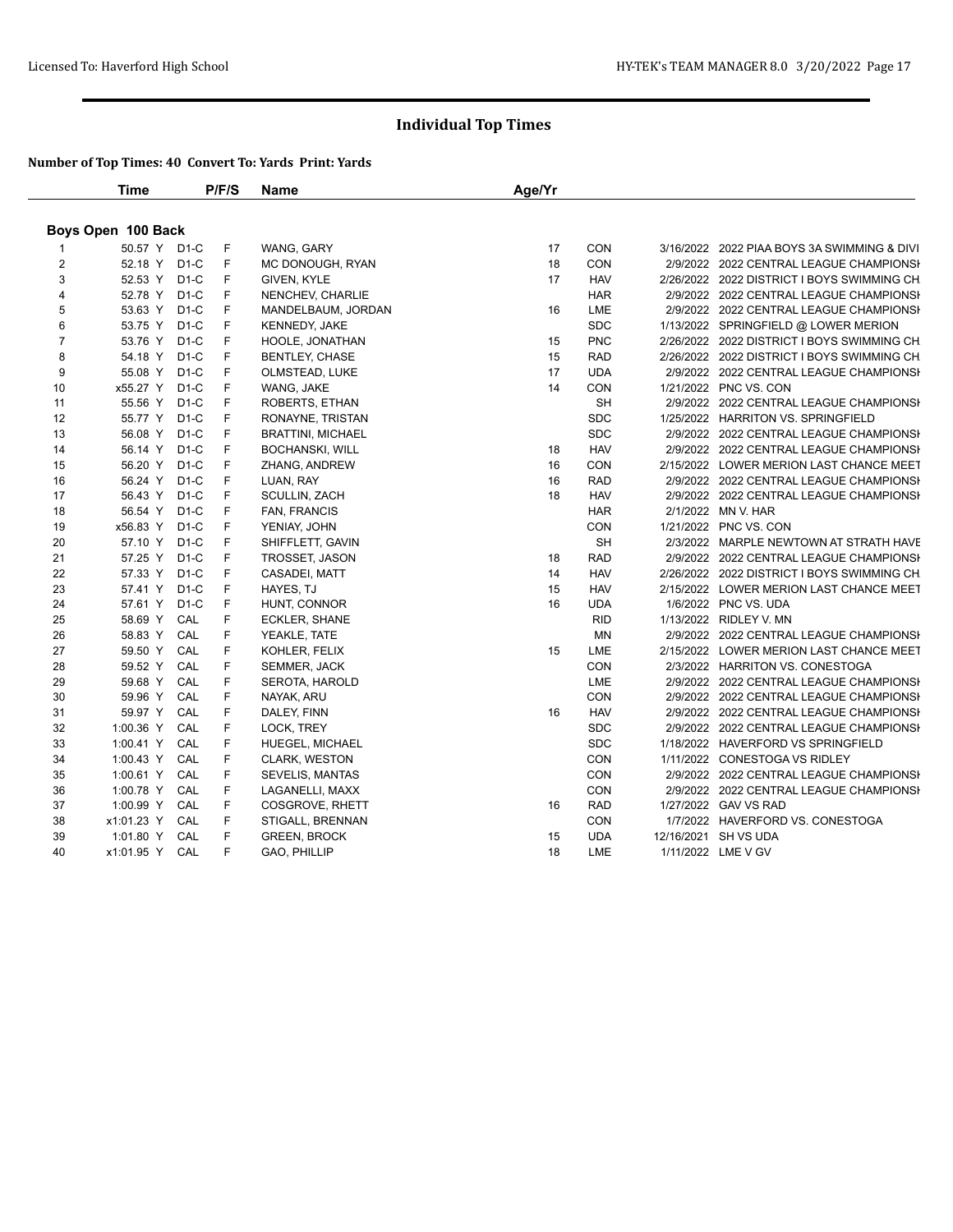|                | Time               |        | P/F/S | Name                     | Age/Yr |            |                                             |
|----------------|--------------------|--------|-------|--------------------------|--------|------------|---------------------------------------------|
|                | Boys Open 100 Back |        |       |                          |        |            |                                             |
|                | 50.57 Y D1-C       |        | F     | WANG, GARY               | 17     | CON        | 3/16/2022 2022 PIAA BOYS 3A SWIMMING & DIVI |
| $\overline{2}$ | 52.18 Y D1-C       |        | F.    | MC DONOUGH, RYAN         | 18     | CON        | 2/9/2022 2022 CENTRAL LEAGUE CHAMPIONSH     |
| 3              | 52.53 Y D1-C       |        | F.    | GIVEN, KYLE              | 17     | <b>HAV</b> | 2/26/2022 2022 DISTRICT I BOYS SWIMMING CH  |
| $\overline{4}$ | 52.78 Y D1-C       |        | F     | NENCHEV, CHARLIE         |        | <b>HAR</b> | 2/9/2022 2022 CENTRAL LEAGUE CHAMPIONSH     |
| 5              | 53.63 Y D1-C       |        | F     | MANDELBAUM, JORDAN       | 16     | LME        | 2/9/2022 2022 CENTRAL LEAGUE CHAMPIONSH     |
| 6              | 53.75 Y            | $D1-C$ | F     | <b>KENNEDY, JAKE</b>     |        | <b>SDC</b> | 1/13/2022 SPRINGFIELD @ LOWER MERION        |
| $\overline{7}$ | 53.76 Y D1-C       |        | F     | HOOLE, JONATHAN          | 15     | <b>PNC</b> | 2/26/2022 2022 DISTRICT I BOYS SWIMMING CH  |
| 8              | 54.18 Y D1-C       |        | F     | <b>BENTLEY, CHASE</b>    | 15     | <b>RAD</b> | 2/26/2022 2022 DISTRICT I BOYS SWIMMING CH  |
| 9              | 55.08 Y D1-C       |        | F     | OLMSTEAD, LUKE           | 17     | <b>UDA</b> | 2/9/2022 2022 CENTRAL LEAGUE CHAMPIONSH     |
| 10             | x55.27 Y           | D1-C   | F     | WANG, JAKE               | 14     | CON        | 1/21/2022 PNC VS. CON                       |
| 11             | 55.56 Y D1-C       |        | F     | ROBERTS, ETHAN           |        | <b>SH</b>  | 2/9/2022 2022 CENTRAL LEAGUE CHAMPIONSH     |
| 12             | 55.77 Y D1-C       |        | F     | RONAYNE, TRISTAN         |        | <b>SDC</b> | 1/25/2022 HARRITON VS. SPRINGFIELD          |
| 13             | 56.08 Y            | $D1-C$ | F     | <b>BRATTINI, MICHAEL</b> |        | <b>SDC</b> | 2/9/2022 2022 CENTRAL LEAGUE CHAMPIONSH     |
| 14             | 56.14 Y            | D1-C   | F     | <b>BOCHANSKI, WILL</b>   | 18     | <b>HAV</b> | 2/9/2022 2022 CENTRAL LEAGUE CHAMPIONSH     |
| 15             | 56.20 Y D1-C       |        | F     | ZHANG, ANDREW            | 16     | CON        | 2/15/2022 LOWER MERION LAST CHANCE MEET     |
| 16             | 56.24 Y D1-C       |        | F     | LUAN, RAY                | 16     | <b>RAD</b> | 2/9/2022 2022 CENTRAL LEAGUE CHAMPIONSH     |
| 17             | 56.43 Y D1-C       |        | F     | SCULLIN, ZACH            | 18     | <b>HAV</b> | 2/9/2022 2022 CENTRAL LEAGUE CHAMPIONSI     |
| 18             | 56.54 Y D1-C       |        | F     | FAN, FRANCIS             |        | <b>HAR</b> | 2/1/2022 MN V. HAR                          |
| 19             | x56.83 Y D1-C      |        | F     | YENIAY, JOHN             |        | CON        | 1/21/2022 PNC VS. CON                       |
| 20             | 57.10 Y            | $D1-C$ | F     | SHIFFLETT, GAVIN         |        | <b>SH</b>  | 2/3/2022 MARPLE NEWTOWN AT STRATH HAVE      |
| 21             | 57.25 Y D1-C       |        | F     | TROSSET, JASON           | 18     | <b>RAD</b> | 2/9/2022 2022 CENTRAL LEAGUE CHAMPIONSI     |
| 22             | 57.33 Y D1-C       |        | F     | CASADEI, MATT            | 14     | <b>HAV</b> | 2/26/2022 2022 DISTRICT I BOYS SWIMMING CH  |
| 23             | 57.41 Y            | $D1-C$ | F     | HAYES, TJ                | 15     | <b>HAV</b> | 2/15/2022 LOWER MERION LAST CHANCE MEET     |
| 24             | 57.61 Y            | D1-C   | F.    | HUNT, CONNOR             | 16     | <b>UDA</b> | 1/6/2022 PNC VS. UDA                        |
| 25             | 58.69 Y CAL        |        | F     | ECKLER, SHANE            |        | <b>RID</b> | 1/13/2022 RIDLEY V. MN                      |
| 26             | 58.83 Y            | CAL    | F     | YEAKLE, TATE             |        | <b>MN</b>  | 2/9/2022 2022 CENTRAL LEAGUE CHAMPIONSI     |
| 27             | 59.50 Y            | CAL    | F     | KOHLER, FELIX            | 15     | LME        | 2/15/2022 LOWER MERION LAST CHANCE MEET     |
| 28             | 59.52 Y            | CAL    | F     | <b>SEMMER, JACK</b>      |        | CON        | 2/3/2022 HARRITON VS. CONESTOGA             |
| 29             | 59.68 Y CAL        |        | F     | <b>SEROTA, HAROLD</b>    |        | LME        | 2/9/2022 2022 CENTRAL LEAGUE CHAMPIONSI     |
| 30             | 59.96 Y            | CAL    | F     | NAYAK, ARU               |        | CON        | 2/9/2022 2022 CENTRAL LEAGUE CHAMPIONSH     |
| 31             | 59.97 Y            | CAL    | F     | DALEY, FINN              | 16     | <b>HAV</b> | 2/9/2022 2022 CENTRAL LEAGUE CHAMPIONSH     |
| 32             | 1:00.36 Y          | CAL    | F     | LOCK, TREY               |        | <b>SDC</b> | 2/9/2022 2022 CENTRAL LEAGUE CHAMPIONSH     |
| 33             | 1:00.41 Y          | CAL    | F     | <b>HUEGEL, MICHAEL</b>   |        | <b>SDC</b> | 1/18/2022 HAVERFORD VS SPRINGFIELD          |
| 34             | 1:00.43 Y          | CAL    | F     | <b>CLARK, WESTON</b>     |        | <b>CON</b> | 1/11/2022 CONESTOGA VS RIDLEY               |
| 35             | 1:00.61 Y CAL      |        | F     | <b>SEVELIS, MANTAS</b>   |        | CON        | 2/9/2022 2022 CENTRAL LEAGUE CHAMPIONSI     |
| 36             | 1:00.78 Y          | CAL    | F     | LAGANELLI, MAXX          |        | CON        | 2/9/2022 2022 CENTRAL LEAGUE CHAMPIONSH     |
| 37             | 1:00.99 Y          | CAL    | F     | COSGROVE, RHETT          | 16     | <b>RAD</b> | 1/27/2022 GAV VS RAD                        |
| 38             | x1:01.23 Y         | CAL    | F     | STIGALL, BRENNAN         |        | <b>CON</b> | 1/7/2022 HAVERFORD VS. CONESTOGA            |
| 39             | 1:01.80 Y          | CAL    | F     | <b>GREEN, BROCK</b>      | 15     | <b>UDA</b> | 12/16/2021 SH VS UDA                        |
| 40             | x1:01.95 Y CAL     |        | F     | GAO, PHILLIP             | 18     | LME        | 1/11/2022 LME V GV                          |
|                |                    |        |       |                          |        |            |                                             |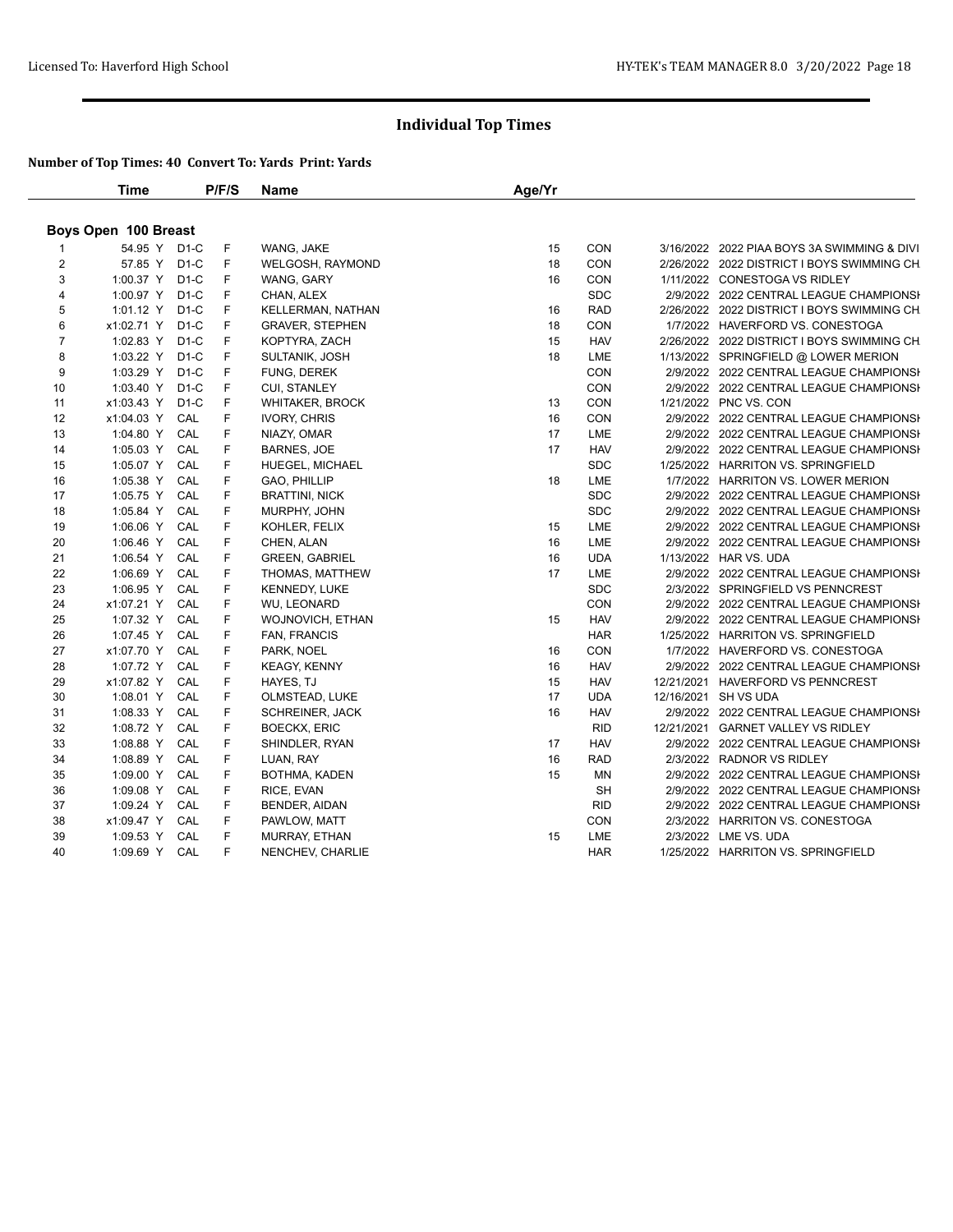|                      | Time            |     | P/F/S | <b>Name</b>             | Age/Yr |            |  |                                             |  |  |
|----------------------|-----------------|-----|-------|-------------------------|--------|------------|--|---------------------------------------------|--|--|
| Boys Open 100 Breast |                 |     |       |                         |        |            |  |                                             |  |  |
|                      | 54.95 Y D1-C    |     | F     | WANG, JAKE              | 15     | <b>CON</b> |  | 3/16/2022 2022 PIAA BOYS 3A SWIMMING & DIVI |  |  |
| 2                    | 57.85 Y D1-C    |     | F.    | WELGOSH, RAYMOND        | 18     | <b>CON</b> |  | 2/26/2022 2022 DISTRICT I BOYS SWIMMING CH  |  |  |
| 3                    | 1:00.37 Y D1-C  |     | F     | WANG, GARY              | 16     | CON        |  | 1/11/2022 CONESTOGA VS RIDLEY               |  |  |
| 4                    | 1:00.97 Y D1-C  |     | F     | CHAN, ALEX              |        | <b>SDC</b> |  | 2/9/2022 2022 CENTRAL LEAGUE CHAMPIONSI     |  |  |
| 5                    | 1:01.12 Y D1-C  |     | F     | KELLERMAN, NATHAN       | 16     | <b>RAD</b> |  | 2/26/2022 2022 DISTRICT I BOYS SWIMMING CH  |  |  |
| 6                    | x1:02.71 Y D1-C |     | F     | <b>GRAVER, STEPHEN</b>  | 18     | CON        |  | 1/7/2022 HAVERFORD VS. CONESTOGA            |  |  |
| $\overline{7}$       | 1:02.83 Y D1-C  |     | F     | KOPTYRA, ZACH           | 15     | <b>HAV</b> |  | 2/26/2022 2022 DISTRICT I BOYS SWIMMING CH  |  |  |
| 8                    | 1:03.22 Y D1-C  |     | F     | SULTANIK, JOSH          | 18     | LME        |  | 1/13/2022 SPRINGFIELD @ LOWER MERION        |  |  |
| 9                    | 1:03.29 Y D1-C  |     | F     | FUNG, DEREK             |        | CON        |  | 2/9/2022 2022 CENTRAL LEAGUE CHAMPIONSH     |  |  |
| 10                   | 1:03.40 Y D1-C  |     | F     | <b>CUI, STANLEY</b>     |        | CON        |  | 2/9/2022 2022 CENTRAL LEAGUE CHAMPIONSI     |  |  |
| 11                   | x1:03.43 Y D1-C |     | F     | <b>WHITAKER, BROCK</b>  | 13     | <b>CON</b> |  | 1/21/2022 PNC VS. CON                       |  |  |
| 12                   | x1:04.03 Y CAL  |     | F     | <b>IVORY, CHRIS</b>     | 16     | CON        |  | 2/9/2022 2022 CENTRAL LEAGUE CHAMPIONSI     |  |  |
| 13                   | 1:04.80 Y CAL   |     | F     | NIAZY, OMAR             | 17     | LME        |  | 2/9/2022 2022 CENTRAL LEAGUE CHAMPIONSH     |  |  |
| 14                   | 1:05.03 Y       | CAL | F     | <b>BARNES, JOE</b>      | 17     | <b>HAV</b> |  | 2/9/2022 2022 CENTRAL LEAGUE CHAMPIONSI     |  |  |
| 15                   | 1:05.07 Y CAL   |     | F     | HUEGEL, MICHAEL         |        | <b>SDC</b> |  | 1/25/2022 HARRITON VS. SPRINGFIELD          |  |  |
| 16                   | 1:05.38 Y CAL   |     | F     | GAO, PHILLIP            | 18     | LME        |  | 1/7/2022 HARRITON VS. LOWER MERION          |  |  |
| 17                   | 1:05.75 Y       | CAL | F     | <b>BRATTINI, NICK</b>   |        | <b>SDC</b> |  | 2/9/2022 2022 CENTRAL LEAGUE CHAMPIONSH     |  |  |
| 18                   | 1:05.84 Y CAL   |     | F     | MURPHY, JOHN            |        | <b>SDC</b> |  | 2/9/2022 2022 CENTRAL LEAGUE CHAMPIONSI     |  |  |
| 19                   | 1:06.06 Y       | CAL | F     | KOHLER, FELIX           | 15     | LME        |  | 2/9/2022 2022 CENTRAL LEAGUE CHAMPIONSH     |  |  |
| 20                   | 1:06.46 Y       | CAL | F     | CHEN, ALAN              | 16     | LME        |  | 2/9/2022 2022 CENTRAL LEAGUE CHAMPIONSH     |  |  |
| 21                   | 1:06.54 Y       | CAL | F     | <b>GREEN, GABRIEL</b>   | 16     | <b>UDA</b> |  | 1/13/2022 HAR VS. UDA                       |  |  |
| 22                   | 1:06.69 Y CAL   |     | F     | THOMAS, MATTHEW         | 17     | LME        |  | 2/9/2022 2022 CENTRAL LEAGUE CHAMPIONSH     |  |  |
| 23                   | 1:06.95 Y CAL   |     | F     | <b>KENNEDY, LUKE</b>    |        | <b>SDC</b> |  | 2/3/2022 SPRINGFIELD VS PENNCREST           |  |  |
| 24                   | x1:07.21 Y      | CAL | F     | WU, LEONARD             |        | CON        |  | 2/9/2022 2022 CENTRAL LEAGUE CHAMPIONSH     |  |  |
| 25                   | 1:07.32 Y CAL   |     | F     | <b>WOJNOVICH, ETHAN</b> | 15     | <b>HAV</b> |  | 2/9/2022 2022 CENTRAL LEAGUE CHAMPIONSI     |  |  |
| 26                   | 1:07.45 Y CAL   |     | F     | <b>FAN, FRANCIS</b>     |        | <b>HAR</b> |  | 1/25/2022 HARRITON VS. SPRINGFIELD          |  |  |
| 27                   | x1:07.70 Y CAL  |     | F     | PARK, NOEL              | 16     | CON        |  | 1/7/2022 HAVERFORD VS. CONESTOGA            |  |  |
| 28                   | 1:07.72 Y CAL   |     | F     | KEAGY, KENNY            | 16     | <b>HAV</b> |  | 2/9/2022 2022 CENTRAL LEAGUE CHAMPIONSH     |  |  |
| 29                   | x1:07.82 Y CAL  |     | F     | HAYES, TJ               | 15     | <b>HAV</b> |  | 12/21/2021 HAVERFORD VS PENNCREST           |  |  |
| 30                   | 1:08.01 Y CAL   |     | F     | OLMSTEAD, LUKE          | 17     | <b>UDA</b> |  | 12/16/2021 SH VS UDA                        |  |  |
| 31                   | 1:08.33 Y       | CAL | F     | <b>SCHREINER, JACK</b>  | 16     | <b>HAV</b> |  | 2/9/2022 2022 CENTRAL LEAGUE CHAMPIONSI     |  |  |
| 32                   | 1:08.72 Y       | CAL | F     | <b>BOECKX, ERIC</b>     |        | <b>RID</b> |  | 12/21/2021 GARNET VALLEY VS RIDLEY          |  |  |
| 33                   | 1:08.88 Y       | CAL | F     | SHINDLER, RYAN          | 17     | <b>HAV</b> |  | 2/9/2022 2022 CENTRAL LEAGUE CHAMPIONSI     |  |  |
| 34                   | 1:08.89 Y       | CAL | F     | LUAN, RAY               | 16     | RAD        |  | 2/3/2022 RADNOR VS RIDLEY                   |  |  |
| 35                   | 1:09.00 Y       | CAL | F     | BOTHMA, KADEN           | 15     | ΜN         |  | 2/9/2022 2022 CENTRAL LEAGUE CHAMPIONSI     |  |  |
| 36                   | 1:09.08 Y CAL   |     | F     | RICE, EVAN              |        | <b>SH</b>  |  | 2/9/2022 2022 CENTRAL LEAGUE CHAMPIONSI     |  |  |
| 37                   | 1:09.24 Y CAL   |     | F     | BENDER, AIDAN           |        | <b>RID</b> |  | 2/9/2022 2022 CENTRAL LEAGUE CHAMPIONSH     |  |  |
| 38                   | x1:09.47 Y CAL  |     | F     | PAWLOW, MATT            |        | CON        |  | 2/3/2022 HARRITON VS. CONESTOGA             |  |  |
| 39                   | 1:09.53 Y CAL   |     | F     | <b>MURRAY, ETHAN</b>    | 15     | LME        |  | 2/3/2022 LME VS. UDA                        |  |  |
| 40                   | 1:09.69 Y CAL   |     | F     | NENCHEV, CHARLIE        |        | <b>HAR</b> |  | 1/25/2022 HARRITON VS. SPRINGFIELD          |  |  |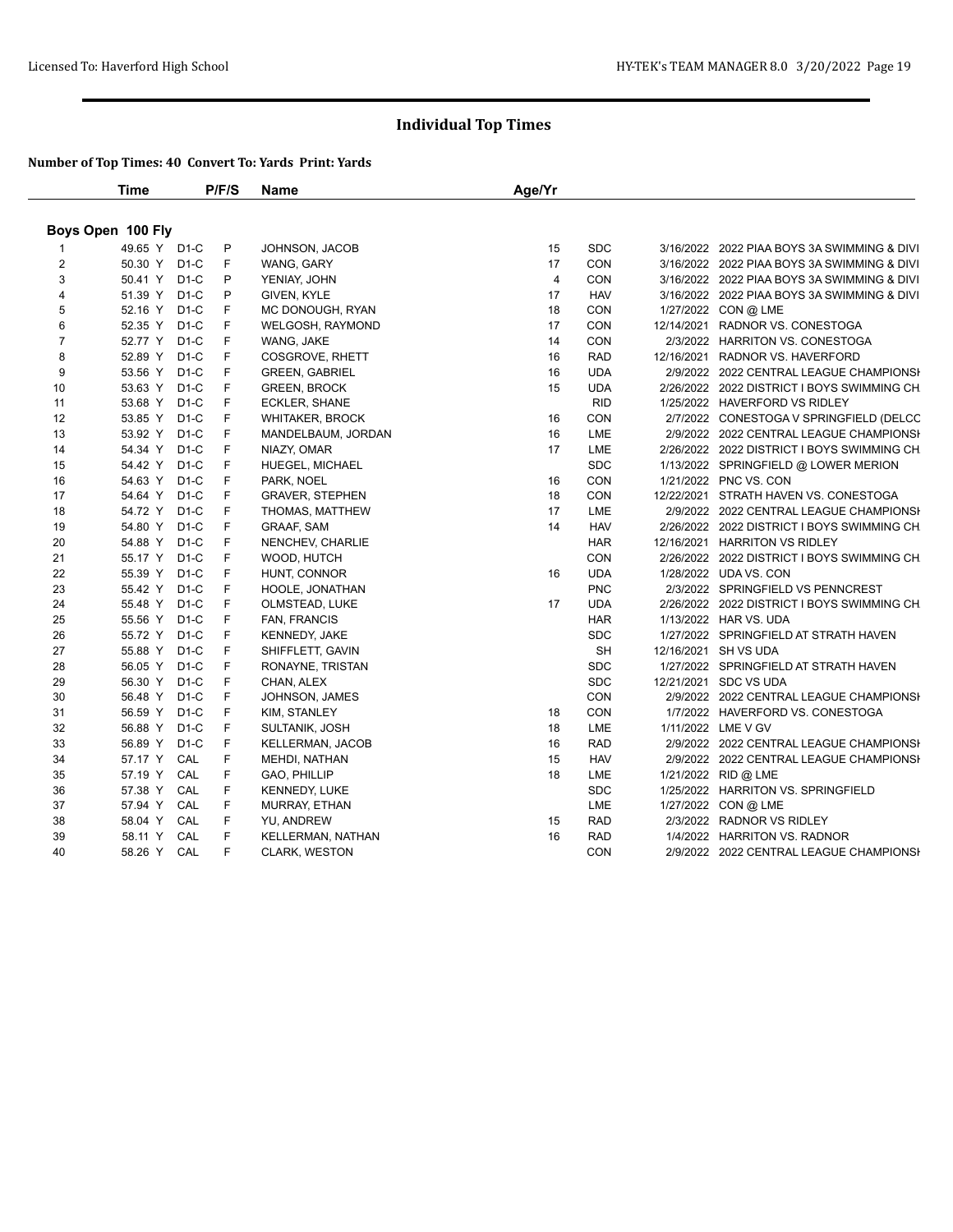|                   | Time         |                   | P/F/S | Name                    | Age/Yr         |            |                                             |
|-------------------|--------------|-------------------|-------|-------------------------|----------------|------------|---------------------------------------------|
| Boys Open 100 Fly |              |                   |       |                         |                |            |                                             |
|                   | 49.65 Y D1-C |                   | P     | JOHNSON, JACOB          | 15             | <b>SDC</b> | 3/16/2022 2022 PIAA BOYS 3A SWIMMING & DIVI |
| $\overline{2}$    | 50.30 Y D1-C |                   | F.    | WANG, GARY              | 17             | CON        | 3/16/2022 2022 PIAA BOYS 3A SWIMMING & DIVI |
| 3                 | 50.41 Y D1-C |                   | P     | YENIAY, JOHN            | $\overline{4}$ | <b>CON</b> | 3/16/2022 2022 PIAA BOYS 3A SWIMMING & DIVI |
| $\overline{4}$    | 51.39 Y D1-C |                   | P     | GIVEN, KYLE             | 17             | <b>HAV</b> | 3/16/2022 2022 PIAA BOYS 3A SWIMMING & DIVI |
| 5                 | 52.16 Y D1-C |                   | F     | MC DONOUGH, RYAN        | 18             | CON        | 1/27/2022 CON @ LME                         |
| 6                 | 52.35 Y D1-C |                   | F     | WELGOSH, RAYMOND        | 17             | CON        | 12/14/2021 RADNOR VS. CONESTOGA             |
| $\overline{7}$    | 52.77 Y D1-C |                   | F     | WANG, JAKE              | 14             | CON        | 2/3/2022 HARRITON VS. CONESTOGA             |
| 8                 | 52.89 Y D1-C |                   | F     | COSGROVE, RHETT         | 16             | <b>RAD</b> | 12/16/2021 RADNOR VS. HAVERFORD             |
| 9                 | 53.56 Y D1-C |                   | F.    | <b>GREEN, GABRIEL</b>   | 16             | <b>UDA</b> | 2/9/2022 2022 CENTRAL LEAGUE CHAMPIONSH     |
| 10                | 53.63 Y D1-C |                   | F.    | <b>GREEN, BROCK</b>     | 15             | <b>UDA</b> | 2/26/2022 2022 DISTRICT I BOYS SWIMMING CH  |
| 11                | 53.68 Y D1-C |                   | F     | ECKLER, SHANE           |                | <b>RID</b> | 1/25/2022 HAVERFORD VS RIDLEY               |
| 12                | 53.85 Y D1-C |                   | F     | WHITAKER, BROCK         | 16             | CON        | 2/7/2022 CONESTOGA V SPRINGFIELD (DELCC     |
| 13                | 53.92 Y      | D <sub>1</sub> -C | F     | MANDELBAUM, JORDAN      | 16             | LME        | 2/9/2022 2022 CENTRAL LEAGUE CHAMPIONSH     |
| 14                | 54.34 Y D1-C |                   | F     | NIAZY, OMAR             | 17             | LME        | 2/26/2022 2022 DISTRICT I BOYS SWIMMING CH  |
| 15                | 54.42 Y D1-C |                   | F     | <b>HUEGEL, MICHAEL</b>  |                | <b>SDC</b> | 1/13/2022 SPRINGFIELD @ LOWER MERION        |
| 16                | 54.63 Y D1-C |                   | F.    | PARK, NOEL              | 16             | <b>CON</b> | 1/21/2022 PNC VS. CON                       |
| 17                | 54.64 Y      | D1-C              | F     | <b>GRAVER, STEPHEN</b>  | 18             | <b>CON</b> | 12/22/2021 STRATH HAVEN VS. CONESTOGA       |
| 18                | 54.72 Y D1-C |                   | F     | THOMAS, MATTHEW         | 17             | LME        | 2/9/2022 2022 CENTRAL LEAGUE CHAMPIONSI     |
| 19                | 54.80 Y D1-C |                   | F     | <b>GRAAF, SAM</b>       | 14             | <b>HAV</b> | 2/26/2022 2022 DISTRICT I BOYS SWIMMING CH  |
| 20                | 54.88 Y      | $D1-C$            | F     | NENCHEV, CHARLIE        |                | <b>HAR</b> | 12/16/2021 HARRITON VS RIDLEY               |
| 21                | 55.17 Y D1-C |                   | F     | WOOD, HUTCH             |                | <b>CON</b> | 2/26/2022 2022 DISTRICT I BOYS SWIMMING CH  |
| 22                | 55.39 Y D1-C |                   | F     | HUNT, CONNOR            | 16             | <b>UDA</b> | 1/28/2022 UDA VS. CON                       |
| 23                | 55.42 Y D1-C |                   | F     | HOOLE, JONATHAN         |                | <b>PNC</b> | 2/3/2022 SPRINGFIELD VS PENNCREST           |
| 24                | 55.48 Y      | $D1-C$            | F     | OLMSTEAD, LUKE          | 17             | <b>UDA</b> | 2/26/2022 2022 DISTRICT I BOYS SWIMMING CH  |
| 25                | 55.56 Y D1-C |                   | F     | FAN, FRANCIS            |                | <b>HAR</b> | 1/13/2022 HAR VS. UDA                       |
| 26                | 55.72 Y D1-C |                   | F     | <b>KENNEDY, JAKE</b>    |                | <b>SDC</b> | 1/27/2022 SPRINGFIELD AT STRATH HAVEN       |
| 27                | 55.88 Y      | $D1-C$            | F     | SHIFFLETT, GAVIN        |                | <b>SH</b>  | 12/16/2021 SH VS UDA                        |
| 28                | 56.05 Y D1-C |                   | F     | RONAYNE, TRISTAN        |                | <b>SDC</b> | 1/27/2022 SPRINGFIELD AT STRATH HAVEN       |
| 29                | 56.30 Y D1-C |                   | F     | CHAN, ALEX              |                | <b>SDC</b> | 12/21/2021 SDC VS UDA                       |
| 30                | 56.48 Y      | $D1-C$            | F     | JOHNSON, JAMES          |                | CON        | 2/9/2022 2022 CENTRAL LEAGUE CHAMPIONSI     |
| 31                | 56.59 Y      | D1-C              | F     | KIM, STANLEY            | 18             | CON        | 1/7/2022 HAVERFORD VS. CONESTOGA            |
| 32                | 56.88 Y D1-C |                   | F     | SULTANIK, JOSH          | 18             | LME        | 1/11/2022 LME V GV                          |
| 33                | 56.89 Y D1-C |                   | F     | <b>KELLERMAN, JACOB</b> | 16             | <b>RAD</b> | 2/9/2022 2022 CENTRAL LEAGUE CHAMPIONSI     |
| 34                | 57.17 Y      | CAL               | F     | MEHDI, NATHAN           | 15             | <b>HAV</b> | 2/9/2022 2022 CENTRAL LEAGUE CHAMPIONSH     |
| 35                | 57.19 Y CAL  |                   | F     | GAO, PHILLIP            | 18             | LME        | 1/21/2022 RID @ LME                         |
| 36                | 57.38 Y CAL  |                   | F     | <b>KENNEDY, LUKE</b>    |                | <b>SDC</b> | 1/25/2022 HARRITON VS. SPRINGFIELD          |
| 37                | 57.94 Y      | CAL               | F     | MURRAY, ETHAN           |                | LME        | 1/27/2022 CON @ LME                         |
| 38                | 58.04 Y      | CAL               | F     | YU, ANDREW              | 15             | <b>RAD</b> | 2/3/2022 RADNOR VS RIDLEY                   |
| 39                | 58.11 Y CAL  |                   | F     | KELLERMAN, NATHAN       | 16             | <b>RAD</b> | 1/4/2022 HARRITON VS. RADNOR                |
| 40                | 58.26 Y CAL  |                   | F     | CLARK, WESTON           |                | CON        | 2/9/2022 2022 CENTRAL LEAGUE CHAMPIONSH     |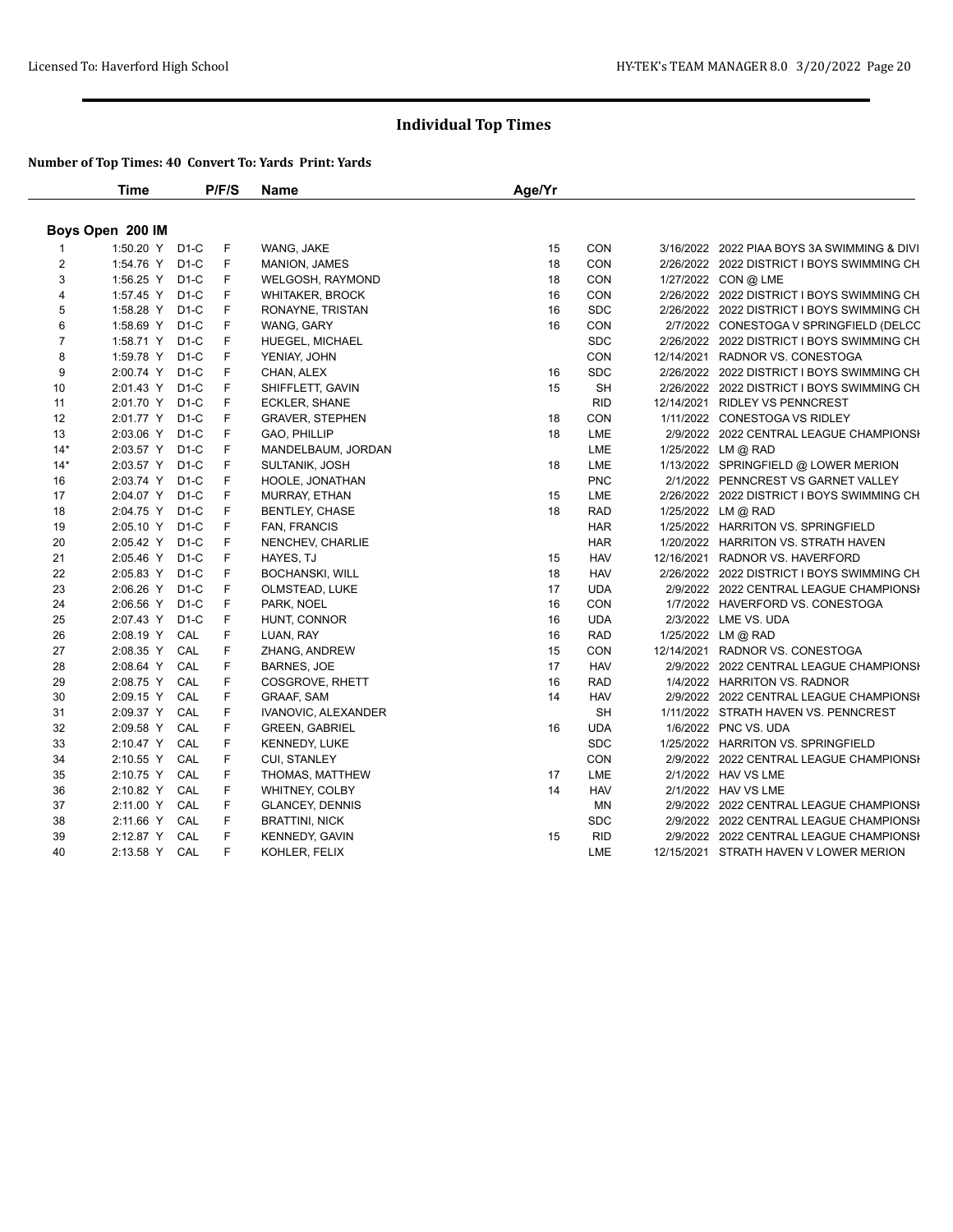|                | <b>Time</b>      |        | P/F/S | Name                   | Age/Yr |            |                                             |
|----------------|------------------|--------|-------|------------------------|--------|------------|---------------------------------------------|
|                | Boys Open 200 IM |        |       |                        |        |            |                                             |
|                | 1:50.20 Y D1-C   |        | F     | WANG, JAKE             | 15     | <b>CON</b> | 3/16/2022 2022 PIAA BOYS 3A SWIMMING & DIVI |
| $\overline{2}$ | 1:54.76 Y D1-C   |        | F     | <b>MANION, JAMES</b>   | 18     | CON        | 2/26/2022 2022 DISTRICT I BOYS SWIMMING CH  |
| 3              | 1:56.25 Y D1-C   |        | F     | WELGOSH, RAYMOND       | 18     | CON        | 1/27/2022 CON @ LME                         |
| $\overline{4}$ | 1:57.45 Y D1-C   |        | F     | <b>WHITAKER, BROCK</b> | 16     | CON        | 2/26/2022 2022 DISTRICT I BOYS SWIMMING CH  |
| 5              | 1:58.28 Y D1-C   |        | F     | RONAYNE, TRISTAN       | 16     | <b>SDC</b> | 2/26/2022 2022 DISTRICT I BOYS SWIMMING CH  |
| 6              | 1:58.69 Y        | $D1-C$ | F     | WANG, GARY             | 16     | CON        | 2/7/2022 CONESTOGA V SPRINGFIELD (DELCC     |
| $\overline{7}$ | 1:58.71 Y D1-C   |        | F     | HUEGEL, MICHAEL        |        | <b>SDC</b> | 2/26/2022 2022 DISTRICT I BOYS SWIMMING CH  |
| 8              | 1:59.78 Y D1-C   |        | F     | YENIAY, JOHN           |        | <b>CON</b> | 12/14/2021 RADNOR VS. CONESTOGA             |
| 9              | 2:00.74 Y D1-C   |        | F     | CHAN, ALEX             | 16     | <b>SDC</b> | 2/26/2022 2022 DISTRICT I BOYS SWIMMING CH  |
| 10             | 2:01.43 Y D1-C   |        | F     | SHIFFLETT, GAVIN       | 15     | <b>SH</b>  | 2/26/2022 2022 DISTRICT I BOYS SWIMMING CH  |
| 11             | 2:01.70 Y D1-C   |        | F     | ECKLER, SHANE          |        | <b>RID</b> | 12/14/2021 RIDLEY VS PENNCREST              |
| 12             | 2:01.77 Y D1-C   |        | F     | <b>GRAVER, STEPHEN</b> | 18     | CON        | 1/11/2022 CONESTOGA VS RIDLEY               |
| 13             | 2:03.06 Y        | D1-C   | F     | GAO, PHILLIP           | 18     | LME        | 2/9/2022 2022 CENTRAL LEAGUE CHAMPIONSH     |
| $14*$          | 2:03.57 Y D1-C   |        | F     | MANDELBAUM, JORDAN     |        | LME        | 1/25/2022 LM @ RAD                          |
| $14*$          | 2:03.57 Y D1-C   |        | F     | SULTANIK, JOSH         | 18     | LME        | 1/13/2022 SPRINGFIELD @ LOWER MERION        |
| 16             | 2:03.74 Y D1-C   |        | F     | HOOLE, JONATHAN        |        | <b>PNC</b> | 2/1/2022 PENNCREST VS GARNET VALLEY         |
| 17             | 2:04.07 Y        | D1-C   | F     | MURRAY, ETHAN          | 15     | LME        | 2/26/2022 2022 DISTRICT I BOYS SWIMMING CH  |
| 18             | 2:04.75 Y D1-C   |        | F     | <b>BENTLEY, CHASE</b>  | 18     | <b>RAD</b> | 1/25/2022 LM @ RAD                          |
| 19             | 2:05.10 Y D1-C   |        | F     | FAN, FRANCIS           |        | <b>HAR</b> | 1/25/2022 HARRITON VS. SPRINGFIELD          |
| 20             | 2:05.42 Y        | $D1-C$ | F     | NENCHEV, CHARLIE       |        | <b>HAR</b> | 1/20/2022 HARRITON VS. STRATH HAVEN         |
| 21             | 2:05.46 Y D1-C   |        | F     | HAYES, TJ              | 15     | <b>HAV</b> | 12/16/2021 RADNOR VS. HAVERFORD             |
| 22             | 2:05.83 Y D1-C   |        | F     | <b>BOCHANSKI, WILL</b> | 18     | <b>HAV</b> | 2/26/2022 2022 DISTRICT I BOYS SWIMMING CH  |
| 23             | 2:06.26 Y D1-C   |        | F     | OLMSTEAD, LUKE         | 17     | <b>UDA</b> | 2/9/2022 2022 CENTRAL LEAGUE CHAMPIONSI     |
| 24             | 2:06.56 Y        | D1-C   | F     | PARK, NOEL             | 16     | CON        | 1/7/2022 HAVERFORD VS. CONESTOGA            |
| 25             | 2:07.43 Y D1-C   |        | F     | HUNT, CONNOR           | 16     | <b>UDA</b> | 2/3/2022 LME VS. UDA                        |
| 26             | 2:08.19 Y        | CAL    | F     | LUAN, RAY              | 16     | <b>RAD</b> | 1/25/2022 LM @ RAD                          |
| 27             | 2:08.35 Y        | CAL    | F     | ZHANG, ANDREW          | 15     | <b>CON</b> | 12/14/2021 RADNOR VS. CONESTOGA             |
| 28             | 2:08.64 Y CAL    |        | F     | <b>BARNES, JOE</b>     | 17     | <b>HAV</b> | 2/9/2022 2022 CENTRAL LEAGUE CHAMPIONSI     |
| 29             | 2:08.75 Y CAL    |        | F     | COSGROVE, RHETT        | 16     | <b>RAD</b> | 1/4/2022 HARRITON VS. RADNOR                |
| 30             | 2:09.15 Y        | CAL    | F     | <b>GRAAF, SAM</b>      | 14     | <b>HAV</b> | 2/9/2022 2022 CENTRAL LEAGUE CHAMPIONSH     |
| 31             | 2:09.37 Y        | CAL    | F     | IVANOVIC, ALEXANDER    |        | SH         | 1/11/2022 STRATH HAVEN VS. PENNCREST        |
| 32             | 2:09.58 Y CAL    |        | F     | <b>GREEN, GABRIEL</b>  | 16     | <b>UDA</b> | 1/6/2022 PNC VS. UDA                        |
| 33             | 2:10.47 Y        | CAL    | F     | <b>KENNEDY, LUKE</b>   |        | <b>SDC</b> | 1/25/2022 HARRITON VS. SPRINGFIELD          |
| 34             | 2:10.55 Y        | CAL    | F     | CUI, STANLEY           |        | <b>CON</b> | 2/9/2022 2022 CENTRAL LEAGUE CHAMPIONSI     |
| 35             | 2:10.75 Y        | CAL    | F     | THOMAS, MATTHEW        | 17     | LME        | 2/1/2022 HAV VS LME                         |
| 36             | 2:10.82 Y CAL    |        | F     | WHITNEY, COLBY         | 14     | <b>HAV</b> | 2/1/2022 HAV VS LME                         |
| 37             | 2:11.00 Y        | CAL    | F     | <b>GLANCEY, DENNIS</b> |        | ΜN         | 2/9/2022 2022 CENTRAL LEAGUE CHAMPIONSI     |
| 38             | 2:11.66 Y        | CAL    | F     | <b>BRATTINI, NICK</b>  |        | <b>SDC</b> | 2/9/2022 2022 CENTRAL LEAGUE CHAMPIONSI     |
| 39             | 2:12.87 Y CAL    |        | F     | <b>KENNEDY, GAVIN</b>  | 15     | <b>RID</b> | 2/9/2022 2022 CENTRAL LEAGUE CHAMPIONSH     |
| 40             | 2:13.58 Y CAL    |        | F     | KOHLER, FELIX          |        | LME        | 12/15/2021 STRATH HAVEN V LOWER MERION      |
|                |                  |        |       |                        |        |            |                                             |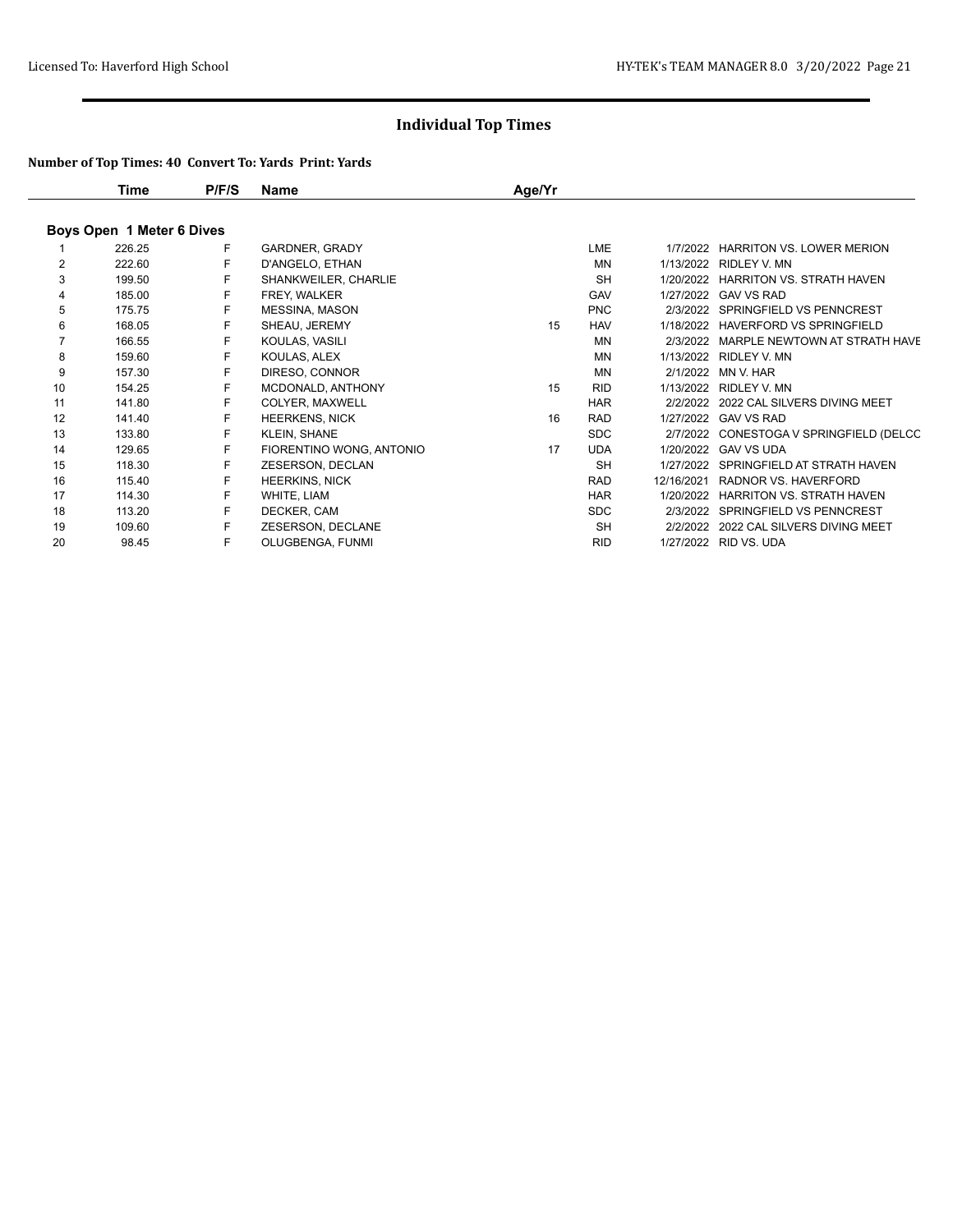|    | Time                      | P/F/S | Name                     | Age/Yr |            |            |                                         |
|----|---------------------------|-------|--------------------------|--------|------------|------------|-----------------------------------------|
|    | Boys Open 1 Meter 6 Dives |       |                          |        |            |            |                                         |
|    | 226.25                    | F     | <b>GARDNER, GRADY</b>    |        | <b>LME</b> | 1/7/2022   | <b>HARRITON VS. LOWER MERION</b>        |
| 2  | 222.60                    | F     | D'ANGELO, ETHAN          |        | MN         |            | 1/13/2022 RIDLEY V. MN                  |
| 3  | 199.50                    | F     | SHANKWEILER, CHARLIE     |        | <b>SH</b>  | 1/20/2022  | <b>HARRITON VS. STRATH HAVEN</b>        |
| 4  | 185.00                    | F     | FREY, WALKER             |        | <b>GAV</b> |            | 1/27/2022 GAV VS RAD                    |
| 5  | 175.75                    | F.    | <b>MESSINA, MASON</b>    |        | <b>PNC</b> |            | 2/3/2022 SPRINGFIELD VS PENNCREST       |
| 6  | 168.05                    | F     | SHEAU, JEREMY            | 15     | <b>HAV</b> | 1/18/2022  | HAVERFORD VS SPRINGFIELD                |
| 7  | 166.55                    | F.    | KOULAS, VASILI           |        | MN         |            | 2/3/2022 MARPLE NEWTOWN AT STRATH HAVE  |
| 8  | 159.60                    | F     | KOULAS, ALEX             |        | <b>MN</b>  |            | 1/13/2022 RIDLEY V. MN                  |
| 9  | 157.30                    | F     | DIRESO, CONNOR           |        | MN         |            | 2/1/2022 MN V. HAR                      |
| 10 | 154.25                    | F     | MCDONALD, ANTHONY        | 15     | <b>RID</b> |            | 1/13/2022 RIDLEY V. MN                  |
| 11 | 141.80                    | F     | COLYER, MAXWELL          |        | <b>HAR</b> |            | 2/2/2022 2022 CAL SILVERS DIVING MEET   |
| 12 | 141.40                    | F     | <b>HEERKENS, NICK</b>    | 16     | <b>RAD</b> |            | 1/27/2022 GAV VS RAD                    |
| 13 | 133.80                    | F     | <b>KLEIN, SHANE</b>      |        | <b>SDC</b> |            | 2/7/2022 CONESTOGA V SPRINGFIELD (DELCC |
| 14 | 129.65                    | F.    | FIORENTINO WONG, ANTONIO | 17     | <b>UDA</b> |            | 1/20/2022 GAV VS UDA                    |
| 15 | 118.30                    | F     | ZESERSON, DECLAN         |        | <b>SH</b>  |            | 1/27/2022 SPRINGFIELD AT STRATH HAVEN   |
| 16 | 115.40                    | F     | <b>HEERKINS, NICK</b>    |        | <b>RAD</b> | 12/16/2021 | RADNOR VS. HAVERFORD                    |
| 17 | 114.30                    | F.    | WHITE, LIAM              |        | <b>HAR</b> | 1/20/2022  | HARRITON VS. STRATH HAVEN               |
| 18 | 113.20                    | F     | DECKER, CAM              |        | <b>SDC</b> |            | 2/3/2022 SPRINGFIELD VS PENNCREST       |
| 19 | 109.60                    | F     | ZESERSON, DECLANE        |        | <b>SH</b>  |            | 2/2/2022 2022 CAL SILVERS DIVING MEET   |
| 20 | 98.45                     | F     | OLUGBENGA, FUNMI         |        | <b>RID</b> |            | 1/27/2022 RID VS, UDA                   |